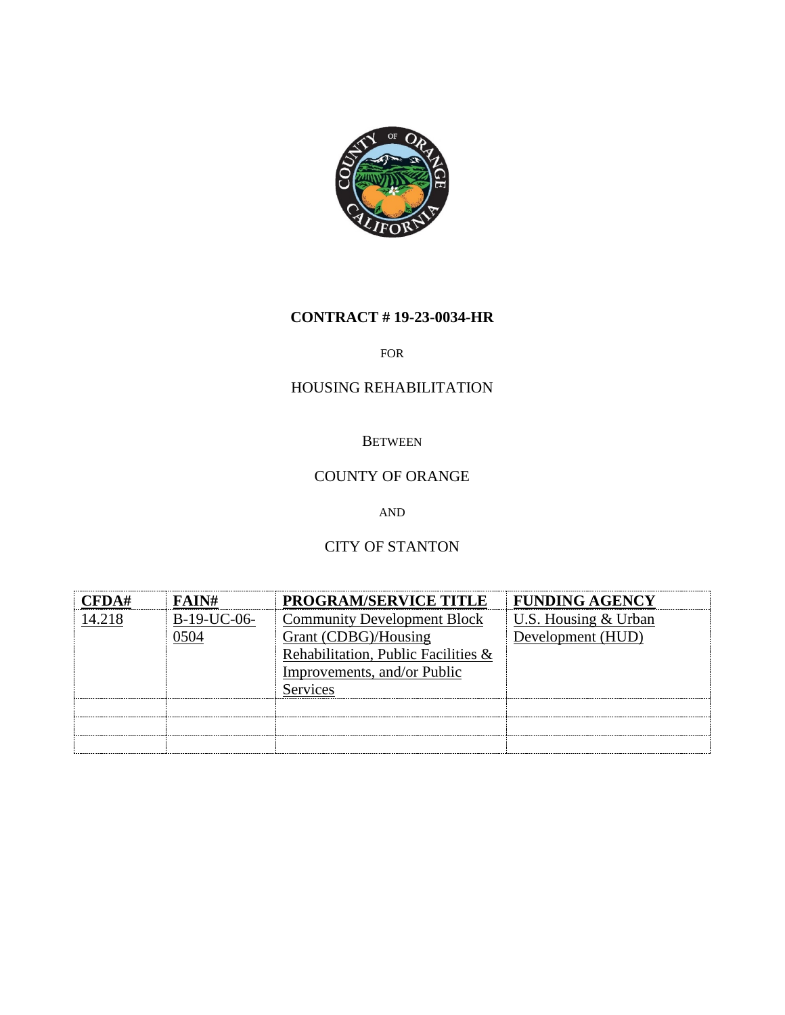

## **CONTRACT # 19-23-0034-HR**

#### FOR

### HOUSING REHABILITATION

#### **BETWEEN**

# COUNTY OF ORANGE

AND

# CITY OF STANTON

| FAIN#          | <b>PROGRAM/SERVICE TITLE</b>        | <b>FUNDING AGENCY</b> |
|----------------|-------------------------------------|-----------------------|
| $B-19-11C-06-$ | <b>Community Development Block</b>  | U.S. Housing & Urban  |
|                | Grant (CDBG)/Housing                | Development (HUD)     |
|                | Rehabilitation, Public Facilities & |                       |
|                | Improvements, and/or Public         |                       |
|                | Services                            |                       |
|                |                                     |                       |
|                |                                     |                       |
|                |                                     |                       |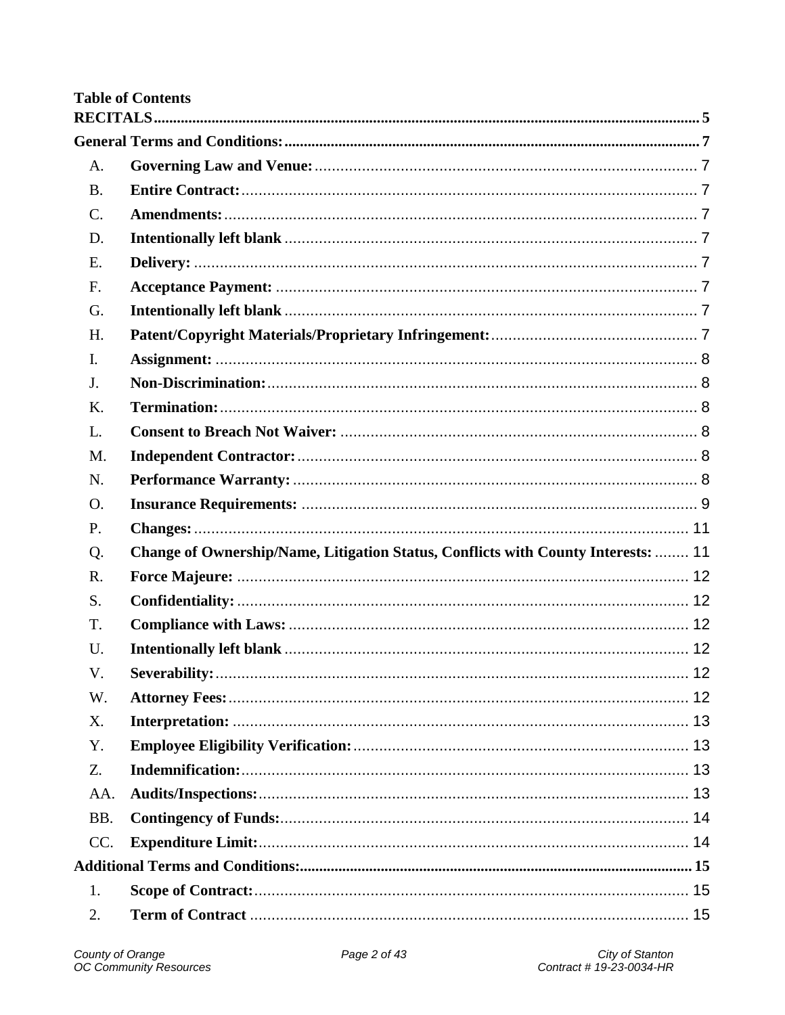# **Table of Contents**

| A.              |                                                                                   |  |
|-----------------|-----------------------------------------------------------------------------------|--|
| <b>B.</b>       |                                                                                   |  |
| $\mathcal{C}$ . |                                                                                   |  |
| D.              |                                                                                   |  |
| E.              |                                                                                   |  |
| F.              |                                                                                   |  |
| G.              |                                                                                   |  |
| H.              |                                                                                   |  |
| $\mathbf{I}$ .  |                                                                                   |  |
| J.              |                                                                                   |  |
| K.              |                                                                                   |  |
| L.              |                                                                                   |  |
| M.              |                                                                                   |  |
| N.              |                                                                                   |  |
| O.              |                                                                                   |  |
| P.              |                                                                                   |  |
| Q.              | Change of Ownership/Name, Litigation Status, Conflicts with County Interests:  11 |  |
| R.              |                                                                                   |  |
| S.              |                                                                                   |  |
| T.              |                                                                                   |  |
| U.              |                                                                                   |  |
| V.              |                                                                                   |  |
| W.              |                                                                                   |  |
| X.              |                                                                                   |  |
| Y.              |                                                                                   |  |
| Z.              |                                                                                   |  |
| AA.             |                                                                                   |  |
| BB.             |                                                                                   |  |
| CC.             |                                                                                   |  |
|                 |                                                                                   |  |
| 1.              |                                                                                   |  |
| 2.              |                                                                                   |  |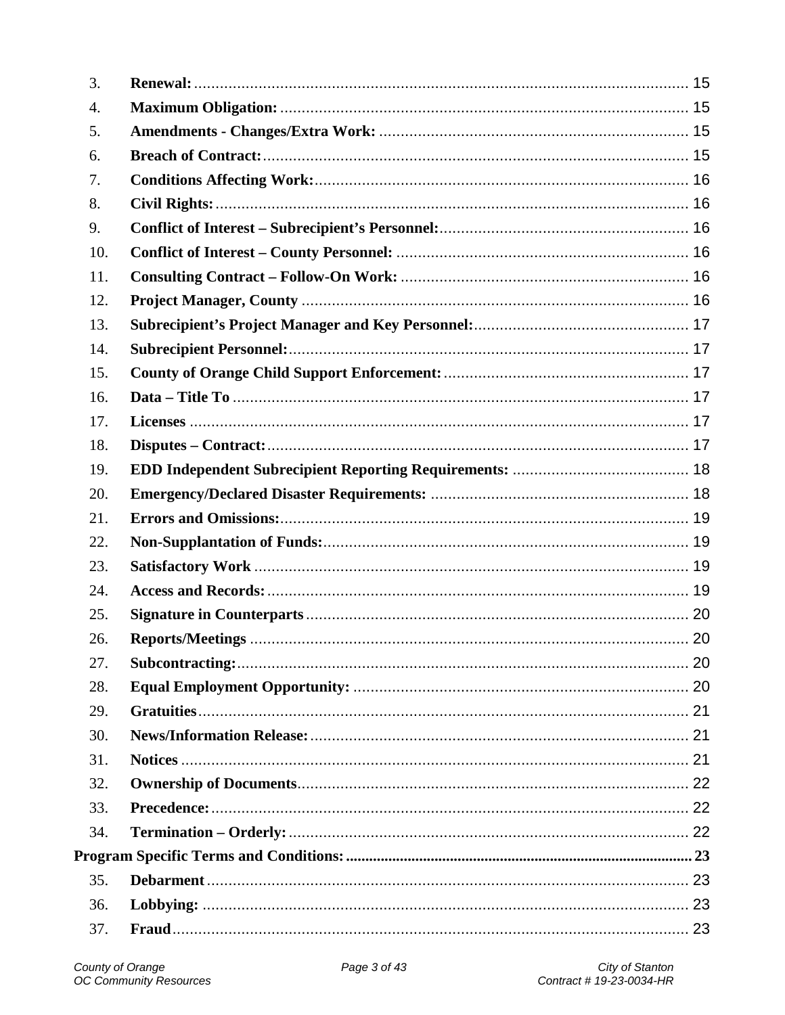| 3.  |  |
|-----|--|
| 4.  |  |
| 5.  |  |
| 6.  |  |
| 7.  |  |
| 8.  |  |
| 9.  |  |
| 10. |  |
| 11. |  |
| 12. |  |
| 13. |  |
| 14. |  |
| 15. |  |
| 16. |  |
| 17. |  |
| 18. |  |
| 19. |  |
| 20. |  |
| 21. |  |
| 22. |  |
| 23. |  |
| 24. |  |
| 25. |  |
| 26. |  |
| 27. |  |
| 28. |  |
| 29. |  |
| 30. |  |
| 31. |  |
| 32. |  |
| 33. |  |
| 34. |  |
|     |  |
| 35. |  |
| 36. |  |
| 37. |  |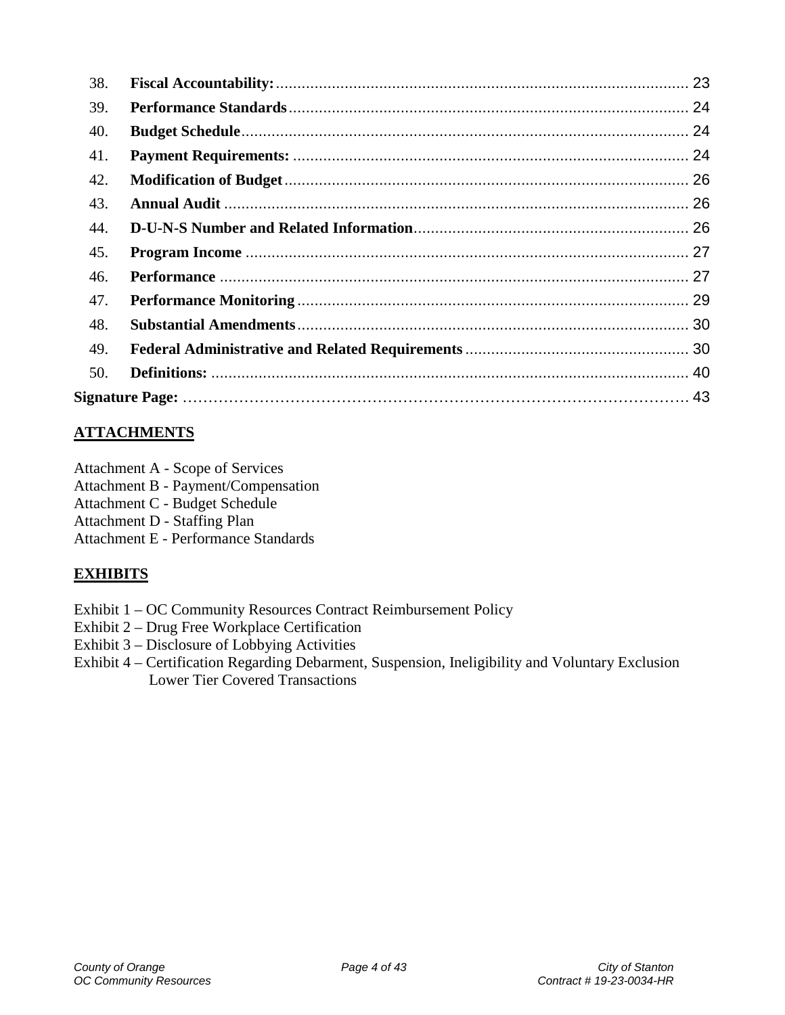| 38. |  |
|-----|--|
| 39. |  |
| 40. |  |
| 41. |  |
| 42. |  |
| 43. |  |
| 44. |  |
| 45. |  |
| 46. |  |
| 47. |  |
| 48. |  |
| 49. |  |
| 50. |  |
|     |  |

# **ATTACHMENTS**

- Attachment A Scope of Services
- Attachment B Payment/Compensation
- Attachment C Budget Schedule
- Attachment D Staffing Plan
- Attachment E Performance Standards

# **EXHIBITS**

- Exhibit 1 OC Community Resources Contract Reimbursement Policy
- Exhibit 2 Drug Free Workplace Certification
- Exhibit 3 Disclosure of Lobbying Activities
- Exhibit 4 Certification Regarding Debarment, Suspension, Ineligibility and Voluntary Exclusion Lower Tier Covered Transactions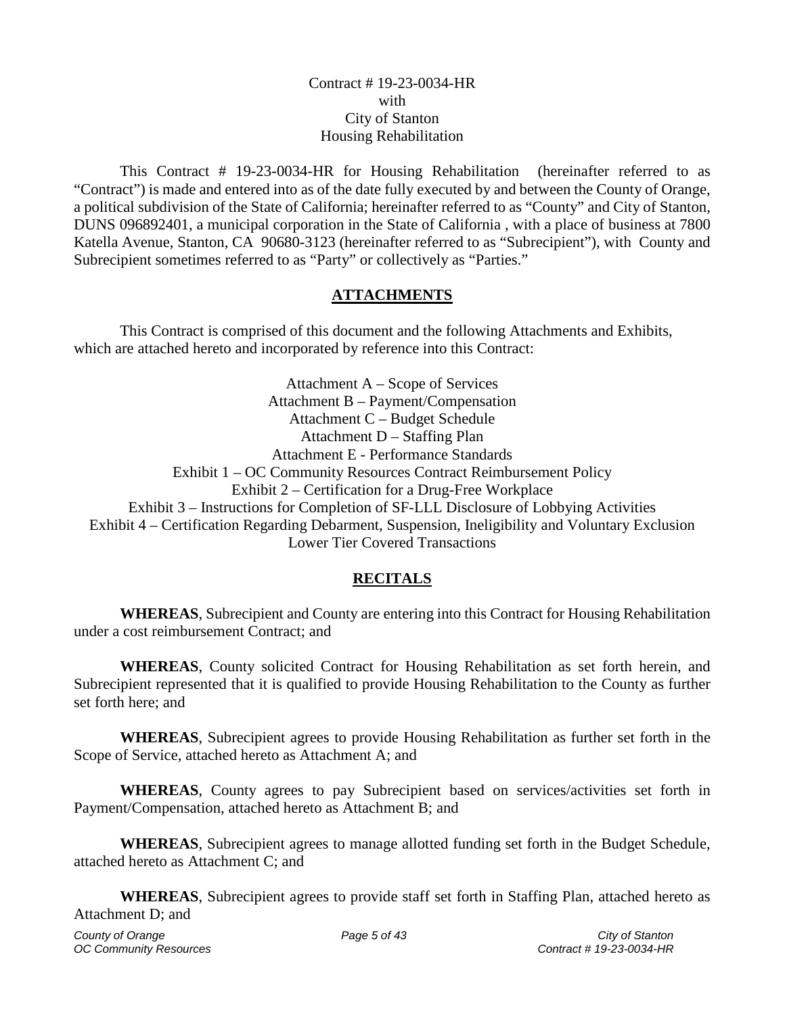#### Contract # 19-23-0034-HR with City of Stanton Housing Rehabilitation

This Contract # 19-23-0034-HR for Housing Rehabilitation (hereinafter referred to as "Contract") is made and entered into as of the date fully executed by and between the County of Orange, a political subdivision of the State of California; hereinafter referred to as "County" and City of Stanton, DUNS 096892401, a municipal corporation in the State of California , with a place of business at 7800 Katella Avenue, Stanton, CA 90680-3123 (hereinafter referred to as "Subrecipient"), with County and Subrecipient sometimes referred to as "Party" or collectively as "Parties."

## **ATTACHMENTS**

This Contract is comprised of this document and the following Attachments and Exhibits, which are attached hereto and incorporated by reference into this Contract:

Attachment A – Scope of Services Attachment B – Payment/Compensation Attachment C – Budget Schedule Attachment D – Staffing Plan Attachment E - Performance Standards Exhibit 1 – OC Community Resources Contract Reimbursement Policy Exhibit 2 – Certification for a Drug-Free Workplace Exhibit 3 – Instructions for Completion of SF-LLL Disclosure of Lobbying Activities Exhibit 4 – Certification Regarding Debarment, Suspension, Ineligibility and Voluntary Exclusion Lower Tier Covered Transactions

## **RECITALS**

<span id="page-4-0"></span>**WHEREAS**, Subrecipient and County are entering into this Contract for Housing Rehabilitation under a cost reimbursement Contract; and

**WHEREAS**, County solicited Contract for Housing Rehabilitation as set forth herein, and Subrecipient represented that it is qualified to provide Housing Rehabilitation to the County as further set forth here; and

**WHEREAS**, Subrecipient agrees to provide Housing Rehabilitation as further set forth in the Scope of Service, attached hereto as Attachment A; and

**WHEREAS**, County agrees to pay Subrecipient based on services/activities set forth in Payment/Compensation, attached hereto as Attachment B; and

**WHEREAS**, Subrecipient agrees to manage allotted funding set forth in the Budget Schedule, attached hereto as Attachment C; and

**WHEREAS**, Subrecipient agrees to provide staff set forth in Staffing Plan, attached hereto as Attachment D; and

*OC Community Resources*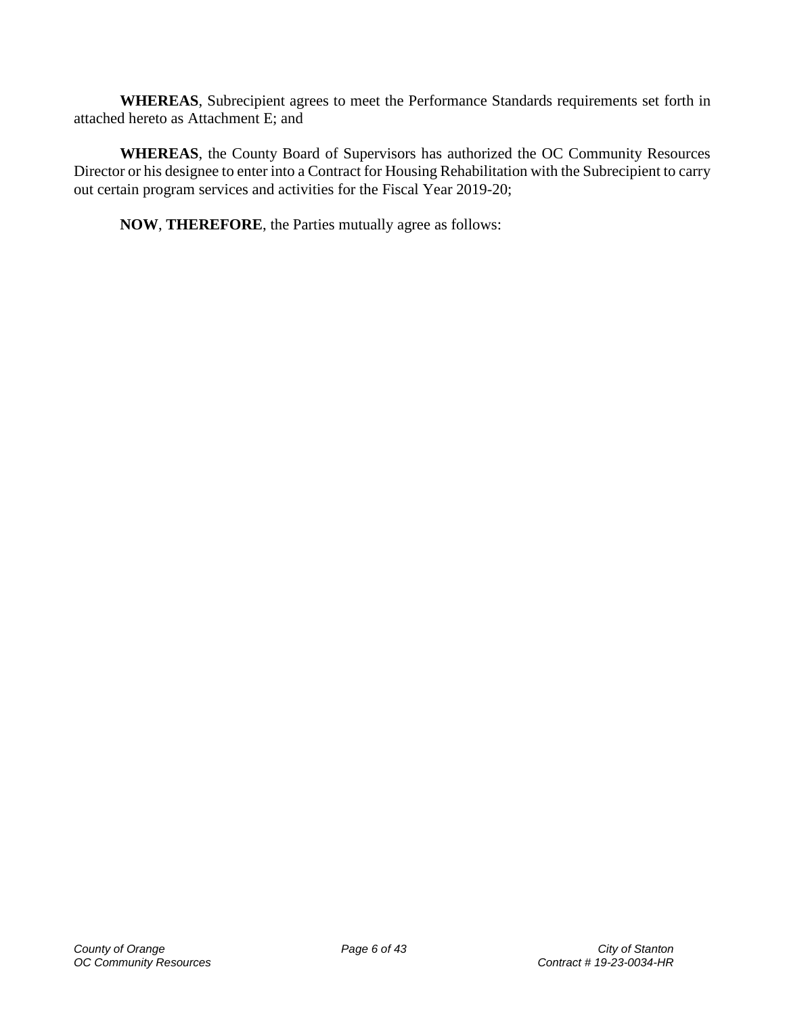**WHEREAS**, Subrecipient agrees to meet the Performance Standards requirements set forth in attached hereto as Attachment E; and

**WHEREAS**, the County Board of Supervisors has authorized the OC Community Resources Director or his designee to enter into a Contract for Housing Rehabilitation with the Subrecipient to carry out certain program services and activities for the Fiscal Year 2019-20;

**NOW**, **THEREFORE**, the Parties mutually agree as follows: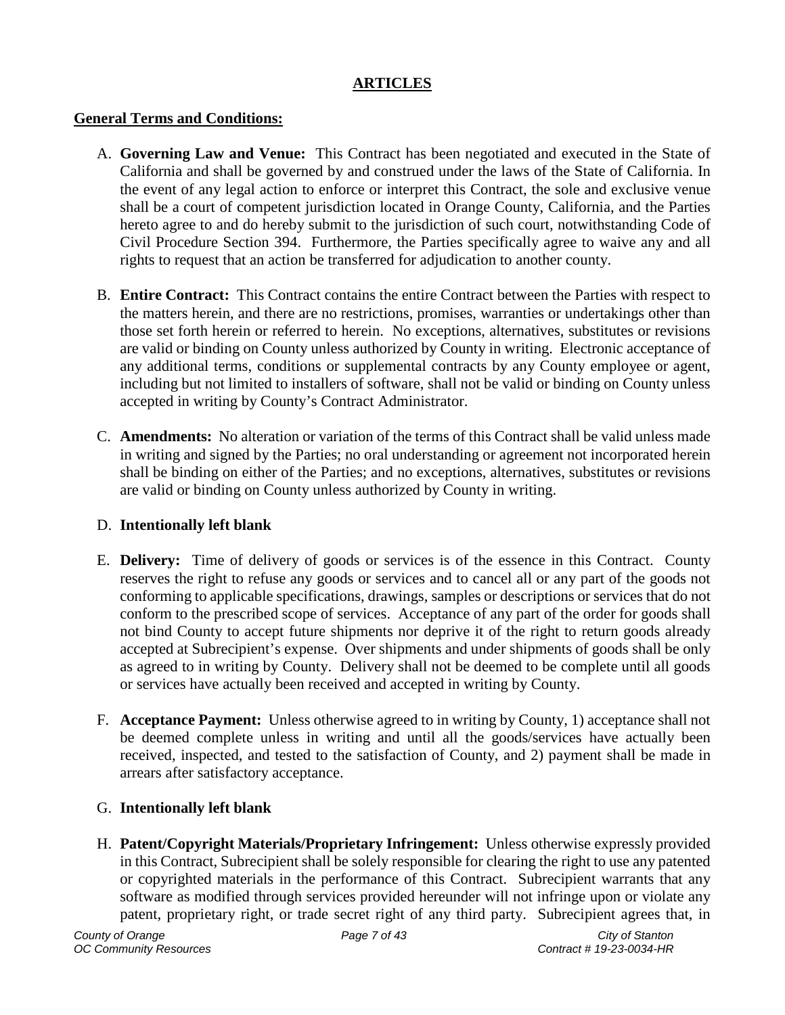### **ARTICLES**

### <span id="page-6-0"></span>**General Terms and Conditions:**

- <span id="page-6-1"></span>A. **Governing Law and Venue:** This Contract has been negotiated and executed in the State of California and shall be governed by and construed under the laws of the State of California. In the event of any legal action to enforce or interpret this Contract, the sole and exclusive venue shall be a court of competent jurisdiction located in Orange County, California, and the Parties hereto agree to and do hereby submit to the jurisdiction of such court, notwithstanding Code of Civil Procedure Section 394. Furthermore, the Parties specifically agree to waive any and all rights to request that an action be transferred for adjudication to another county.
- <span id="page-6-2"></span>B. **Entire Contract:** This Contract contains the entire Contract between the Parties with respect to the matters herein, and there are no restrictions, promises, warranties or undertakings other than those set forth herein or referred to herein. No exceptions, alternatives, substitutes or revisions are valid or binding on County unless authorized by County in writing. Electronic acceptance of any additional terms, conditions or supplemental contracts by any County employee or agent, including but not limited to installers of software, shall not be valid or binding on County unless accepted in writing by County's Contract Administrator.
- <span id="page-6-3"></span>C. **Amendments:** No alteration or variation of the terms of this Contract shall be valid unless made in writing and signed by the Parties; no oral understanding or agreement not incorporated herein shall be binding on either of the Parties; and no exceptions, alternatives, substitutes or revisions are valid or binding on County unless authorized by County in writing.

### <span id="page-6-4"></span>D. **Intentionally left blank**

- <span id="page-6-5"></span>E. **Delivery:** Time of delivery of goods or services is of the essence in this Contract. County reserves the right to refuse any goods or services and to cancel all or any part of the goods not conforming to applicable specifications, drawings, samples or descriptions or services that do not conform to the prescribed scope of services. Acceptance of any part of the order for goods shall not bind County to accept future shipments nor deprive it of the right to return goods already accepted at Subrecipient's expense. Over shipments and under shipments of goods shall be only as agreed to in writing by County. Delivery shall not be deemed to be complete until all goods or services have actually been received and accepted in writing by County.
- <span id="page-6-6"></span>F. **Acceptance Payment:** Unless otherwise agreed to in writing by County, 1) acceptance shall not be deemed complete unless in writing and until all the goods/services have actually been received, inspected, and tested to the satisfaction of County, and 2) payment shall be made in arrears after satisfactory acceptance.

### <span id="page-6-7"></span>G. **Intentionally left blank**

<span id="page-6-8"></span>H. **Patent/Copyright Materials/Proprietary Infringement:** Unless otherwise expressly provided in this Contract, Subrecipient shall be solely responsible for clearing the right to use any patented or copyrighted materials in the performance of this Contract. Subrecipient warrants that any software as modified through services provided hereunder will not infringe upon or violate any patent, proprietary right, or trade secret right of any third party. Subrecipient agrees that, in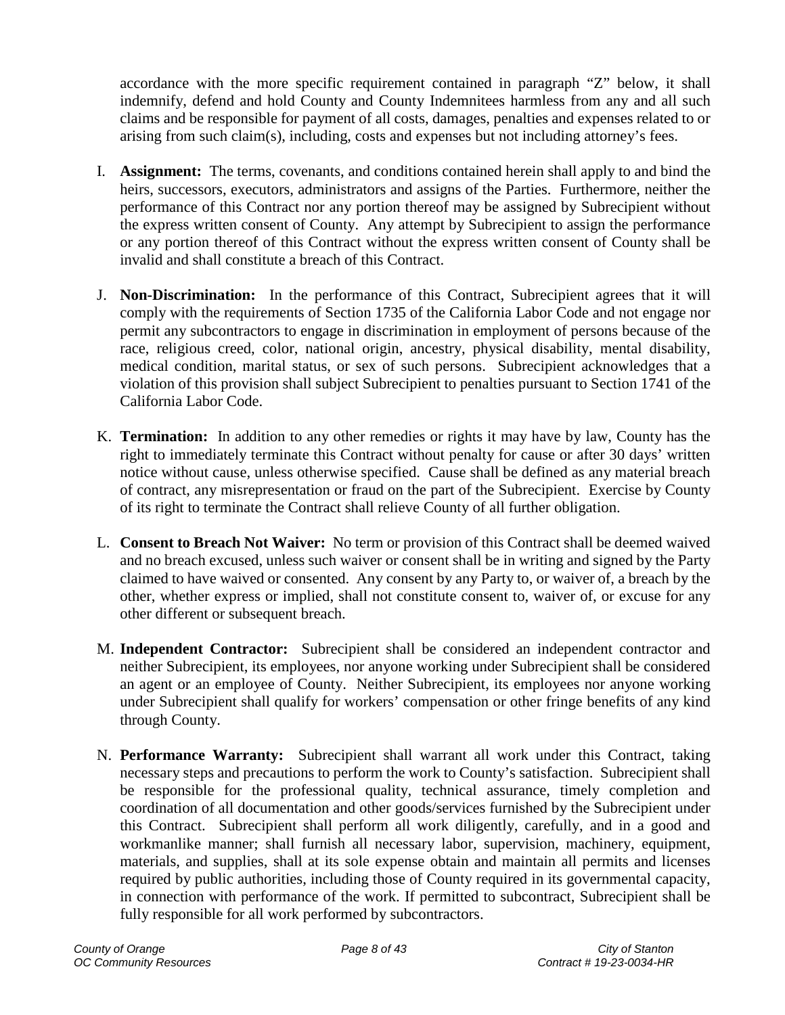accordance with the more specific requirement contained in paragraph "Z" below, it shall indemnify, defend and hold County and County Indemnitees harmless from any and all such claims and be responsible for payment of all costs, damages, penalties and expenses related to or arising from such claim(s), including, costs and expenses but not including attorney's fees.

- <span id="page-7-0"></span>I. **Assignment:** The terms, covenants, and conditions contained herein shall apply to and bind the heirs, successors, executors, administrators and assigns of the Parties. Furthermore, neither the performance of this Contract nor any portion thereof may be assigned by Subrecipient without the express written consent of County. Any attempt by Subrecipient to assign the performance or any portion thereof of this Contract without the express written consent of County shall be invalid and shall constitute a breach of this Contract.
- <span id="page-7-1"></span>J. **Non-Discrimination:** In the performance of this Contract, Subrecipient agrees that it will comply with the requirements of Section 1735 of the California Labor Code and not engage nor permit any subcontractors to engage in discrimination in employment of persons because of the race, religious creed, color, national origin, ancestry, physical disability, mental disability, medical condition, marital status, or sex of such persons. Subrecipient acknowledges that a violation of this provision shall subject Subrecipient to penalties pursuant to Section 1741 of the California Labor Code.
- <span id="page-7-2"></span>K. **Termination:** In addition to any other remedies or rights it may have by law, County has the right to immediately terminate this Contract without penalty for cause or after 30 days' written notice without cause, unless otherwise specified. Cause shall be defined as any material breach of contract, any misrepresentation or fraud on the part of the Subrecipient. Exercise by County of its right to terminate the Contract shall relieve County of all further obligation.
- <span id="page-7-3"></span>L. **Consent to Breach Not Waiver:** No term or provision of this Contract shall be deemed waived and no breach excused, unless such waiver or consent shall be in writing and signed by the Party claimed to have waived or consented. Any consent by any Party to, or waiver of, a breach by the other, whether express or implied, shall not constitute consent to, waiver of, or excuse for any other different or subsequent breach.
- <span id="page-7-4"></span>M. **Independent Contractor:** Subrecipient shall be considered an independent contractor and neither Subrecipient, its employees, nor anyone working under Subrecipient shall be considered an agent or an employee of County. Neither Subrecipient, its employees nor anyone working under Subrecipient shall qualify for workers' compensation or other fringe benefits of any kind through County.
- <span id="page-7-5"></span>N. **Performance Warranty:** Subrecipient shall warrant all work under this Contract, taking necessary steps and precautions to perform the work to County's satisfaction. Subrecipient shall be responsible for the professional quality, technical assurance, timely completion and coordination of all documentation and other goods/services furnished by the Subrecipient under this Contract. Subrecipient shall perform all work diligently, carefully, and in a good and workmanlike manner; shall furnish all necessary labor, supervision, machinery, equipment, materials, and supplies, shall at its sole expense obtain and maintain all permits and licenses required by public authorities, including those of County required in its governmental capacity, in connection with performance of the work. If permitted to subcontract, Subrecipient shall be fully responsible for all work performed by subcontractors.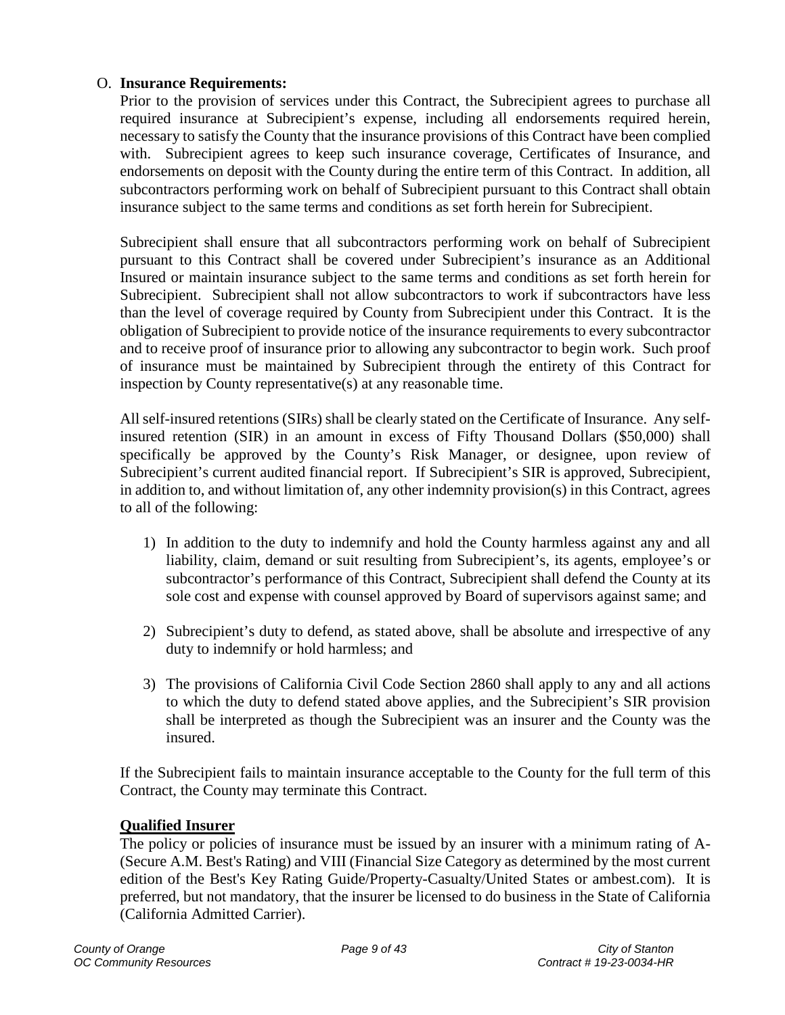### <span id="page-8-0"></span>O. **Insurance Requirements:**

Prior to the provision of services under this Contract, the Subrecipient agrees to purchase all required insurance at Subrecipient's expense, including all endorsements required herein, necessary to satisfy the County that the insurance provisions of this Contract have been complied with. Subrecipient agrees to keep such insurance coverage, Certificates of Insurance, and endorsements on deposit with the County during the entire term of this Contract. In addition, all subcontractors performing work on behalf of Subrecipient pursuant to this Contract shall obtain insurance subject to the same terms and conditions as set forth herein for Subrecipient.

Subrecipient shall ensure that all subcontractors performing work on behalf of Subrecipient pursuant to this Contract shall be covered under Subrecipient's insurance as an Additional Insured or maintain insurance subject to the same terms and conditions as set forth herein for Subrecipient. Subrecipient shall not allow subcontractors to work if subcontractors have less than the level of coverage required by County from Subrecipient under this Contract. It is the obligation of Subrecipient to provide notice of the insurance requirements to every subcontractor and to receive proof of insurance prior to allowing any subcontractor to begin work. Such proof of insurance must be maintained by Subrecipient through the entirety of this Contract for inspection by County representative(s) at any reasonable time.

All self-insured retentions (SIRs) shall be clearly stated on the Certificate of Insurance. Any selfinsured retention (SIR) in an amount in excess of Fifty Thousand Dollars (\$50,000) shall specifically be approved by the County's Risk Manager, or designee, upon review of Subrecipient's current audited financial report. If Subrecipient's SIR is approved, Subrecipient, in addition to, and without limitation of, any other indemnity provision(s) in this Contract, agrees to all of the following:

- 1) In addition to the duty to indemnify and hold the County harmless against any and all liability, claim, demand or suit resulting from Subrecipient's, its agents, employee's or subcontractor's performance of this Contract, Subrecipient shall defend the County at its sole cost and expense with counsel approved by Board of supervisors against same; and
- 2) Subrecipient's duty to defend, as stated above, shall be absolute and irrespective of any duty to indemnify or hold harmless; and
- 3) The provisions of California Civil Code Section 2860 shall apply to any and all actions to which the duty to defend stated above applies, and the Subrecipient's SIR provision shall be interpreted as though the Subrecipient was an insurer and the County was the insured.

If the Subrecipient fails to maintain insurance acceptable to the County for the full term of this Contract, the County may terminate this Contract.

### **Qualified Insurer**

The policy or policies of insurance must be issued by an insurer with a minimum rating of A- (Secure A.M. Best's Rating) and VIII (Financial Size Category as determined by the most current edition of the Best's Key Rating Guide/Property-Casualty/United States or ambest.com). It is preferred, but not mandatory, that the insurer be licensed to do business in the State of California (California Admitted Carrier).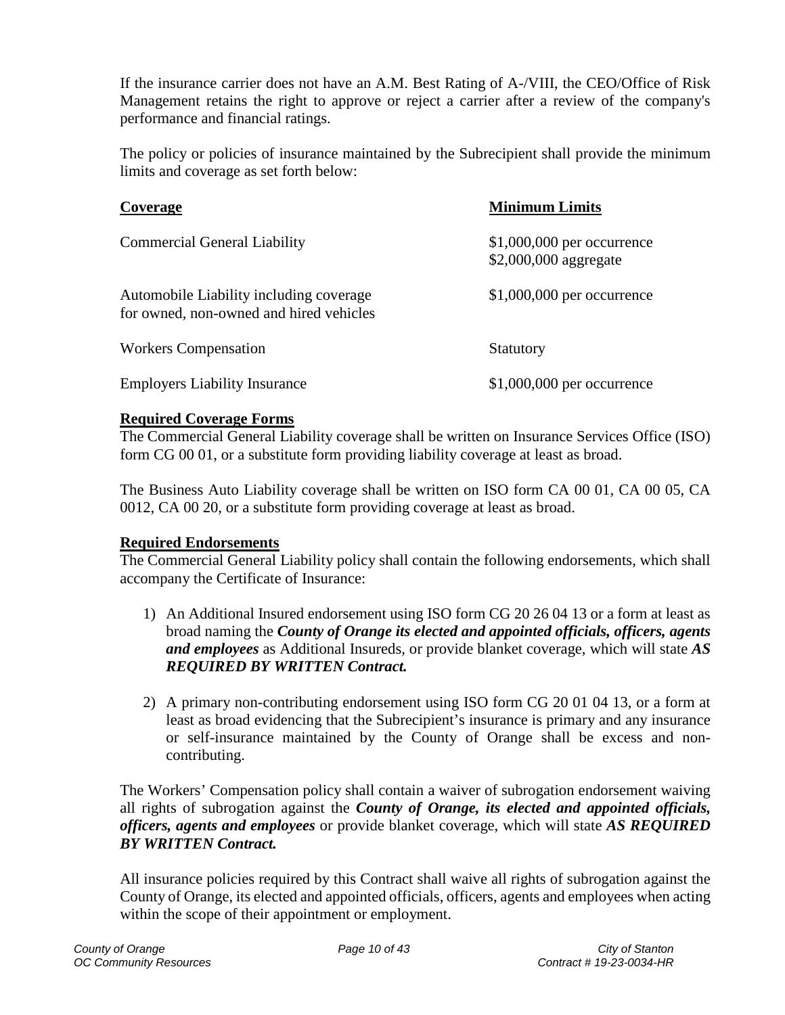If the insurance carrier does not have an A.M. Best Rating of A-/VIII, the CEO/Office of Risk Management retains the right to approve or reject a carrier after a review of the company's performance and financial ratings.

The policy or policies of insurance maintained by the Subrecipient shall provide the minimum limits and coverage as set forth below:

| Coverage                                                                           | <b>Minimum Limits</b>                                |
|------------------------------------------------------------------------------------|------------------------------------------------------|
| <b>Commercial General Liability</b>                                                | $$1,000,000$ per occurrence<br>\$2,000,000 aggregate |
| Automobile Liability including coverage<br>for owned, non-owned and hired vehicles | $$1,000,000$ per occurrence                          |
| <b>Workers Compensation</b>                                                        | Statutory                                            |
| <b>Employers Liability Insurance</b>                                               | $$1,000,000$ per occurrence                          |

### **Required Coverage Forms**

The Commercial General Liability coverage shall be written on Insurance Services Office (ISO) form CG 00 01, or a substitute form providing liability coverage at least as broad.

The Business Auto Liability coverage shall be written on ISO form CA 00 01, CA 00 05, CA 0012, CA 00 20, or a substitute form providing coverage at least as broad.

### **Required Endorsements**

The Commercial General Liability policy shall contain the following endorsements, which shall accompany the Certificate of Insurance:

- 1) An Additional Insured endorsement using ISO form CG 20 26 04 13 or a form at least as broad naming the *County of Orange its elected and appointed officials, officers, agents and employees* as Additional Insureds, or provide blanket coverage, which will state *AS REQUIRED BY WRITTEN Contract.*
- 2) A primary non-contributing endorsement using ISO form CG 20 01 04 13, or a form at least as broad evidencing that the Subrecipient's insurance is primary and any insurance or self-insurance maintained by the County of Orange shall be excess and noncontributing.

The Workers' Compensation policy shall contain a waiver of subrogation endorsement waiving all rights of subrogation against the *County of Orange, its elected and appointed officials, officers, agents and employees* or provide blanket coverage, which will state *AS REQUIRED BY WRITTEN Contract.* 

All insurance policies required by this Contract shall waive all rights of subrogation against the County of Orange, its elected and appointed officials, officers, agents and employees when acting within the scope of their appointment or employment.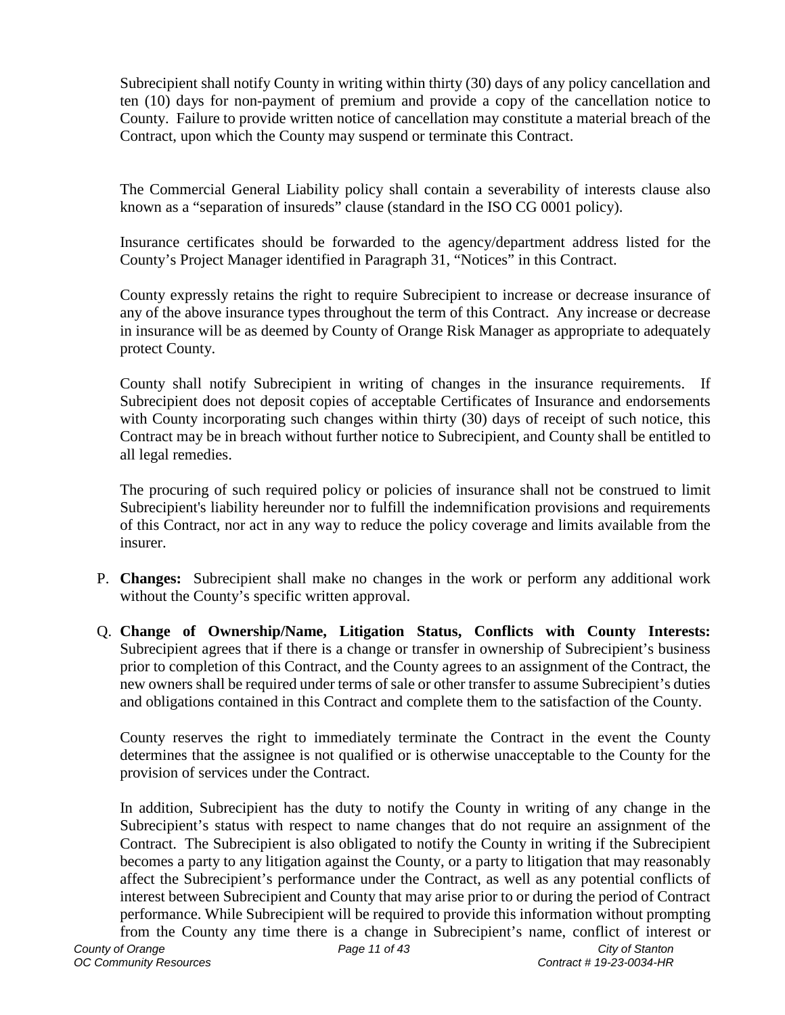Subrecipient shall notify County in writing within thirty (30) days of any policy cancellation and ten (10) days for non-payment of premium and provide a copy of the cancellation notice to County. Failure to provide written notice of cancellation may constitute a material breach of the Contract, upon which the County may suspend or terminate this Contract.

The Commercial General Liability policy shall contain a severability of interests clause also known as a "separation of insureds" clause (standard in the ISO CG 0001 policy).

Insurance certificates should be forwarded to the agency/department address listed for the County's Project Manager identified in Paragraph 31, "Notices" in this Contract.

County expressly retains the right to require Subrecipient to increase or decrease insurance of any of the above insurance types throughout the term of this Contract. Any increase or decrease in insurance will be as deemed by County of Orange Risk Manager as appropriate to adequately protect County.

County shall notify Subrecipient in writing of changes in the insurance requirements. If Subrecipient does not deposit copies of acceptable Certificates of Insurance and endorsements with County incorporating such changes within thirty (30) days of receipt of such notice, this Contract may be in breach without further notice to Subrecipient, and County shall be entitled to all legal remedies.

The procuring of such required policy or policies of insurance shall not be construed to limit Subrecipient's liability hereunder nor to fulfill the indemnification provisions and requirements of this Contract, nor act in any way to reduce the policy coverage and limits available from the insurer.

- <span id="page-10-0"></span>P. **Changes:** Subrecipient shall make no changes in the work or perform any additional work without the County's specific written approval.
- <span id="page-10-1"></span>Q. **Change of Ownership/Name, Litigation Status, Conflicts with County Interests:** Subrecipient agrees that if there is a change or transfer in ownership of Subrecipient's business prior to completion of this Contract, and the County agrees to an assignment of the Contract, the new owners shall be required under terms of sale or other transfer to assume Subrecipient's duties and obligations contained in this Contract and complete them to the satisfaction of the County.

County reserves the right to immediately terminate the Contract in the event the County determines that the assignee is not qualified or is otherwise unacceptable to the County for the provision of services under the Contract.

In addition, Subrecipient has the duty to notify the County in writing of any change in the Subrecipient's status with respect to name changes that do not require an assignment of the Contract. The Subrecipient is also obligated to notify the County in writing if the Subrecipient becomes a party to any litigation against the County, or a party to litigation that may reasonably affect the Subrecipient's performance under the Contract, as well as any potential conflicts of interest between Subrecipient and County that may arise prior to or during the period of Contract performance. While Subrecipient will be required to provide this information without prompting from the County any time there is a change in Subrecipient's name, conflict of interest or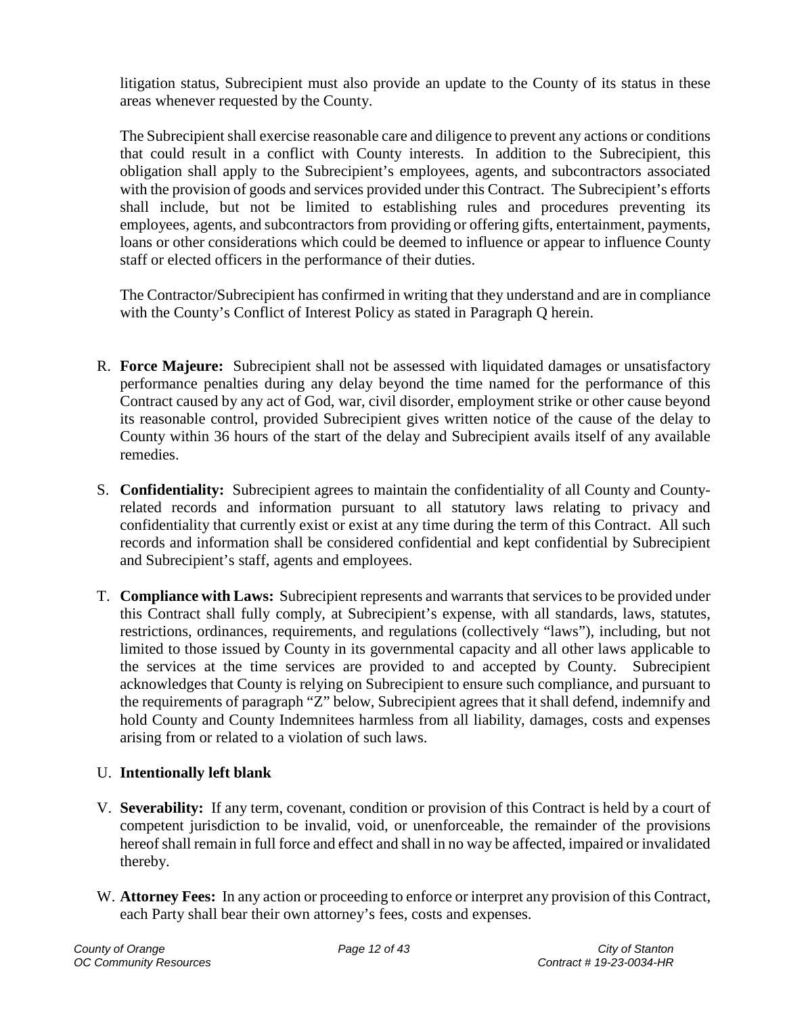litigation status, Subrecipient must also provide an update to the County of its status in these areas whenever requested by the County.

The Subrecipient shall exercise reasonable care and diligence to prevent any actions or conditions that could result in a conflict with County interests. In addition to the Subrecipient, this obligation shall apply to the Subrecipient's employees, agents, and subcontractors associated with the provision of goods and services provided under this Contract. The Subrecipient's efforts shall include, but not be limited to establishing rules and procedures preventing its employees, agents, and subcontractors from providing or offering gifts, entertainment, payments, loans or other considerations which could be deemed to influence or appear to influence County staff or elected officers in the performance of their duties.

The Contractor/Subrecipient has confirmed in writing that they understand and are in compliance with the County's Conflict of Interest Policy as stated in Paragraph Q herein.

- <span id="page-11-0"></span>R. **Force Majeure:** Subrecipient shall not be assessed with liquidated damages or unsatisfactory performance penalties during any delay beyond the time named for the performance of this Contract caused by any act of God, war, civil disorder, employment strike or other cause beyond its reasonable control, provided Subrecipient gives written notice of the cause of the delay to County within 36 hours of the start of the delay and Subrecipient avails itself of any available remedies.
- <span id="page-11-1"></span>S. **Confidentiality:** Subrecipient agrees to maintain the confidentiality of all County and Countyrelated records and information pursuant to all statutory laws relating to privacy and confidentiality that currently exist or exist at any time during the term of this Contract. All such records and information shall be considered confidential and kept confidential by Subrecipient and Subrecipient's staff, agents and employees.
- <span id="page-11-2"></span>T. **Compliance with Laws:** Subrecipient represents and warrants that services to be provided under this Contract shall fully comply, at Subrecipient's expense, with all standards, laws, statutes, restrictions, ordinances, requirements, and regulations (collectively "laws"), including, but not limited to those issued by County in its governmental capacity and all other laws applicable to the services at the time services are provided to and accepted by County. Subrecipient acknowledges that County is relying on Subrecipient to ensure such compliance, and pursuant to the requirements of paragraph "Z" below, Subrecipient agrees that it shall defend, indemnify and hold County and County Indemnitees harmless from all liability, damages, costs and expenses arising from or related to a violation of such laws.

## <span id="page-11-3"></span>U. **Intentionally left blank**

- <span id="page-11-4"></span>V. **Severability:** If any term, covenant, condition or provision of this Contract is held by a court of competent jurisdiction to be invalid, void, or unenforceable, the remainder of the provisions hereof shall remain in full force and effect and shall in no way be affected, impaired or invalidated thereby.
- <span id="page-11-5"></span>W. **Attorney Fees:** In any action or proceeding to enforce or interpret any provision of this Contract, each Party shall bear their own attorney's fees, costs and expenses.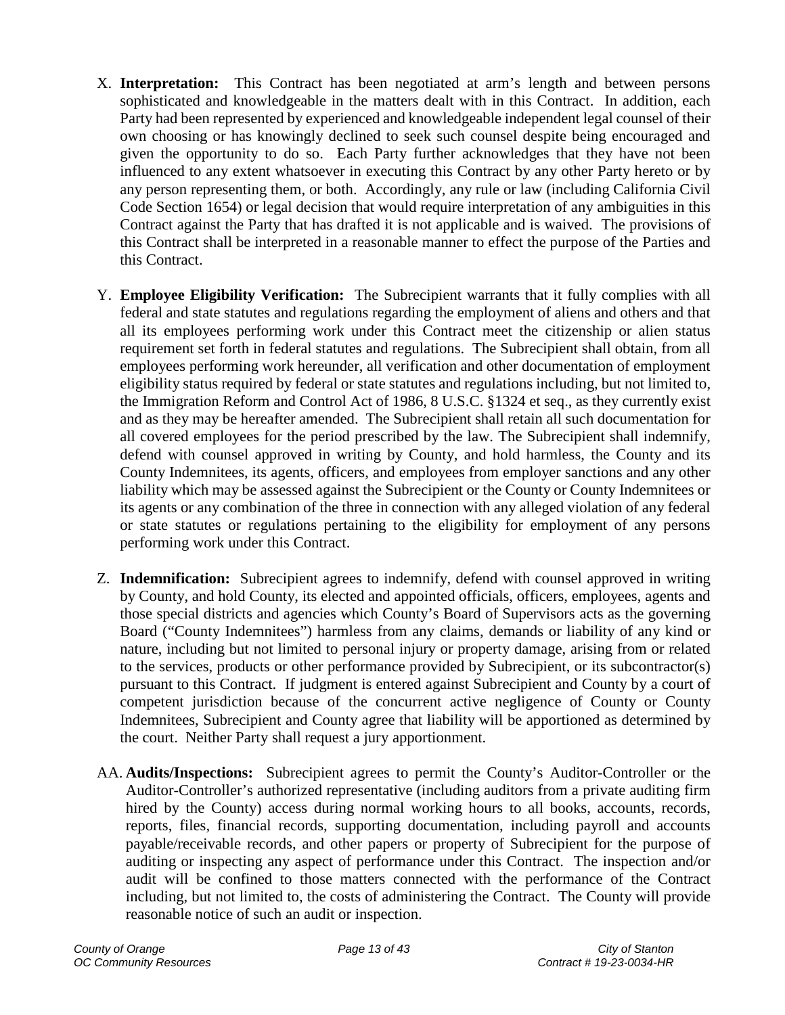- <span id="page-12-0"></span>X. **Interpretation:** This Contract has been negotiated at arm's length and between persons sophisticated and knowledgeable in the matters dealt with in this Contract. In addition, each Party had been represented by experienced and knowledgeable independent legal counsel of their own choosing or has knowingly declined to seek such counsel despite being encouraged and given the opportunity to do so. Each Party further acknowledges that they have not been influenced to any extent whatsoever in executing this Contract by any other Party hereto or by any person representing them, or both. Accordingly, any rule or law (including California Civil Code Section 1654) or legal decision that would require interpretation of any ambiguities in this Contract against the Party that has drafted it is not applicable and is waived. The provisions of this Contract shall be interpreted in a reasonable manner to effect the purpose of the Parties and this Contract.
- <span id="page-12-1"></span>Y. **Employee Eligibility Verification:** The Subrecipient warrants that it fully complies with all federal and state statutes and regulations regarding the employment of aliens and others and that all its employees performing work under this Contract meet the citizenship or alien status requirement set forth in federal statutes and regulations. The Subrecipient shall obtain, from all employees performing work hereunder, all verification and other documentation of employment eligibility status required by federal or state statutes and regulations including, but not limited to, the Immigration Reform and Control Act of 1986, 8 U.S.C. §1324 et seq., as they currently exist and as they may be hereafter amended. The Subrecipient shall retain all such documentation for all covered employees for the period prescribed by the law. The Subrecipient shall indemnify, defend with counsel approved in writing by County, and hold harmless, the County and its County Indemnitees, its agents, officers, and employees from employer sanctions and any other liability which may be assessed against the Subrecipient or the County or County Indemnitees or its agents or any combination of the three in connection with any alleged violation of any federal or state statutes or regulations pertaining to the eligibility for employment of any persons performing work under this Contract.
- <span id="page-12-2"></span>Z. **Indemnification:** Subrecipient agrees to indemnify, defend with counsel approved in writing by County, and hold County, its elected and appointed officials, officers, employees, agents and those special districts and agencies which County's Board of Supervisors acts as the governing Board ("County Indemnitees") harmless from any claims, demands or liability of any kind or nature, including but not limited to personal injury or property damage, arising from or related to the services, products or other performance provided by Subrecipient, or its subcontractor(s) pursuant to this Contract. If judgment is entered against Subrecipient and County by a court of competent jurisdiction because of the concurrent active negligence of County or County Indemnitees, Subrecipient and County agree that liability will be apportioned as determined by the court. Neither Party shall request a jury apportionment.
- <span id="page-12-3"></span>AA. **Audits/Inspections:** Subrecipient agrees to permit the County's Auditor-Controller or the Auditor-Controller's authorized representative (including auditors from a private auditing firm hired by the County) access during normal working hours to all books, accounts, records, reports, files, financial records, supporting documentation, including payroll and accounts payable/receivable records, and other papers or property of Subrecipient for the purpose of auditing or inspecting any aspect of performance under this Contract. The inspection and/or audit will be confined to those matters connected with the performance of the Contract including, but not limited to, the costs of administering the Contract. The County will provide reasonable notice of such an audit or inspection.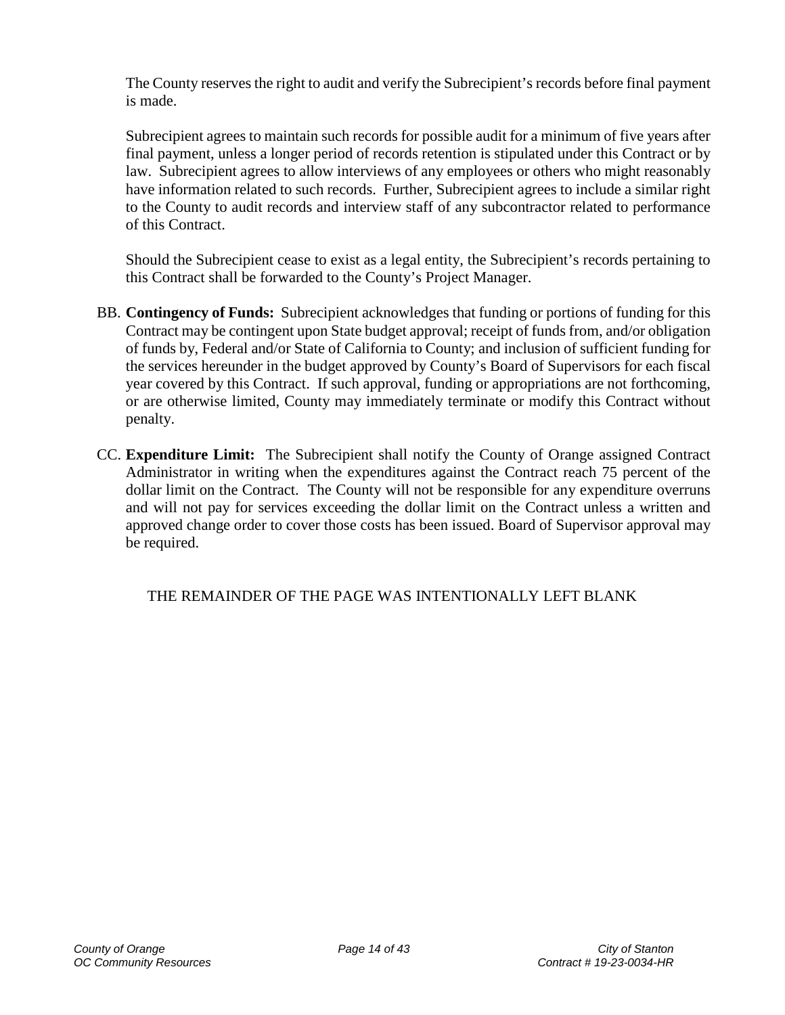The County reserves the right to audit and verify the Subrecipient's records before final payment is made.

Subrecipient agrees to maintain such records for possible audit for a minimum of five years after final payment, unless a longer period of records retention is stipulated under this Contract or by law. Subrecipient agrees to allow interviews of any employees or others who might reasonably have information related to such records. Further, Subrecipient agrees to include a similar right to the County to audit records and interview staff of any subcontractor related to performance of this Contract.

Should the Subrecipient cease to exist as a legal entity, the Subrecipient's records pertaining to this Contract shall be forwarded to the County's Project Manager.

- <span id="page-13-0"></span>BB. **Contingency of Funds:** Subrecipient acknowledges that funding or portions of funding for this Contract may be contingent upon State budget approval; receipt of funds from, and/or obligation of funds by, Federal and/or State of California to County; and inclusion of sufficient funding for the services hereunder in the budget approved by County's Board of Supervisors for each fiscal year covered by this Contract. If such approval, funding or appropriations are not forthcoming, or are otherwise limited, County may immediately terminate or modify this Contract without penalty.
- <span id="page-13-1"></span>CC. **Expenditure Limit:** The Subrecipient shall notify the County of Orange assigned Contract Administrator in writing when the expenditures against the Contract reach 75 percent of the dollar limit on the Contract. The County will not be responsible for any expenditure overruns and will not pay for services exceeding the dollar limit on the Contract unless a written and approved change order to cover those costs has been issued. Board of Supervisor approval may be required.

THE REMAINDER OF THE PAGE WAS INTENTIONALLY LEFT BLANK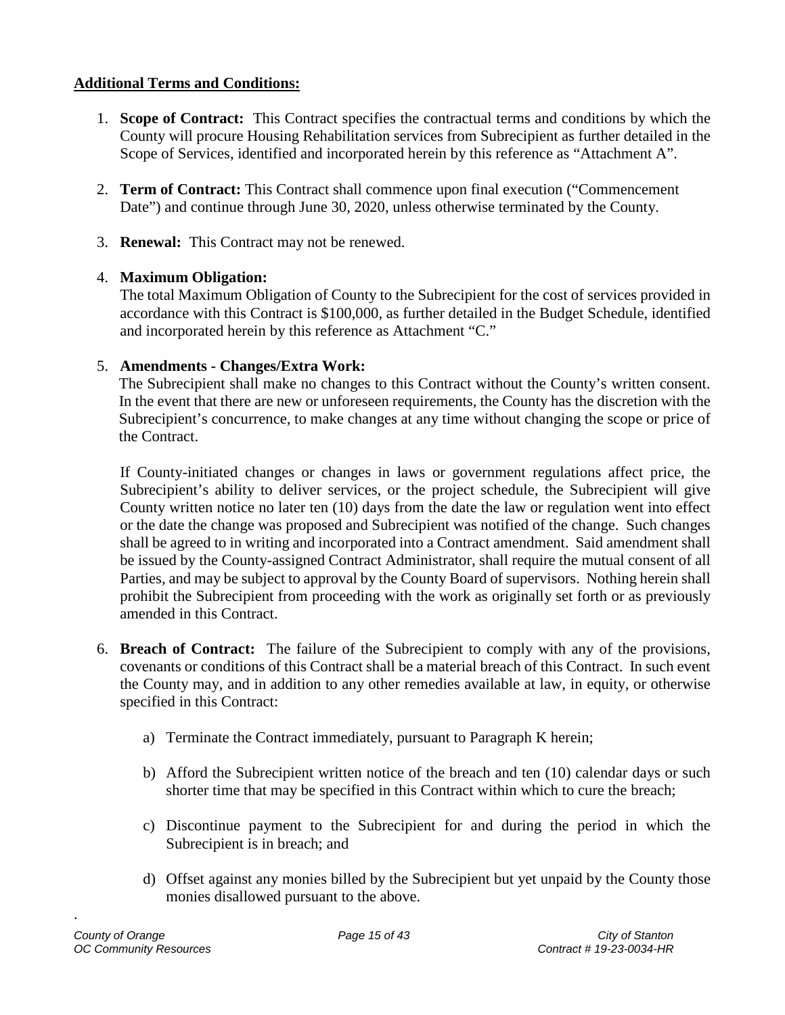## <span id="page-14-0"></span>**Additional Terms and Conditions:**

- <span id="page-14-1"></span>1. **Scope of Contract:** This Contract specifies the contractual terms and conditions by which the County will procure Housing Rehabilitation services from Subrecipient as further detailed in the Scope of Services, identified and incorporated herein by this reference as "Attachment A".
- <span id="page-14-2"></span>2. **Term of Contract:** This Contract shall commence upon final execution ("Commencement Date") and continue through June 30, 2020, unless otherwise terminated by the County.
- <span id="page-14-3"></span>3. **Renewal:** This Contract may not be renewed.

## <span id="page-14-4"></span>4. **Maximum Obligation:**

The total Maximum Obligation of County to the Subrecipient for the cost of services provided in accordance with this Contract is \$100,000, as further detailed in the Budget Schedule, identified and incorporated herein by this reference as Attachment "C."

## <span id="page-14-5"></span>5. **Amendments - Changes/Extra Work:**

The Subrecipient shall make no changes to this Contract without the County's written consent. In the event that there are new or unforeseen requirements, the County has the discretion with the Subrecipient's concurrence, to make changes at any time without changing the scope or price of the Contract.

If County-initiated changes or changes in laws or government regulations affect price, the Subrecipient's ability to deliver services, or the project schedule, the Subrecipient will give County written notice no later ten (10) days from the date the law or regulation went into effect or the date the change was proposed and Subrecipient was notified of the change. Such changes shall be agreed to in writing and incorporated into a Contract amendment. Said amendment shall be issued by the County-assigned Contract Administrator, shall require the mutual consent of all Parties, and may be subject to approval by the County Board of supervisors. Nothing herein shall prohibit the Subrecipient from proceeding with the work as originally set forth or as previously amended in this Contract.

- <span id="page-14-6"></span>6. **Breach of Contract:** The failure of the Subrecipient to comply with any of the provisions, covenants or conditions of this Contract shall be a material breach of this Contract. In such event the County may, and in addition to any other remedies available at law, in equity, or otherwise specified in this Contract:
	- a) Terminate the Contract immediately, pursuant to Paragraph K herein;
	- b) Afford the Subrecipient written notice of the breach and ten (10) calendar days or such shorter time that may be specified in this Contract within which to cure the breach;
	- c) Discontinue payment to the Subrecipient for and during the period in which the Subrecipient is in breach; and
	- d) Offset against any monies billed by the Subrecipient but yet unpaid by the County those monies disallowed pursuant to the above.

.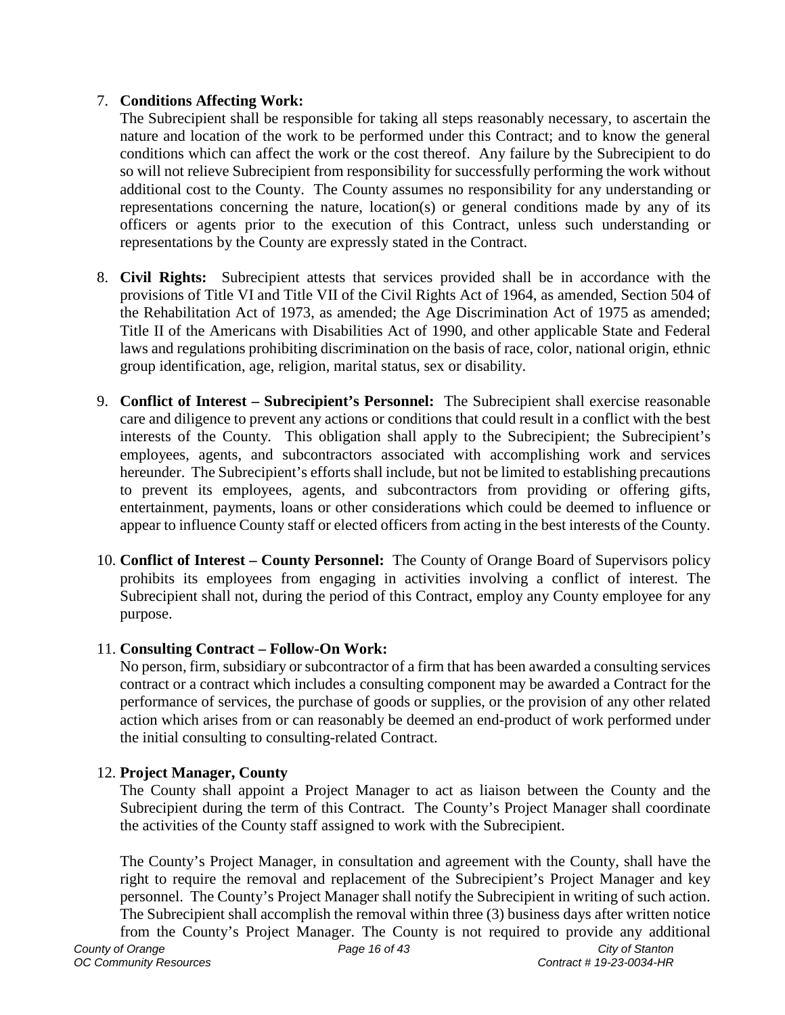### <span id="page-15-0"></span>7. **Conditions Affecting Work:**

The Subrecipient shall be responsible for taking all steps reasonably necessary, to ascertain the nature and location of the work to be performed under this Contract; and to know the general conditions which can affect the work or the cost thereof. Any failure by the Subrecipient to do so will not relieve Subrecipient from responsibility for successfully performing the work without additional cost to the County. The County assumes no responsibility for any understanding or representations concerning the nature, location(s) or general conditions made by any of its officers or agents prior to the execution of this Contract, unless such understanding or representations by the County are expressly stated in the Contract.

- <span id="page-15-1"></span>8. **Civil Rights:** Subrecipient attests that services provided shall be in accordance with the provisions of Title VI and Title VII of the Civil Rights Act of 1964, as amended, Section 504 of the Rehabilitation Act of 1973, as amended; the Age Discrimination Act of 1975 as amended; Title II of the Americans with Disabilities Act of 1990, and other applicable State and Federal laws and regulations prohibiting discrimination on the basis of race, color, national origin, ethnic group identification, age, religion, marital status, sex or disability.
- <span id="page-15-2"></span>9. **Conflict of Interest – Subrecipient's Personnel:** The Subrecipient shall exercise reasonable care and diligence to prevent any actions or conditions that could result in a conflict with the best interests of the County. This obligation shall apply to the Subrecipient; the Subrecipient's employees, agents, and subcontractors associated with accomplishing work and services hereunder. The Subrecipient's efforts shall include, but not be limited to establishing precautions to prevent its employees, agents, and subcontractors from providing or offering gifts, entertainment, payments, loans or other considerations which could be deemed to influence or appear to influence County staff or elected officers from acting in the best interests of the County.
- <span id="page-15-3"></span>10. **Conflict of Interest – County Personnel:** The County of Orange Board of Supervisors policy prohibits its employees from engaging in activities involving a conflict of interest. The Subrecipient shall not, during the period of this Contract, employ any County employee for any purpose.

### <span id="page-15-4"></span>11. **Consulting Contract – Follow-On Work:**

No person, firm, subsidiary or subcontractor of a firm that has been awarded a consulting services contract or a contract which includes a consulting component may be awarded a Contract for the performance of services, the purchase of goods or supplies, or the provision of any other related action which arises from or can reasonably be deemed an end-product of work performed under the initial consulting to consulting-related Contract.

### <span id="page-15-5"></span>12. **Project Manager, County**

The County shall appoint a Project Manager to act as liaison between the County and the Subrecipient during the term of this Contract. The County's Project Manager shall coordinate the activities of the County staff assigned to work with the Subrecipient.

The County's Project Manager, in consultation and agreement with the County, shall have the right to require the removal and replacement of the Subrecipient's Project Manager and key personnel. The County's Project Manager shall notify the Subrecipient in writing of such action. The Subrecipient shall accomplish the removal within three (3) business days after written notice from the County's Project Manager. The County is not required to provide any additional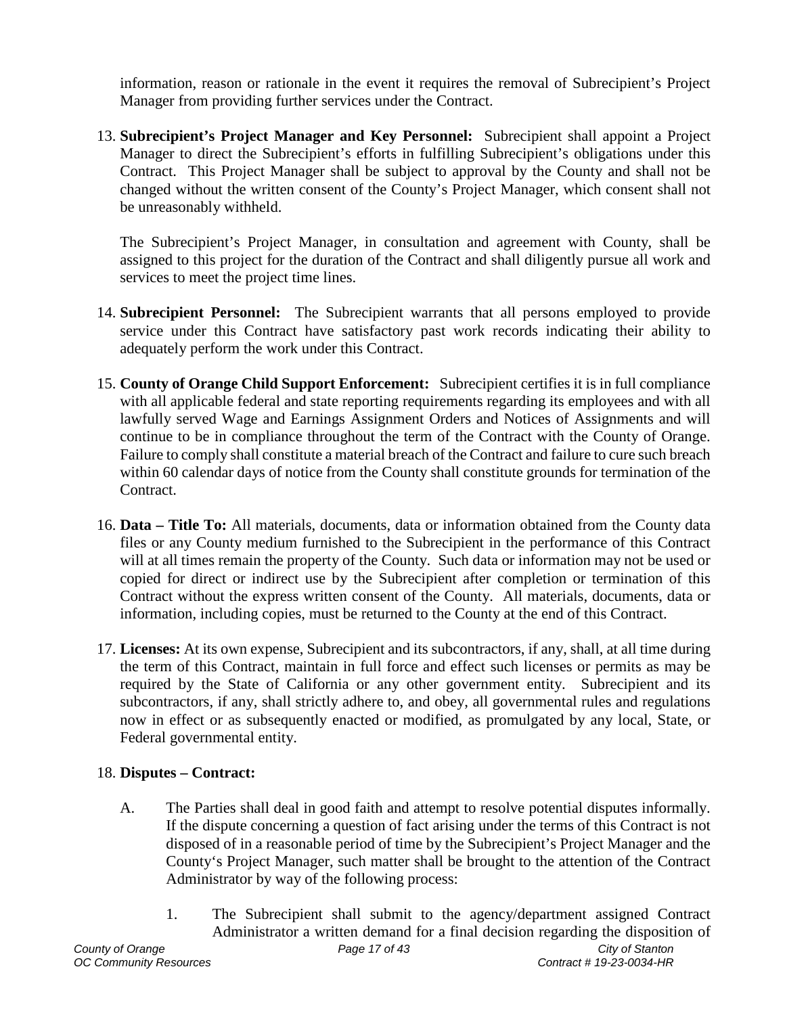information, reason or rationale in the event it requires the removal of Subrecipient's Project Manager from providing further services under the Contract.

<span id="page-16-0"></span>13. **Subrecipient's Project Manager and Key Personnel:** Subrecipient shall appoint a Project Manager to direct the Subrecipient's efforts in fulfilling Subrecipient's obligations under this Contract. This Project Manager shall be subject to approval by the County and shall not be changed without the written consent of the County's Project Manager, which consent shall not be unreasonably withheld.

The Subrecipient's Project Manager, in consultation and agreement with County, shall be assigned to this project for the duration of the Contract and shall diligently pursue all work and services to meet the project time lines.

- <span id="page-16-1"></span>14. **Subrecipient Personnel:** The Subrecipient warrants that all persons employed to provide service under this Contract have satisfactory past work records indicating their ability to adequately perform the work under this Contract.
- <span id="page-16-2"></span>15. **County of Orange Child Support Enforcement:** Subrecipient certifies it is in full compliance with all applicable federal and state reporting requirements regarding its employees and with all lawfully served Wage and Earnings Assignment Orders and Notices of Assignments and will continue to be in compliance throughout the term of the Contract with the County of Orange. Failure to comply shall constitute a material breach of the Contract and failure to cure such breach within 60 calendar days of notice from the County shall constitute grounds for termination of the Contract.
- <span id="page-16-3"></span>16. **Data – Title To:** All materials, documents, data or information obtained from the County data files or any County medium furnished to the Subrecipient in the performance of this Contract will at all times remain the property of the County. Such data or information may not be used or copied for direct or indirect use by the Subrecipient after completion or termination of this Contract without the express written consent of the County. All materials, documents, data or information, including copies, must be returned to the County at the end of this Contract.
- <span id="page-16-4"></span>17. **Licenses:** At its own expense, Subrecipient and its subcontractors, if any, shall, at all time during the term of this Contract, maintain in full force and effect such licenses or permits as may be required by the State of California or any other government entity. Subrecipient and its subcontractors, if any, shall strictly adhere to, and obey, all governmental rules and regulations now in effect or as subsequently enacted or modified, as promulgated by any local, State, or Federal governmental entity.

### <span id="page-16-5"></span>18. **Disputes – Contract:**

- A. The Parties shall deal in good faith and attempt to resolve potential disputes informally. If the dispute concerning a question of fact arising under the terms of this Contract is not disposed of in a reasonable period of time by the Subrecipient's Project Manager and the County's Project Manager, such matter shall be brought to the attention of the Contract Administrator by way of the following process:
- *County of Orange Page 17 of 43 City of Stanton* 1. The Subrecipient shall submit to the agency/department assigned Contract Administrator a written demand for a final decision regarding the disposition of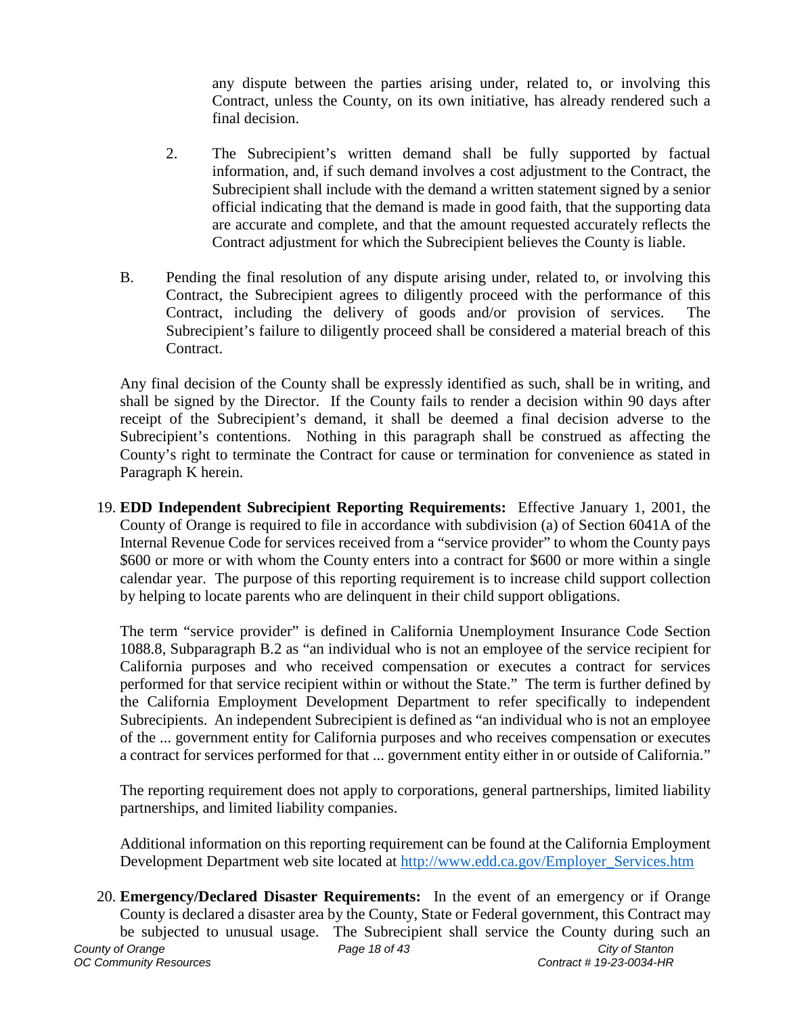any dispute between the parties arising under, related to, or involving this Contract, unless the County, on its own initiative, has already rendered such a final decision.

- 2. The Subrecipient's written demand shall be fully supported by factual information, and, if such demand involves a cost adjustment to the Contract, the Subrecipient shall include with the demand a written statement signed by a senior official indicating that the demand is made in good faith, that the supporting data are accurate and complete, and that the amount requested accurately reflects the Contract adjustment for which the Subrecipient believes the County is liable.
- B. Pending the final resolution of any dispute arising under, related to, or involving this Contract, the Subrecipient agrees to diligently proceed with the performance of this Contract, including the delivery of goods and/or provision of services. The Subrecipient's failure to diligently proceed shall be considered a material breach of this Contract.

Any final decision of the County shall be expressly identified as such, shall be in writing, and shall be signed by the Director. If the County fails to render a decision within 90 days after receipt of the Subrecipient's demand, it shall be deemed a final decision adverse to the Subrecipient's contentions. Nothing in this paragraph shall be construed as affecting the County's right to terminate the Contract for cause or termination for convenience as stated in Paragraph K herein.

<span id="page-17-0"></span>19. **EDD Independent Subrecipient Reporting Requirements:** Effective January 1, 2001, the County of Orange is required to file in accordance with subdivision (a) of Section 6041A of the Internal Revenue Code for services received from a "service provider" to whom the County pays \$600 or more or with whom the County enters into a contract for \$600 or more within a single calendar year. The purpose of this reporting requirement is to increase child support collection by helping to locate parents who are delinquent in their child support obligations.

The term "service provider" is defined in California Unemployment Insurance Code Section 1088.8, Subparagraph B.2 as "an individual who is not an employee of the service recipient for California purposes and who received compensation or executes a contract for services performed for that service recipient within or without the State." The term is further defined by the California Employment Development Department to refer specifically to independent Subrecipients. An independent Subrecipient is defined as "an individual who is not an employee of the ... government entity for California purposes and who receives compensation or executes a contract for services performed for that ... government entity either in or outside of California."

The reporting requirement does not apply to corporations, general partnerships, limited liability partnerships, and limited liability companies.

Additional information on this reporting requirement can be found at the California Employment Development Department web site located at http://www.edd.ca.gov/Employer Services.htm

<span id="page-17-1"></span>*County of Orange Page 18 of 43 City of Stanton* 20. **Emergency/Declared Disaster Requirements:** In the event of an emergency or if Orange County is declared a disaster area by the County, State or Federal government, this Contract may be subjected to unusual usage. The Subrecipient shall service the County during such an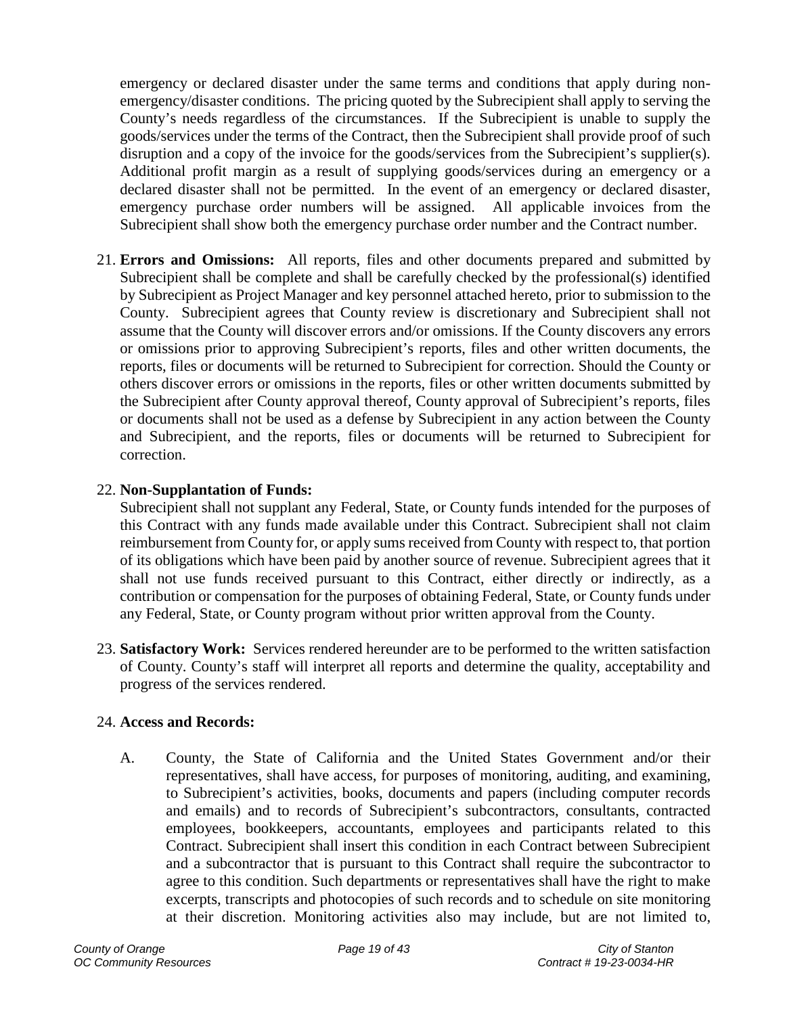emergency or declared disaster under the same terms and conditions that apply during nonemergency/disaster conditions. The pricing quoted by the Subrecipient shall apply to serving the County's needs regardless of the circumstances. If the Subrecipient is unable to supply the goods/services under the terms of the Contract, then the Subrecipient shall provide proof of such disruption and a copy of the invoice for the goods/services from the Subrecipient's supplier(s). Additional profit margin as a result of supplying goods/services during an emergency or a declared disaster shall not be permitted. In the event of an emergency or declared disaster, emergency purchase order numbers will be assigned. All applicable invoices from the Subrecipient shall show both the emergency purchase order number and the Contract number.

<span id="page-18-0"></span>21. **Errors and Omissions:** All reports, files and other documents prepared and submitted by Subrecipient shall be complete and shall be carefully checked by the professional(s) identified by Subrecipient as Project Manager and key personnel attached hereto, prior to submission to the County. Subrecipient agrees that County review is discretionary and Subrecipient shall not assume that the County will discover errors and/or omissions. If the County discovers any errors or omissions prior to approving Subrecipient's reports, files and other written documents, the reports, files or documents will be returned to Subrecipient for correction. Should the County or others discover errors or omissions in the reports, files or other written documents submitted by the Subrecipient after County approval thereof, County approval of Subrecipient's reports, files or documents shall not be used as a defense by Subrecipient in any action between the County and Subrecipient, and the reports, files or documents will be returned to Subrecipient for correction.

## <span id="page-18-1"></span>22. **Non-Supplantation of Funds:**

Subrecipient shall not supplant any Federal, State, or County funds intended for the purposes of this Contract with any funds made available under this Contract. Subrecipient shall not claim reimbursement from County for, or apply sums received from County with respect to, that portion of its obligations which have been paid by another source of revenue. Subrecipient agrees that it shall not use funds received pursuant to this Contract, either directly or indirectly, as a contribution or compensation for the purposes of obtaining Federal, State, or County funds under any Federal, State, or County program without prior written approval from the County.

<span id="page-18-2"></span>23. **Satisfactory Work:** Services rendered hereunder are to be performed to the written satisfaction of County. County's staff will interpret all reports and determine the quality, acceptability and progress of the services rendered.

## <span id="page-18-3"></span>24. **Access and Records:**

A. County, the State of California and the United States Government and/or their representatives, shall have access, for purposes of monitoring, auditing, and examining, to Subrecipient's activities, books, documents and papers (including computer records and emails) and to records of Subrecipient's subcontractors, consultants, contracted employees, bookkeepers, accountants, employees and participants related to this Contract. Subrecipient shall insert this condition in each Contract between Subrecipient and a subcontractor that is pursuant to this Contract shall require the subcontractor to agree to this condition. Such departments or representatives shall have the right to make excerpts, transcripts and photocopies of such records and to schedule on site monitoring at their discretion. Monitoring activities also may include, but are not limited to,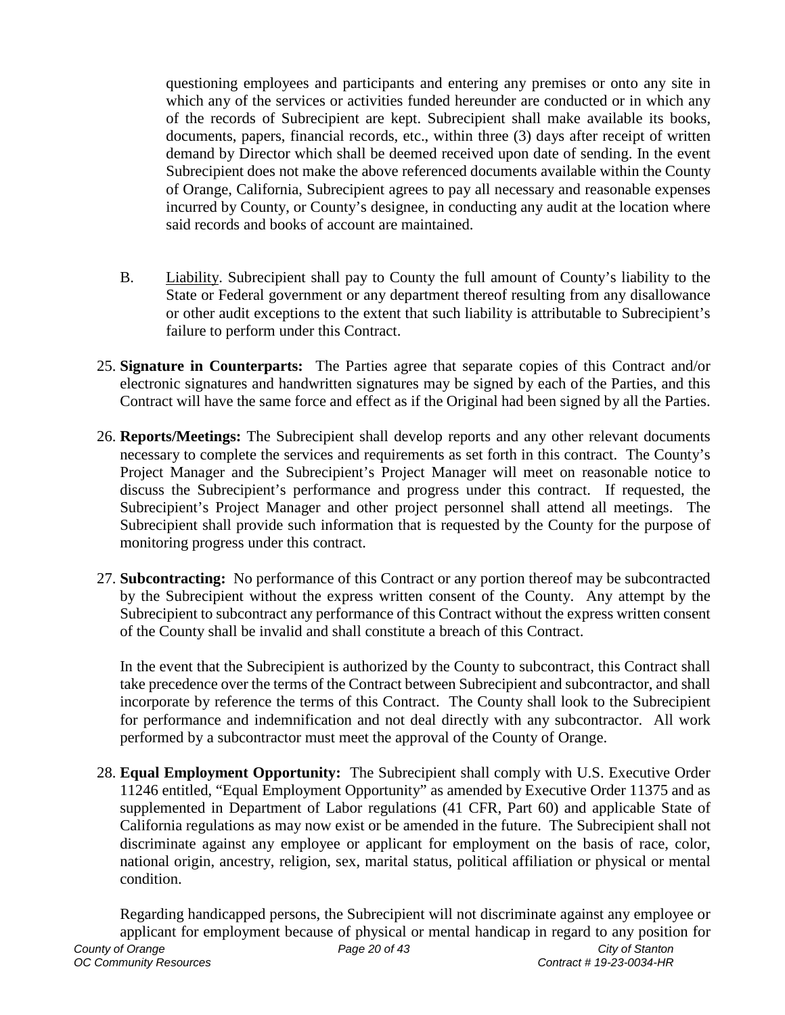questioning employees and participants and entering any premises or onto any site in which any of the services or activities funded hereunder are conducted or in which any of the records of Subrecipient are kept. Subrecipient shall make available its books, documents, papers, financial records, etc., within three (3) days after receipt of written demand by Director which shall be deemed received upon date of sending. In the event Subrecipient does not make the above referenced documents available within the County of Orange, California, Subrecipient agrees to pay all necessary and reasonable expenses incurred by County, or County's designee, in conducting any audit at the location where said records and books of account are maintained.

- B. Liability. Subrecipient shall pay to County the full amount of County's liability to the State or Federal government or any department thereof resulting from any disallowance or other audit exceptions to the extent that such liability is attributable to Subrecipient's failure to perform under this Contract.
- <span id="page-19-0"></span>25. **Signature in Counterparts:** The Parties agree that separate copies of this Contract and/or electronic signatures and handwritten signatures may be signed by each of the Parties, and this Contract will have the same force and effect as if the Original had been signed by all the Parties.
- <span id="page-19-1"></span>26. **Reports/Meetings:** The Subrecipient shall develop reports and any other relevant documents necessary to complete the services and requirements as set forth in this contract. The County's Project Manager and the Subrecipient's Project Manager will meet on reasonable notice to discuss the Subrecipient's performance and progress under this contract. If requested, the Subrecipient's Project Manager and other project personnel shall attend all meetings. The Subrecipient shall provide such information that is requested by the County for the purpose of monitoring progress under this contract.
- <span id="page-19-2"></span>27. **Subcontracting:** No performance of this Contract or any portion thereof may be subcontracted by the Subrecipient without the express written consent of the County. Any attempt by the Subrecipient to subcontract any performance of this Contract without the express written consent of the County shall be invalid and shall constitute a breach of this Contract.

In the event that the Subrecipient is authorized by the County to subcontract, this Contract shall take precedence over the terms of the Contract between Subrecipient and subcontractor, and shall incorporate by reference the terms of this Contract. The County shall look to the Subrecipient for performance and indemnification and not deal directly with any subcontractor. All work performed by a subcontractor must meet the approval of the County of Orange.

<span id="page-19-3"></span>28. **Equal Employment Opportunity:** The Subrecipient shall comply with U.S. Executive Order 11246 entitled, "Equal Employment Opportunity" as amended by Executive Order 11375 and as supplemented in Department of Labor regulations (41 CFR, Part 60) and applicable State of California regulations as may now exist or be amended in the future. The Subrecipient shall not discriminate against any employee or applicant for employment on the basis of race, color, national origin, ancestry, religion, sex, marital status, political affiliation or physical or mental condition.

*County of Orange Page 20 of 43 City of Stanton OC Community Resources Contract # 19-23-0034-HR* Regarding handicapped persons, the Subrecipient will not discriminate against any employee or applicant for employment because of physical or mental handicap in regard to any position for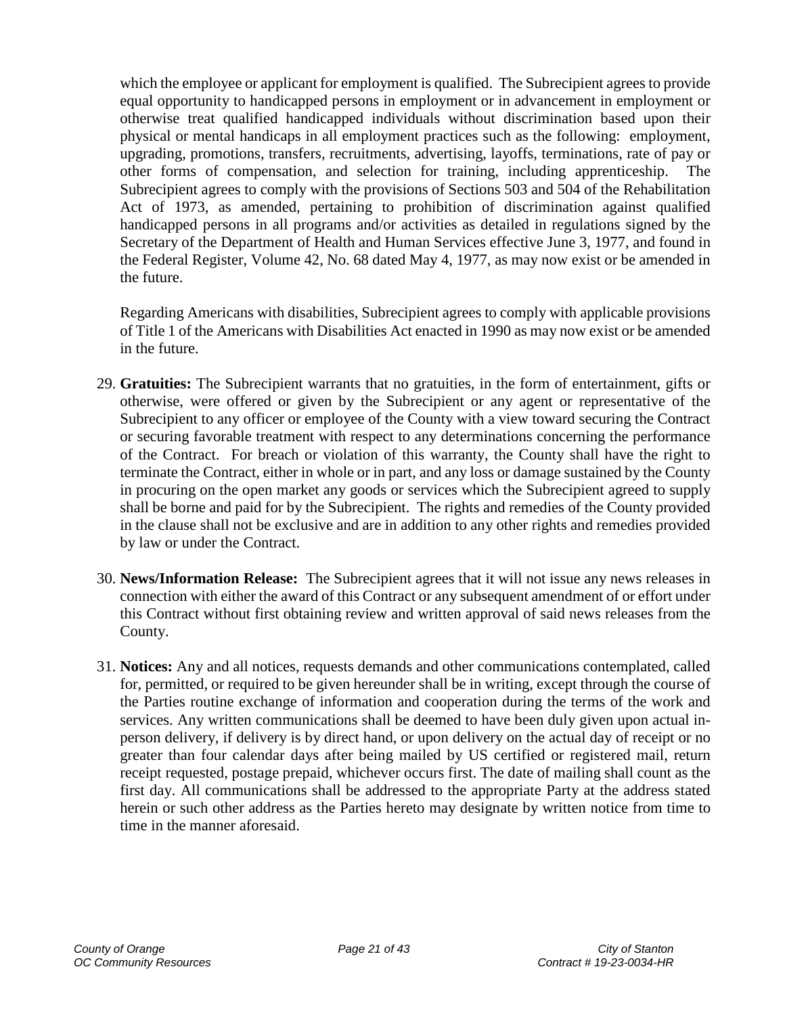which the employee or applicant for employment is qualified. The Subrecipient agrees to provide equal opportunity to handicapped persons in employment or in advancement in employment or otherwise treat qualified handicapped individuals without discrimination based upon their physical or mental handicaps in all employment practices such as the following: employment, upgrading, promotions, transfers, recruitments, advertising, layoffs, terminations, rate of pay or other forms of compensation, and selection for training, including apprenticeship. The Subrecipient agrees to comply with the provisions of Sections 503 and 504 of the Rehabilitation Act of 1973, as amended, pertaining to prohibition of discrimination against qualified handicapped persons in all programs and/or activities as detailed in regulations signed by the Secretary of the Department of Health and Human Services effective June 3, 1977, and found in the Federal Register, Volume 42, No. 68 dated May 4, 1977, as may now exist or be amended in the future.

Regarding Americans with disabilities, Subrecipient agrees to comply with applicable provisions of Title 1 of the Americans with Disabilities Act enacted in 1990 as may now exist or be amended in the future.

- <span id="page-20-0"></span>29. **Gratuities:** The Subrecipient warrants that no gratuities, in the form of entertainment, gifts or otherwise, were offered or given by the Subrecipient or any agent or representative of the Subrecipient to any officer or employee of the County with a view toward securing the Contract or securing favorable treatment with respect to any determinations concerning the performance of the Contract. For breach or violation of this warranty, the County shall have the right to terminate the Contract, either in whole or in part, and any loss or damage sustained by the County in procuring on the open market any goods or services which the Subrecipient agreed to supply shall be borne and paid for by the Subrecipient. The rights and remedies of the County provided in the clause shall not be exclusive and are in addition to any other rights and remedies provided by law or under the Contract.
- <span id="page-20-1"></span>30. **News/Information Release:** The Subrecipient agrees that it will not issue any news releases in connection with either the award of this Contract or any subsequent amendment of or effort under this Contract without first obtaining review and written approval of said news releases from the County.
- <span id="page-20-2"></span>31. **Notices:** Any and all notices, requests demands and other communications contemplated, called for, permitted, or required to be given hereunder shall be in writing, except through the course of the Parties routine exchange of information and cooperation during the terms of the work and services. Any written communications shall be deemed to have been duly given upon actual inperson delivery, if delivery is by direct hand, or upon delivery on the actual day of receipt or no greater than four calendar days after being mailed by US certified or registered mail, return receipt requested, postage prepaid, whichever occurs first. The date of mailing shall count as the first day. All communications shall be addressed to the appropriate Party at the address stated herein or such other address as the Parties hereto may designate by written notice from time to time in the manner aforesaid.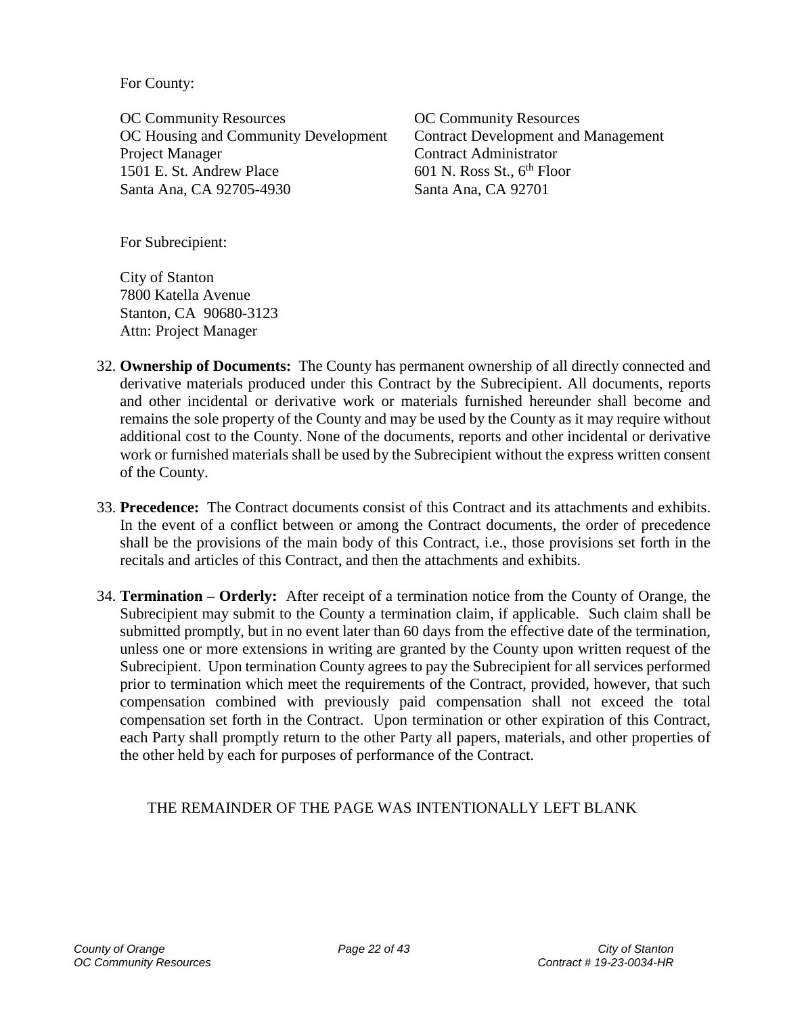For County:

OC Community Resources OC Community Resources OC Housing and Community Development Contract Development and Management Project Manager Contract Administrator 1501 E. St. Andrew Place 601 N. Ross St., 6<sup>th</sup> Floor Santa Ana, CA 92705-4930 Santa Ana, CA 92701

For Subrecipient:

City of Stanton 7800 Katella Avenue Stanton, CA 90680-3123 Attn: Project Manager

- <span id="page-21-0"></span>32. **Ownership of Documents:** The County has permanent ownership of all directly connected and derivative materials produced under this Contract by the Subrecipient. All documents, reports and other incidental or derivative work or materials furnished hereunder shall become and remains the sole property of the County and may be used by the County as it may require without additional cost to the County. None of the documents, reports and other incidental or derivative work or furnished materials shall be used by the Subrecipient without the express written consent of the County.
- <span id="page-21-1"></span>33. **Precedence:** The Contract documents consist of this Contract and its attachments and exhibits. In the event of a conflict between or among the Contract documents, the order of precedence shall be the provisions of the main body of this Contract, i.e., those provisions set forth in the recitals and articles of this Contract, and then the attachments and exhibits.
- <span id="page-21-2"></span>34. **Termination – Orderly:** After receipt of a termination notice from the County of Orange, the Subrecipient may submit to the County a termination claim, if applicable. Such claim shall be submitted promptly, but in no event later than 60 days from the effective date of the termination, unless one or more extensions in writing are granted by the County upon written request of the Subrecipient. Upon termination County agrees to pay the Subrecipient for all services performed prior to termination which meet the requirements of the Contract, provided, however, that such compensation combined with previously paid compensation shall not exceed the total compensation set forth in the Contract. Upon termination or other expiration of this Contract, each Party shall promptly return to the other Party all papers, materials, and other properties of the other held by each for purposes of performance of the Contract.

### THE REMAINDER OF THE PAGE WAS INTENTIONALLY LEFT BLANK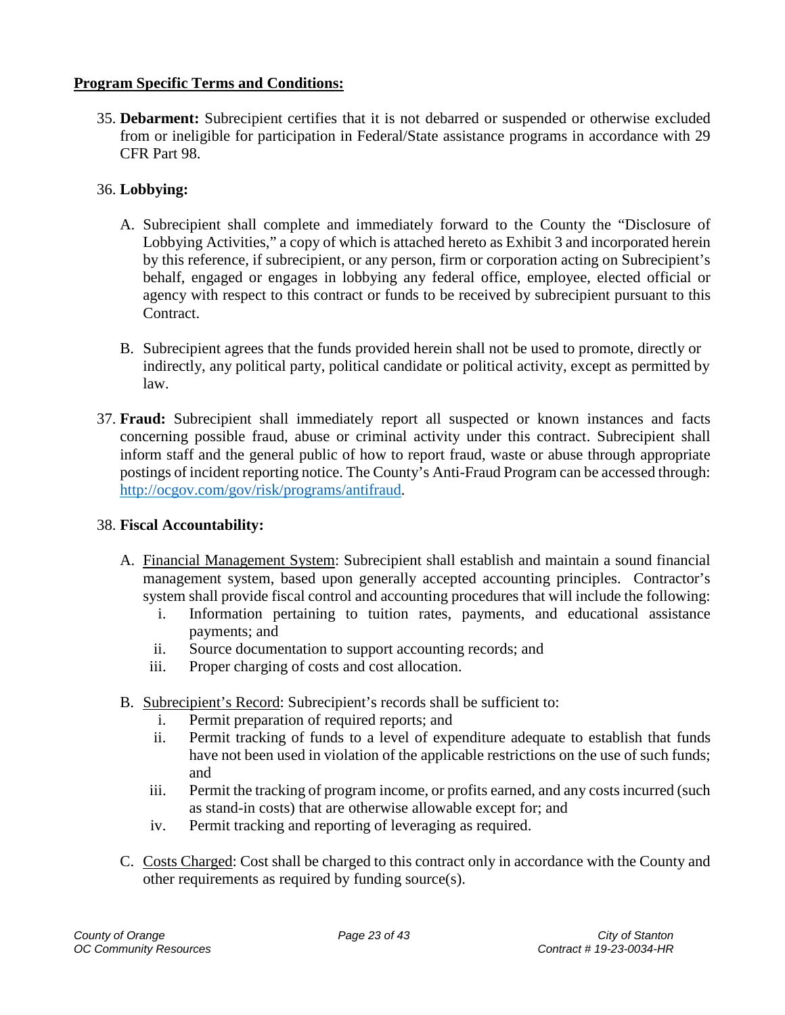### <span id="page-22-0"></span>**Program Specific Terms and Conditions:**

<span id="page-22-1"></span>35. **Debarment:** Subrecipient certifies that it is not debarred or suspended or otherwise excluded from or ineligible for participation in Federal/State assistance programs in accordance with 29 CFR Part 98.

# <span id="page-22-2"></span>36. **Lobbying:**

- A. Subrecipient shall complete and immediately forward to the County the "Disclosure of Lobbying Activities," a copy of which is attached hereto as Exhibit 3 and incorporated herein by this reference, if subrecipient, or any person, firm or corporation acting on Subrecipient's behalf, engaged or engages in lobbying any federal office, employee, elected official or agency with respect to this contract or funds to be received by subrecipient pursuant to this Contract.
- B. Subrecipient agrees that the funds provided herein shall not be used to promote, directly or indirectly, any political party, political candidate or political activity, except as permitted by law.
- <span id="page-22-3"></span>37. **Fraud:** Subrecipient shall immediately report all suspected or known instances and facts concerning possible fraud, abuse or criminal activity under this contract. Subrecipient shall inform staff and the general public of how to report fraud, waste or abuse through appropriate postings of incident reporting notice. The County's Anti-Fraud Program can be accessed through: [http://ocgov.com/gov/risk/programs/antifraud.](http://ocgov.com/gov/risk/programs/antifraud)

## <span id="page-22-4"></span>38. **Fiscal Accountability:**

- A. Financial Management System: Subrecipient shall establish and maintain a sound financial management system, based upon generally accepted accounting principles. Contractor's system shall provide fiscal control and accounting procedures that will include the following:
	- i. Information pertaining to tuition rates, payments, and educational assistance payments; and
	- ii. Source documentation to support accounting records; and
	- iii. Proper charging of costs and cost allocation.
- B. Subrecipient's Record: Subrecipient's records shall be sufficient to:
	- i. Permit preparation of required reports; and
	- ii. Permit tracking of funds to a level of expenditure adequate to establish that funds have not been used in violation of the applicable restrictions on the use of such funds; and
	- iii. Permit the tracking of program income, or profits earned, and any costs incurred (such as stand-in costs) that are otherwise allowable except for; and
	- iv. Permit tracking and reporting of leveraging as required.
- C. Costs Charged: Cost shall be charged to this contract only in accordance with the County and other requirements as required by funding source(s).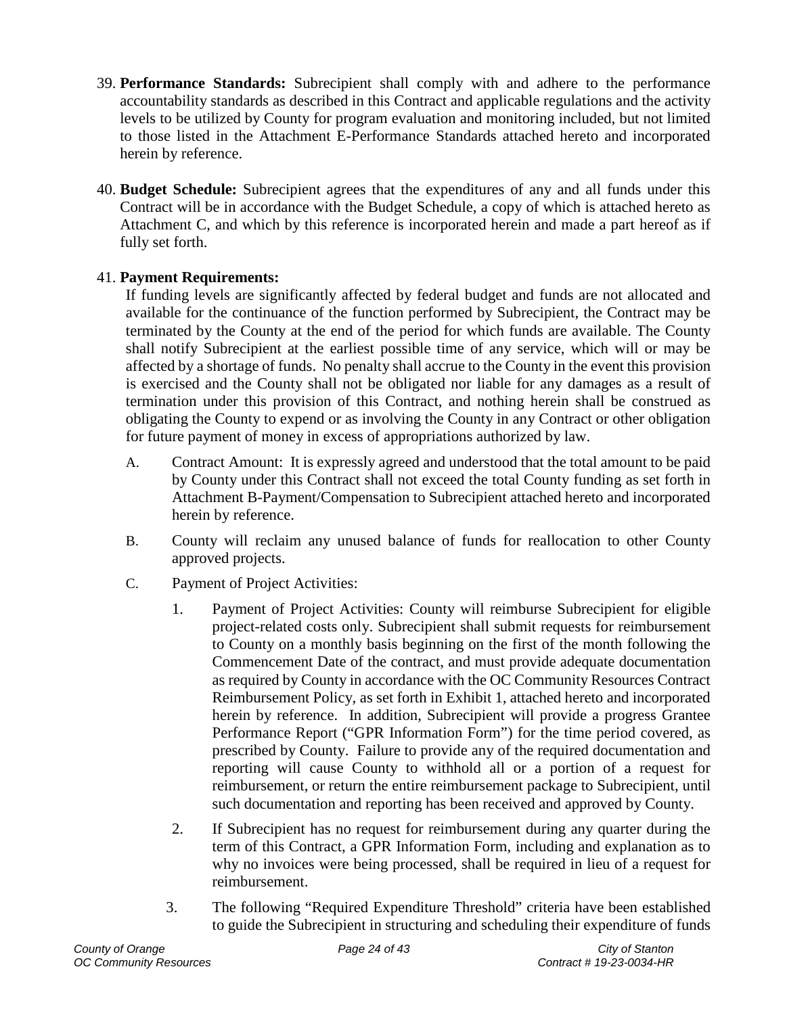- <span id="page-23-0"></span>39. **Performance Standards:** Subrecipient shall comply with and adhere to the performance accountability standards as described in this Contract and applicable regulations and the activity levels to be utilized by County for program evaluation and monitoring included, but not limited to those listed in the Attachment E-Performance Standards attached hereto and incorporated herein by reference.
- <span id="page-23-1"></span>40. **Budget Schedule:** Subrecipient agrees that the expenditures of any and all funds under this Contract will be in accordance with the Budget Schedule, a copy of which is attached hereto as Attachment C, and which by this reference is incorporated herein and made a part hereof as if fully set forth.

## <span id="page-23-2"></span>41. **Payment Requirements:**

If funding levels are significantly affected by federal budget and funds are not allocated and available for the continuance of the function performed by Subrecipient, the Contract may be terminated by the County at the end of the period for which funds are available. The County shall notify Subrecipient at the earliest possible time of any service, which will or may be affected by a shortage of funds. No penalty shall accrue to the County in the event this provision is exercised and the County shall not be obligated nor liable for any damages as a result of termination under this provision of this Contract, and nothing herein shall be construed as obligating the County to expend or as involving the County in any Contract or other obligation for future payment of money in excess of appropriations authorized by law.

- A. Contract Amount: It is expressly agreed and understood that the total amount to be paid by County under this Contract shall not exceed the total County funding as set forth in Attachment B-Payment/Compensation to Subrecipient attached hereto and incorporated herein by reference.
- B. County will reclaim any unused balance of funds for reallocation to other County approved projects.
- C. Payment of Project Activities:
	- 1. Payment of Project Activities: County will reimburse Subrecipient for eligible project-related costs only. Subrecipient shall submit requests for reimbursement to County on a monthly basis beginning on the first of the month following the Commencement Date of the contract, and must provide adequate documentation as required by County in accordance with the OC Community Resources Contract Reimbursement Policy, as set forth in Exhibit 1, attached hereto and incorporated herein by reference. In addition, Subrecipient will provide a progress Grantee Performance Report ("GPR Information Form") for the time period covered, as prescribed by County. Failure to provide any of the required documentation and reporting will cause County to withhold all or a portion of a request for reimbursement, or return the entire reimbursement package to Subrecipient, until such documentation and reporting has been received and approved by County.
	- 2. If Subrecipient has no request for reimbursement during any quarter during the term of this Contract, a GPR Information Form, including and explanation as to why no invoices were being processed, shall be required in lieu of a request for reimbursement.
	- 3. The following "Required Expenditure Threshold" criteria have been established to guide the Subrecipient in structuring and scheduling their expenditure of funds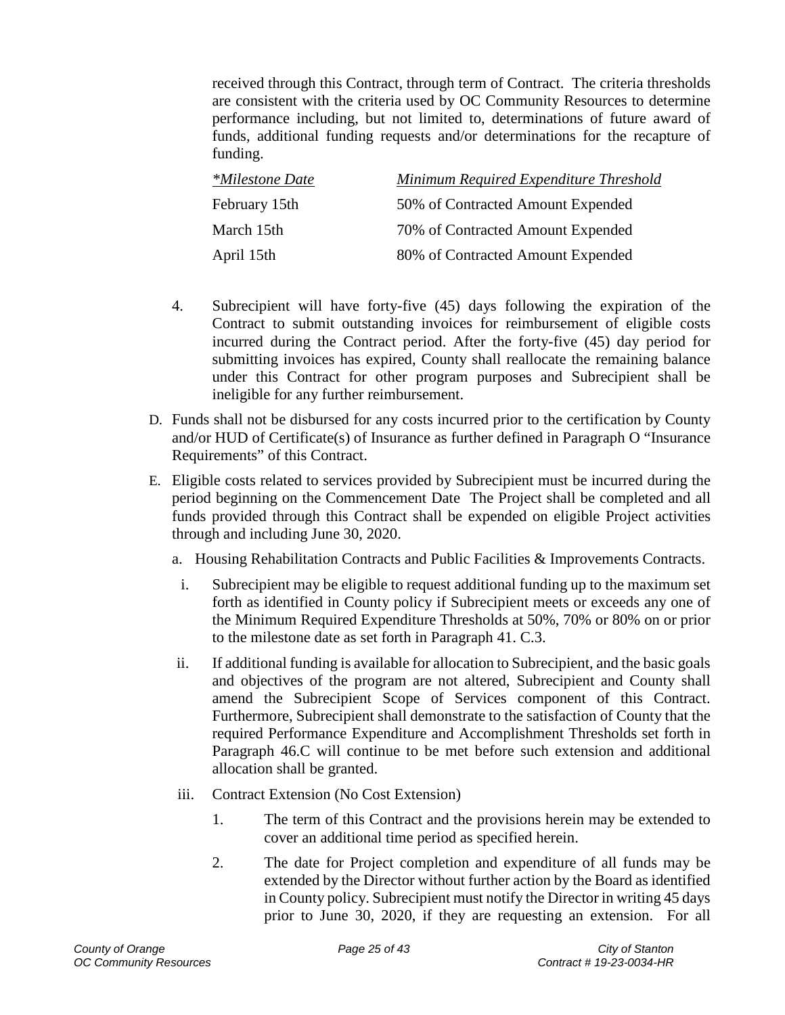received through this Contract, through term of Contract. The criteria thresholds are consistent with the criteria used by OC Community Resources to determine performance including, but not limited to, determinations of future award of funds, additional funding requests and/or determinations for the recapture of funding.

| <i>*Milestone Date</i> | Minimum Required Expenditure Threshold |
|------------------------|----------------------------------------|
| February 15th          | 50% of Contracted Amount Expended      |
| March 15th             | 70% of Contracted Amount Expended      |
| April 15th             | 80% of Contracted Amount Expended      |

- 4. Subrecipient will have forty-five (45) days following the expiration of the Contract to submit outstanding invoices for reimbursement of eligible costs incurred during the Contract period. After the forty-five (45) day period for submitting invoices has expired, County shall reallocate the remaining balance under this Contract for other program purposes and Subrecipient shall be ineligible for any further reimbursement.
- D. Funds shall not be disbursed for any costs incurred prior to the certification by County and/or HUD of Certificate(s) of Insurance as further defined in Paragraph O "Insurance Requirements" of this Contract.
- E. Eligible costs related to services provided by Subrecipient must be incurred during the period beginning on the Commencement Date The Project shall be completed and all funds provided through this Contract shall be expended on eligible Project activities through and including June 30, 2020.
	- a. Housing Rehabilitation Contracts and Public Facilities & Improvements Contracts.
	- i. Subrecipient may be eligible to request additional funding up to the maximum set forth as identified in County policy if Subrecipient meets or exceeds any one of the Minimum Required Expenditure Thresholds at 50%, 70% or 80% on or prior to the milestone date as set forth in Paragraph 41. C.3.
	- ii. If additional funding is available for allocation to Subrecipient, and the basic goals and objectives of the program are not altered, Subrecipient and County shall amend the Subrecipient Scope of Services component of this Contract. Furthermore, Subrecipient shall demonstrate to the satisfaction of County that the required Performance Expenditure and Accomplishment Thresholds set forth in Paragraph 46.C will continue to be met before such extension and additional allocation shall be granted.
	- iii. Contract Extension (No Cost Extension)
		- 1. The term of this Contract and the provisions herein may be extended to cover an additional time period as specified herein.
		- 2. The date for Project completion and expenditure of all funds may be extended by the Director without further action by the Board as identified in County policy. Subrecipient must notify the Director in writing 45 days prior to June 30, 2020, if they are requesting an extension. For all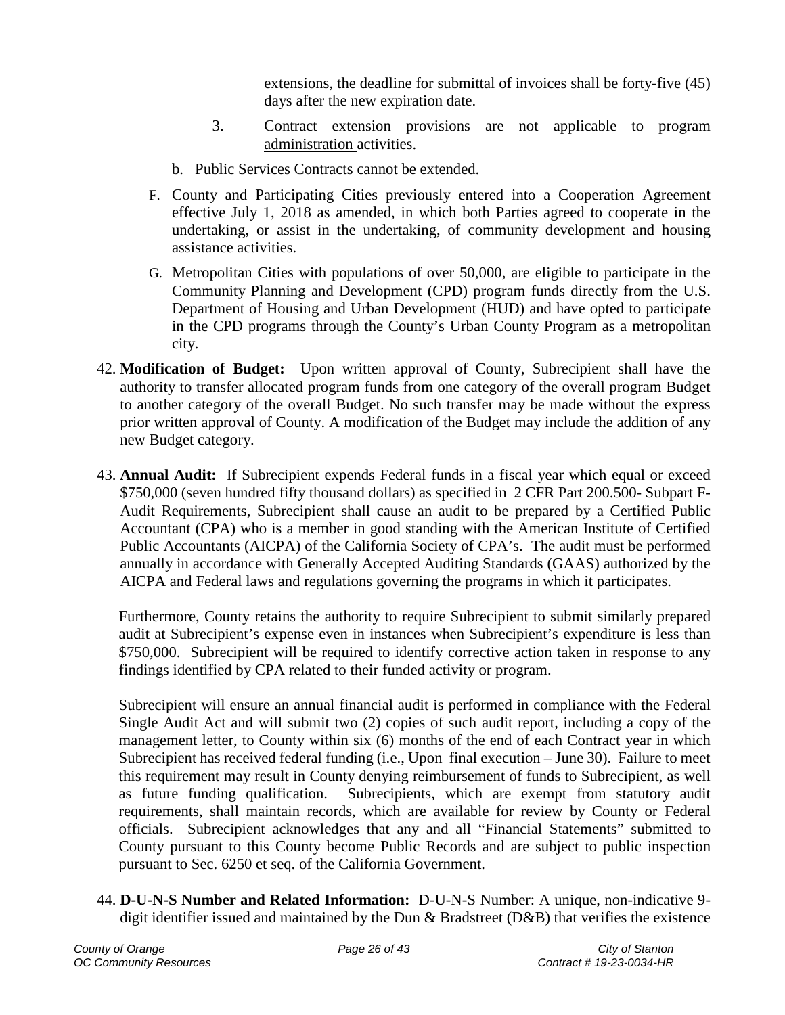extensions, the deadline for submittal of invoices shall be forty-five (45) days after the new expiration date.

- 3. Contract extension provisions are not applicable to program administration activities.
- b. Public Services Contracts cannot be extended.
- F. County and Participating Cities previously entered into a Cooperation Agreement effective July 1, 2018 as amended, in which both Parties agreed to cooperate in the undertaking, or assist in the undertaking, of community development and housing assistance activities.
- G. Metropolitan Cities with populations of over 50,000, are eligible to participate in the Community Planning and Development (CPD) program funds directly from the U.S. Department of Housing and Urban Development (HUD) and have opted to participate in the CPD programs through the County's Urban County Program as a metropolitan city.
- <span id="page-25-0"></span>42. **Modification of Budget:** Upon written approval of County, Subrecipient shall have the authority to transfer allocated program funds from one category of the overall program Budget to another category of the overall Budget. No such transfer may be made without the express prior written approval of County. A modification of the Budget may include the addition of any new Budget category.
- <span id="page-25-1"></span>43. **Annual Audit:** If Subrecipient expends Federal funds in a fiscal year which equal or exceed \$750,000 (seven hundred fifty thousand dollars) as specified in 2 CFR Part 200.500- Subpart F-Audit Requirements, Subrecipient shall cause an audit to be prepared by a Certified Public Accountant (CPA) who is a member in good standing with the American Institute of Certified Public Accountants (AICPA) of the California Society of CPA's. The audit must be performed annually in accordance with Generally Accepted Auditing Standards (GAAS) authorized by the AICPA and Federal laws and regulations governing the programs in which it participates.

Furthermore, County retains the authority to require Subrecipient to submit similarly prepared audit at Subrecipient's expense even in instances when Subrecipient's expenditure is less than \$750,000. Subrecipient will be required to identify corrective action taken in response to any findings identified by CPA related to their funded activity or program.

Subrecipient will ensure an annual financial audit is performed in compliance with the Federal Single Audit Act and will submit two (2) copies of such audit report, including a copy of the management letter, to County within six (6) months of the end of each Contract year in which Subrecipient has received federal funding (i.e., Upon final execution – June 30). Failure to meet this requirement may result in County denying reimbursement of funds to Subrecipient, as well as future funding qualification. Subrecipients, which are exempt from statutory audit requirements, shall maintain records, which are available for review by County or Federal officials. Subrecipient acknowledges that any and all "Financial Statements" submitted to County pursuant to this County become Public Records and are subject to public inspection pursuant to Sec. 6250 et seq. of the California Government.

<span id="page-25-2"></span>44. **D-U-N-S Number and Related Information:** D-U-N-S Number: A unique, non-indicative 9 digit identifier issued and maintained by the Dun & Bradstreet (D&B) that verifies the existence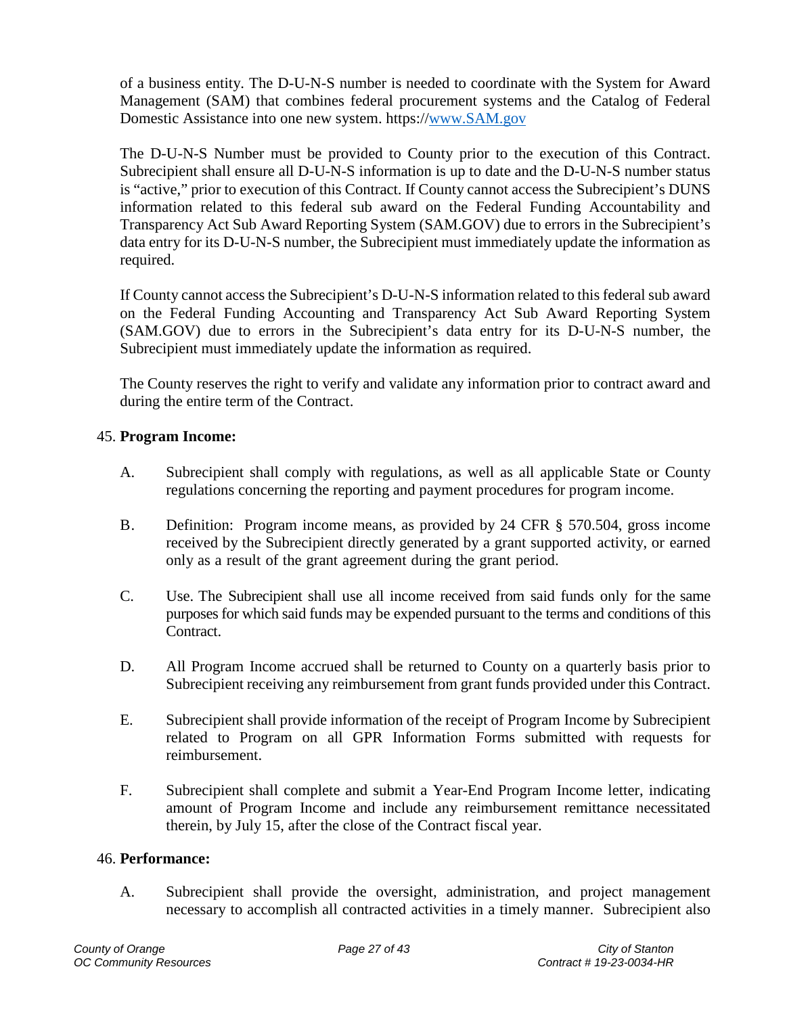of a business entity. The D-U-N-S number is needed to coordinate with the System for Award Management (SAM) that combines federal procurement systems and the Catalog of Federal Domestic Assistance into one new system. https:/[/www.SAM.gov](http://www.sam.gov/) 

The D-U-N-S Number must be provided to County prior to the execution of this Contract. Subrecipient shall ensure all D-U-N-S information is up to date and the D-U-N-S number status is "active," prior to execution of this Contract. If County cannot access the Subrecipient's DUNS information related to this federal sub award on the Federal Funding Accountability and Transparency Act Sub Award Reporting System (SAM.GOV) due to errors in the Subrecipient's data entry for its D-U-N-S number, the Subrecipient must immediately update the information as required.

If County cannot access the Subrecipient's D-U-N-S information related to this federal sub award on the Federal Funding Accounting and Transparency Act Sub Award Reporting System (SAM.GOV) due to errors in the Subrecipient's data entry for its D-U-N-S number, the Subrecipient must immediately update the information as required.

The County reserves the right to verify and validate any information prior to contract award and during the entire term of the Contract.

### <span id="page-26-0"></span>45. **Program Income:**

- A. Subrecipient shall comply with regulations, as well as all applicable State or County regulations concerning the reporting and payment procedures for program income.
- B. Definition: Program income means, as provided by 24 CFR § 570.504, gross income received by the Subrecipient directly generated by a grant supported activity, or earned only as a result of the grant agreement during the grant period.
- C. Use. The Subrecipient shall use all income received from said funds only for the same purposes for which said funds may be expended pursuant to the terms and conditions of this Contract.
- D. All Program Income accrued shall be returned to County on a quarterly basis prior to Subrecipient receiving any reimbursement from grant funds provided under this Contract.
- E. Subrecipient shall provide information of the receipt of Program Income by Subrecipient related to Program on all GPR Information Forms submitted with requests for reimbursement.
- F. Subrecipient shall complete and submit a Year-End Program Income letter, indicating amount of Program Income and include any reimbursement remittance necessitated therein, by July 15, after the close of the Contract fiscal year.

#### <span id="page-26-1"></span>46. **Performance:**

A. Subrecipient shall provide the oversight, administration, and project management necessary to accomplish all contracted activities in a timely manner. Subrecipient also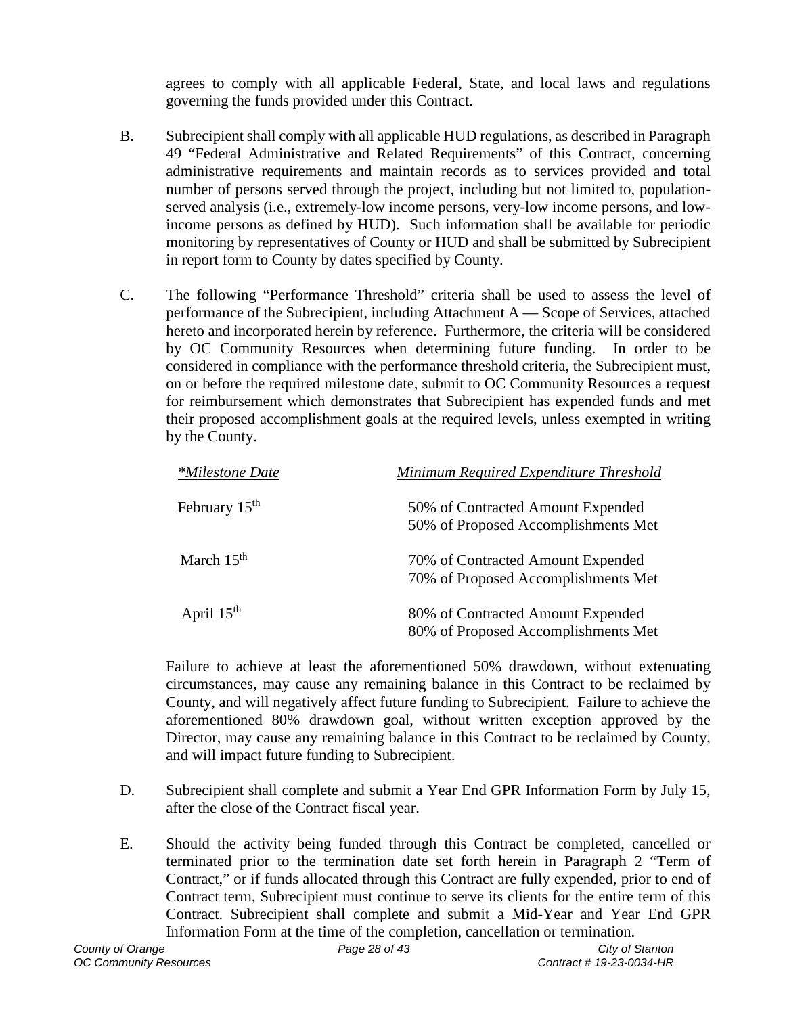agrees to comply with all applicable Federal, State, and local laws and regulations governing the funds provided under this Contract.

- B. Subrecipient shall comply with all applicable HUD regulations, as described in Paragraph 49 "Federal Administrative and Related Requirements" of this Contract, concerning administrative requirements and maintain records as to services provided and total number of persons served through the project, including but not limited to, populationserved analysis (i.e., extremely-low income persons, very-low income persons, and lowincome persons as defined by HUD). Such information shall be available for periodic monitoring by representatives of County or HUD and shall be submitted by Subrecipient in report form to County by dates specified by County.
- C. The following "Performance Threshold" criteria shall be used to assess the level of performance of the Subrecipient, including Attachment A — Scope of Services, attached hereto and incorporated herein by reference. Furthermore, the criteria will be considered by OC Community Resources when determining future funding. In order to be considered in compliance with the performance threshold criteria, the Subrecipient must, on or before the required milestone date, submit to OC Community Resources a request for reimbursement which demonstrates that Subrecipient has expended funds and met their proposed accomplishment goals at the required levels, unless exempted in writing by the County.

| <i>*Milestone Date</i> | Minimum Required Expenditure Threshold                                   |
|------------------------|--------------------------------------------------------------------------|
| February $15th$        | 50% of Contracted Amount Expended<br>50% of Proposed Accomplishments Met |
| March $15th$           | 70% of Contracted Amount Expended<br>70% of Proposed Accomplishments Met |
| April $15th$           | 80% of Contracted Amount Expended<br>80% of Proposed Accomplishments Met |

Failure to achieve at least the aforementioned 50% drawdown, without extenuating circumstances, may cause any remaining balance in this Contract to be reclaimed by County, and will negatively affect future funding to Subrecipient. Failure to achieve the aforementioned 80% drawdown goal, without written exception approved by the Director, may cause any remaining balance in this Contract to be reclaimed by County, and will impact future funding to Subrecipient.

- D. Subrecipient shall complete and submit a Year End GPR Information Form by July 15, after the close of the Contract fiscal year.
- E. Should the activity being funded through this Contract be completed, cancelled or terminated prior to the termination date set forth herein in Paragraph 2 "Term of Contract," or if funds allocated through this Contract are fully expended, prior to end of Contract term, Subrecipient must continue to serve its clients for the entire term of this Contract. Subrecipient shall complete and submit a Mid-Year and Year End GPR Information Form at the time of the completion, cancellation or termination.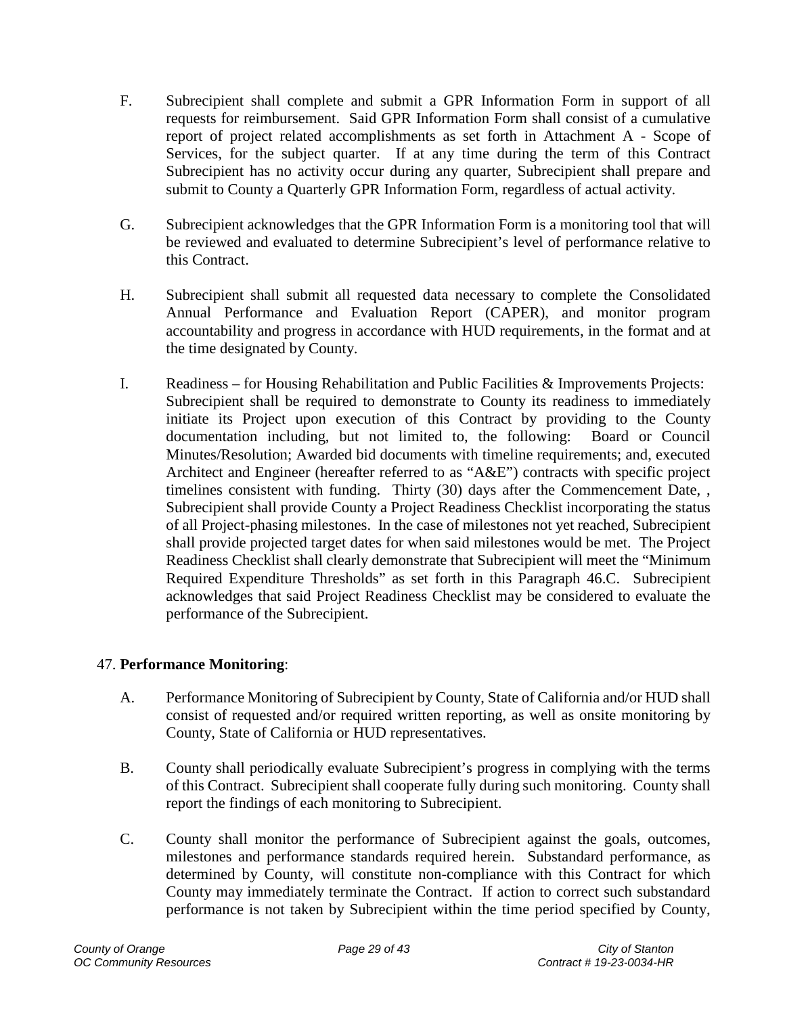- F. Subrecipient shall complete and submit a GPR Information Form in support of all requests for reimbursement. Said GPR Information Form shall consist of a cumulative report of project related accomplishments as set forth in Attachment A - Scope of Services, for the subject quarter. If at any time during the term of this Contract Subrecipient has no activity occur during any quarter, Subrecipient shall prepare and submit to County a Quarterly GPR Information Form, regardless of actual activity.
- G. Subrecipient acknowledges that the GPR Information Form is a monitoring tool that will be reviewed and evaluated to determine Subrecipient's level of performance relative to this Contract.
- H. Subrecipient shall submit all requested data necessary to complete the Consolidated Annual Performance and Evaluation Report (CAPER), and monitor program accountability and progress in accordance with HUD requirements, in the format and at the time designated by County.
- I. Readiness for Housing Rehabilitation and Public Facilities & Improvements Projects: Subrecipient shall be required to demonstrate to County its readiness to immediately initiate its Project upon execution of this Contract by providing to the County documentation including, but not limited to, the following: Board or Council Minutes/Resolution; Awarded bid documents with timeline requirements; and, executed Architect and Engineer (hereafter referred to as "A&E") contracts with specific project timelines consistent with funding. Thirty (30) days after the Commencement Date, , Subrecipient shall provide County a Project Readiness Checklist incorporating the status of all Project-phasing milestones. In the case of milestones not yet reached, Subrecipient shall provide projected target dates for when said milestones would be met. The Project Readiness Checklist shall clearly demonstrate that Subrecipient will meet the "Minimum Required Expenditure Thresholds" as set forth in this Paragraph 46.C. Subrecipient acknowledges that said Project Readiness Checklist may be considered to evaluate the performance of the Subrecipient.

### <span id="page-28-0"></span>47. **Performance Monitoring**:

- A. Performance Monitoring of Subrecipient by County, State of California and/or HUD shall consist of requested and/or required written reporting, as well as onsite monitoring by County, State of California or HUD representatives.
- B. County shall periodically evaluate Subrecipient's progress in complying with the terms of this Contract. Subrecipient shall cooperate fully during such monitoring. County shall report the findings of each monitoring to Subrecipient.
- C. County shall monitor the performance of Subrecipient against the goals, outcomes, milestones and performance standards required herein. Substandard performance, as determined by County, will constitute non-compliance with this Contract for which County may immediately terminate the Contract. If action to correct such substandard performance is not taken by Subrecipient within the time period specified by County,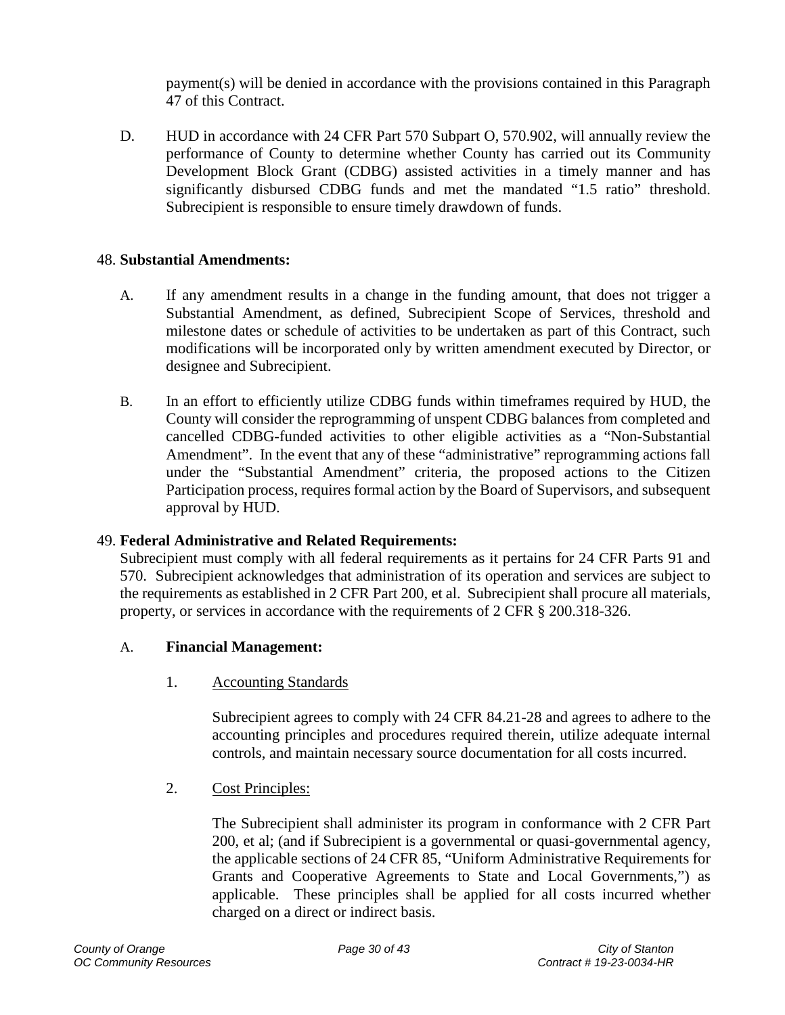payment(s) will be denied in accordance with the provisions contained in this Paragraph 47 of this Contract.

D. HUD in accordance with 24 CFR Part 570 Subpart O, 570.902, will annually review the performance of County to determine whether County has carried out its Community Development Block Grant (CDBG) assisted activities in a timely manner and has significantly disbursed CDBG funds and met the mandated "1.5 ratio" threshold. Subrecipient is responsible to ensure timely drawdown of funds.

#### <span id="page-29-0"></span>48. **Substantial Amendments:**

- A. If any amendment results in a change in the funding amount, that does not trigger a Substantial Amendment, as defined, Subrecipient Scope of Services, threshold and milestone dates or schedule of activities to be undertaken as part of this Contract, such modifications will be incorporated only by written amendment executed by Director, or designee and Subrecipient.
- B. In an effort to efficiently utilize CDBG funds within timeframes required by HUD, the County will consider the reprogramming of unspent CDBG balances from completed and cancelled CDBG-funded activities to other eligible activities as a "Non-Substantial Amendment". In the event that any of these "administrative" reprogramming actions fall under the "Substantial Amendment" criteria, the proposed actions to the Citizen Participation process, requires formal action by the Board of Supervisors, and subsequent approval by HUD.

#### <span id="page-29-1"></span>49. **Federal Administrative and Related Requirements:**

Subrecipient must comply with all federal requirements as it pertains for 24 CFR Parts 91 and 570. Subrecipient acknowledges that administration of its operation and services are subject to the requirements as established in 2 CFR Part 200, et al. Subrecipient shall procure all materials, property, or services in accordance with the requirements of 2 CFR § 200.318-326.

#### A. **Financial Management:**

1. Accounting Standards

Subrecipient agrees to comply with 24 CFR 84.21-28 and agrees to adhere to the accounting principles and procedures required therein, utilize adequate internal controls, and maintain necessary source documentation for all costs incurred.

2. Cost Principles:

The Subrecipient shall administer its program in conformance with 2 CFR Part 200, et al; (and if Subrecipient is a governmental or quasi-governmental agency, the applicable sections of 24 CFR 85, "Uniform Administrative Requirements for Grants and Cooperative Agreements to State and Local Governments,") as applicable. These principles shall be applied for all costs incurred whether charged on a direct or indirect basis.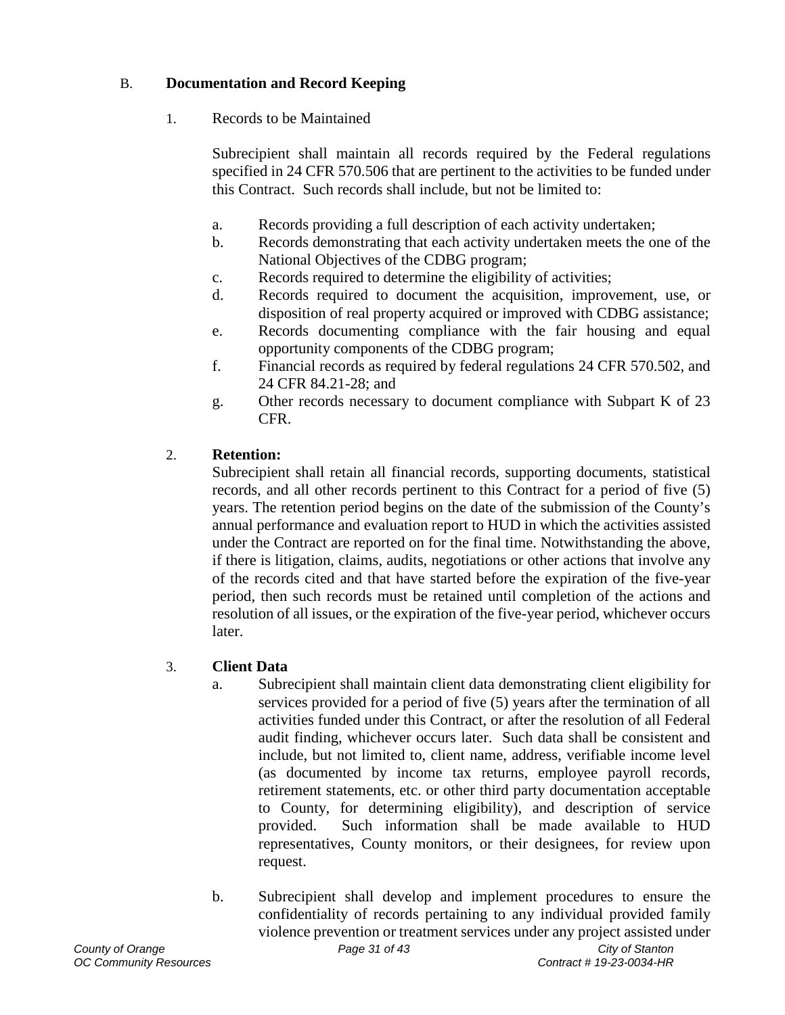## B. **Documentation and Record Keeping**

1. Records to be Maintained

Subrecipient shall maintain all records required by the Federal regulations specified in 24 CFR 570.506 that are pertinent to the activities to be funded under this Contract. Such records shall include, but not be limited to:

- a. Records providing a full description of each activity undertaken;
- b. Records demonstrating that each activity undertaken meets the one of the National Objectives of the CDBG program;
- c. Records required to determine the eligibility of activities;
- d. Records required to document the acquisition, improvement, use, or disposition of real property acquired or improved with CDBG assistance;
- e. Records documenting compliance with the fair housing and equal opportunity components of the CDBG program;
- f. Financial records as required by federal regulations 24 CFR 570.502, and 24 CFR 84.21-28; and
- g. Other records necessary to document compliance with Subpart K of 23 CFR.

# 2. **Retention:**

Subrecipient shall retain all financial records, supporting documents, statistical records, and all other records pertinent to this Contract for a period of five (5) years. The retention period begins on the date of the submission of the County's annual performance and evaluation report to HUD in which the activities assisted under the Contract are reported on for the final time. Notwithstanding the above, if there is litigation, claims, audits, negotiations or other actions that involve any of the records cited and that have started before the expiration of the five-year period, then such records must be retained until completion of the actions and resolution of all issues, or the expiration of the five-year period, whichever occurs later.

## 3. **Client Data**

- a. Subrecipient shall maintain client data demonstrating client eligibility for services provided for a period of five (5) years after the termination of all activities funded under this Contract, or after the resolution of all Federal audit finding, whichever occurs later. Such data shall be consistent and include, but not limited to, client name, address, verifiable income level (as documented by income tax returns, employee payroll records, retirement statements, etc. or other third party documentation acceptable to County, for determining eligibility), and description of service provided. Such information shall be made available to HUD representatives, County monitors, or their designees, for review upon request.
- b. Subrecipient shall develop and implement procedures to ensure the confidentiality of records pertaining to any individual provided family violence prevention or treatment services under any project assisted under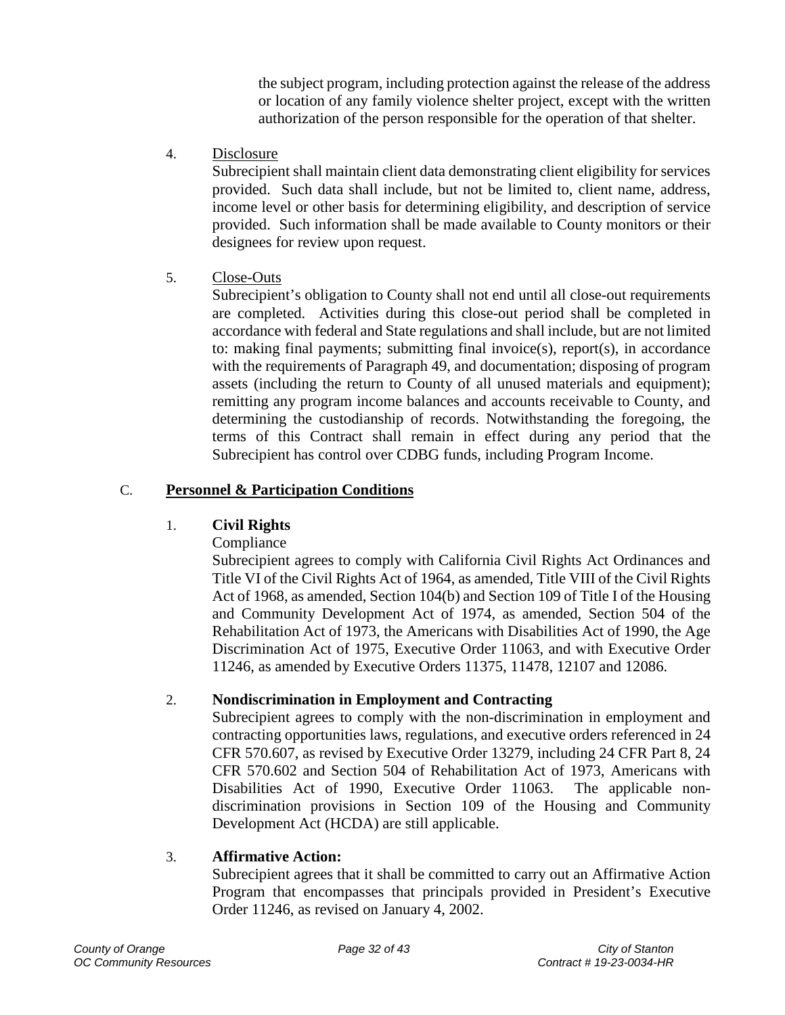the subject program, including protection against the release of the address or location of any family violence shelter project, except with the written authorization of the person responsible for the operation of that shelter.

4. Disclosure

Subrecipient shall maintain client data demonstrating client eligibility for services provided. Such data shall include, but not be limited to, client name, address, income level or other basis for determining eligibility, and description of service provided. Such information shall be made available to County monitors or their designees for review upon request.

5. Close-Outs

Subrecipient's obligation to County shall not end until all close-out requirements are completed. Activities during this close-out period shall be completed in accordance with federal and State regulations and shall include, but are not limited to: making final payments; submitting final invoice(s), report(s), in accordance with the requirements of Paragraph 49, and documentation; disposing of program assets (including the return to County of all unused materials and equipment); remitting any program income balances and accounts receivable to County, and determining the custodianship of records. Notwithstanding the foregoing, the terms of this Contract shall remain in effect during any period that the Subrecipient has control over CDBG funds, including Program Income.

### C. **Personnel & Participation Conditions**

### 1. **Civil Rights**

Compliance

Subrecipient agrees to comply with California Civil Rights Act Ordinances and Title VI of the Civil Rights Act of 1964, as amended, Title VIII of the Civil Rights Act of 1968, as amended, Section 104(b) and Section 109 of Title I of the Housing and Community Development Act of 1974, as amended, Section 504 of the Rehabilitation Act of 1973, the Americans with Disabilities Act of 1990, the Age Discrimination Act of 1975, Executive Order 11063, and with Executive Order 11246, as amended by Executive Orders 11375, 11478, 12107 and 12086.

### 2. **Nondiscrimination in Employment and Contracting**

Subrecipient agrees to comply with the non-discrimination in employment and contracting opportunities laws, regulations, and executive orders referenced in 24 CFR 570.607, as revised by Executive Order 13279, including 24 CFR Part 8, 24 CFR 570.602 and Section 504 of Rehabilitation Act of 1973, Americans with Disabilities Act of 1990, Executive Order 11063. The applicable nondiscrimination provisions in Section 109 of the Housing and Community Development Act (HCDA) are still applicable.

### 3. **Affirmative Action:**

Subrecipient agrees that it shall be committed to carry out an Affirmative Action Program that encompasses that principals provided in President's Executive Order 11246, as revised on January 4, 2002.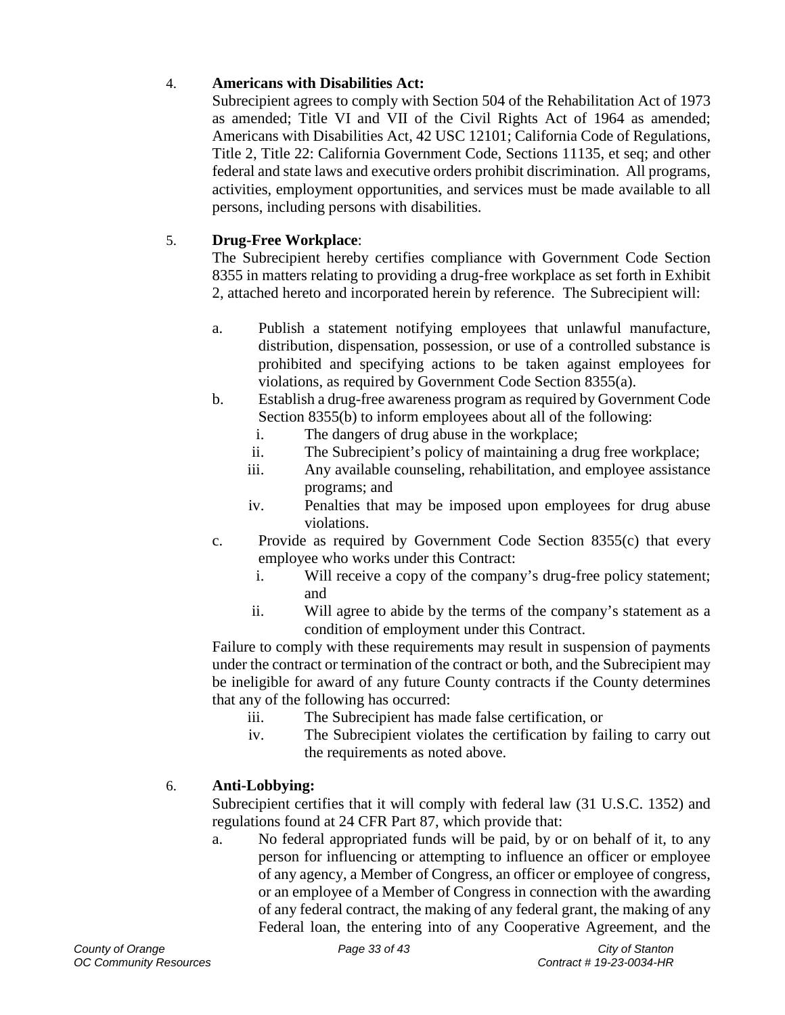## 4. **Americans with Disabilities Act:**

Subrecipient agrees to comply with Section 504 of the Rehabilitation Act of 1973 as amended; Title VI and VII of the Civil Rights Act of 1964 as amended; Americans with Disabilities Act, 42 USC 12101; California Code of Regulations, Title 2, Title 22: California Government Code, Sections 11135, et seq; and other federal and state laws and executive orders prohibit discrimination. All programs, activities, employment opportunities, and services must be made available to all persons, including persons with disabilities.

## 5. **Drug-Free Workplace**:

The Subrecipient hereby certifies compliance with Government Code Section 8355 in matters relating to providing a drug-free workplace as set forth in Exhibit 2, attached hereto and incorporated herein by reference. The Subrecipient will:

- a. Publish a statement notifying employees that unlawful manufacture, distribution, dispensation, possession, or use of a controlled substance is prohibited and specifying actions to be taken against employees for violations, as required by Government Code Section 8355(a).
- b. Establish a drug-free awareness program as required by Government Code Section 8355(b) to inform employees about all of the following:
	- i. The dangers of drug abuse in the workplace;
	- ii. The Subrecipient's policy of maintaining a drug free workplace;
	- iii. Any available counseling, rehabilitation, and employee assistance programs; and
	- iv. Penalties that may be imposed upon employees for drug abuse violations.
- c. Provide as required by Government Code Section 8355(c) that every employee who works under this Contract:
	- i. Will receive a copy of the company's drug-free policy statement; and
	- ii. Will agree to abide by the terms of the company's statement as a condition of employment under this Contract.

Failure to comply with these requirements may result in suspension of payments under the contract or termination of the contract or both, and the Subrecipient may be ineligible for award of any future County contracts if the County determines that any of the following has occurred:

- iii. The Subrecipient has made false certification, or
- iv. The Subrecipient violates the certification by failing to carry out the requirements as noted above.

### 6. **Anti-Lobbying:**

Subrecipient certifies that it will comply with federal law (31 U.S.C. 1352) and regulations found at 24 CFR Part 87, which provide that:

a. No federal appropriated funds will be paid, by or on behalf of it, to any person for influencing or attempting to influence an officer or employee of any agency, a Member of Congress, an officer or employee of congress, or an employee of a Member of Congress in connection with the awarding of any federal contract, the making of any federal grant, the making of any Federal loan, the entering into of any Cooperative Agreement, and the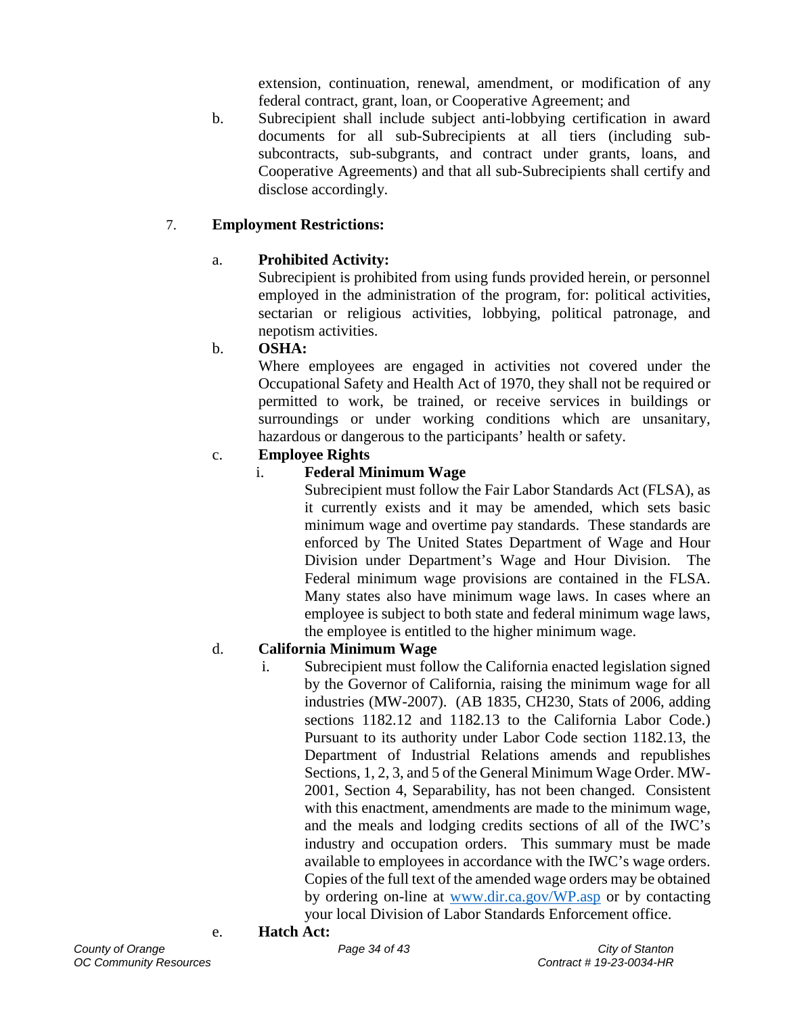extension, continuation, renewal, amendment, or modification of any federal contract, grant, loan, or Cooperative Agreement; and

b. Subrecipient shall include subject anti-lobbying certification in award documents for all sub-Subrecipients at all tiers (including subsubcontracts, sub-subgrants, and contract under grants, loans, and Cooperative Agreements) and that all sub-Subrecipients shall certify and disclose accordingly.

## 7. **Employment Restrictions:**

### a. **Prohibited Activity:**

Subrecipient is prohibited from using funds provided herein, or personnel employed in the administration of the program, for: political activities, sectarian or religious activities, lobbying, political patronage, and nepotism activities.

### b. **OSHA:**

Where employees are engaged in activities not covered under the Occupational Safety and Health Act of 1970, they shall not be required or permitted to work, be trained, or receive services in buildings or surroundings or under working conditions which are unsanitary, hazardous or dangerous to the participants' health or safety.

### c. **Employee Rights**

## i. **Federal Minimum Wage**

Subrecipient must follow the Fair Labor Standards Act (FLSA), as it currently exists and it may be amended, which sets basic minimum wage and overtime pay standards. These standards are enforced by The United States Department of Wage and Hour Division under Department's Wage and Hour Division. The Federal minimum wage provisions are contained in the FLSA. Many states also have minimum wage laws. In cases where an employee is subject to both state and federal minimum wage laws, the employee is entitled to the higher minimum wage.

### d. **California Minimum Wage**

- i. Subrecipient must follow the California enacted legislation signed by the Governor of California, raising the minimum wage for all industries (MW-2007). (AB 1835, CH230, Stats of 2006, adding sections 1182.12 and 1182.13 to the California Labor Code.) Pursuant to its authority under Labor Code section 1182.13, the Department of Industrial Relations amends and republishes Sections, 1, 2, 3, and 5 of the General Minimum Wage Order. MW-2001, Section 4, Separability, has not been changed. Consistent with this enactment, amendments are made to the minimum wage, and the meals and lodging credits sections of all of the IWC's industry and occupation orders. This summary must be made available to employees in accordance with the IWC's wage orders. Copies of the full text of the amended wage orders may be obtained by ordering on-line at [www.dir.ca.gov/WP.asp](http://www.dir.ca.gov/WP.asp) or by contacting your local Division of Labor Standards Enforcement office.
- e. **Hatch Act:**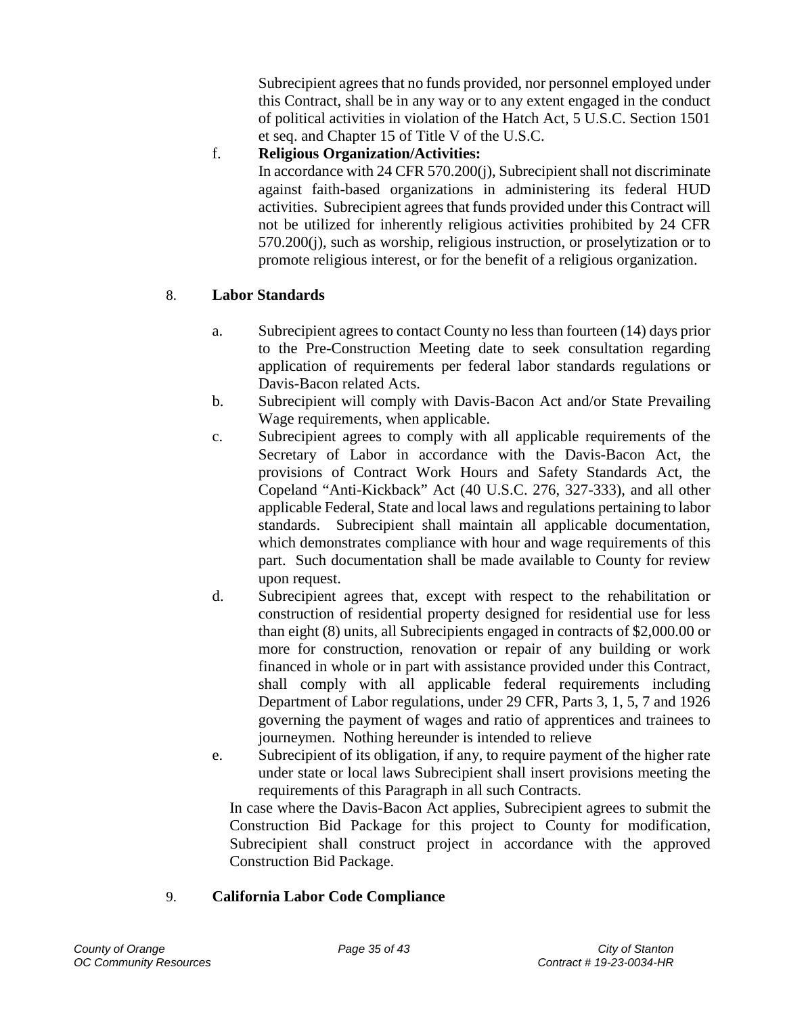Subrecipient agrees that no funds provided, nor personnel employed under this Contract, shall be in any way or to any extent engaged in the conduct of political activities in violation of the Hatch Act, 5 U.S.C. Section 1501 et seq. and Chapter 15 of Title V of the U.S.C.

f. **Religious Organization/Activities:** 

In accordance with 24 CFR 570.200(j), Subrecipient shall not discriminate against faith-based organizations in administering its federal HUD activities. Subrecipient agrees that funds provided under this Contract will not be utilized for inherently religious activities prohibited by 24 CFR 570.200(j), such as worship, religious instruction, or proselytization or to promote religious interest, or for the benefit of a religious organization.

## 8. **Labor Standards**

- a. Subrecipient agrees to contact County no less than fourteen (14) days prior to the Pre-Construction Meeting date to seek consultation regarding application of requirements per federal labor standards regulations or Davis-Bacon related Acts.
- b. Subrecipient will comply with Davis-Bacon Act and/or State Prevailing Wage requirements, when applicable.
- c. Subrecipient agrees to comply with all applicable requirements of the Secretary of Labor in accordance with the Davis-Bacon Act, the provisions of Contract Work Hours and Safety Standards Act, the Copeland "Anti-Kickback" Act (40 U.S.C. 276, 327-333), and all other applicable Federal, State and local laws and regulations pertaining to labor standards. Subrecipient shall maintain all applicable documentation, which demonstrates compliance with hour and wage requirements of this part. Such documentation shall be made available to County for review upon request.
- d. Subrecipient agrees that, except with respect to the rehabilitation or construction of residential property designed for residential use for less than eight (8) units, all Subrecipients engaged in contracts of \$2,000.00 or more for construction, renovation or repair of any building or work financed in whole or in part with assistance provided under this Contract, shall comply with all applicable federal requirements including Department of Labor regulations, under 29 CFR, Parts 3, 1, 5, 7 and 1926 governing the payment of wages and ratio of apprentices and trainees to journeymen. Nothing hereunder is intended to relieve
- e. Subrecipient of its obligation, if any, to require payment of the higher rate under state or local laws Subrecipient shall insert provisions meeting the requirements of this Paragraph in all such Contracts.

In case where the Davis-Bacon Act applies, Subrecipient agrees to submit the Construction Bid Package for this project to County for modification, Subrecipient shall construct project in accordance with the approved Construction Bid Package.

### 9. **California Labor Code Compliance**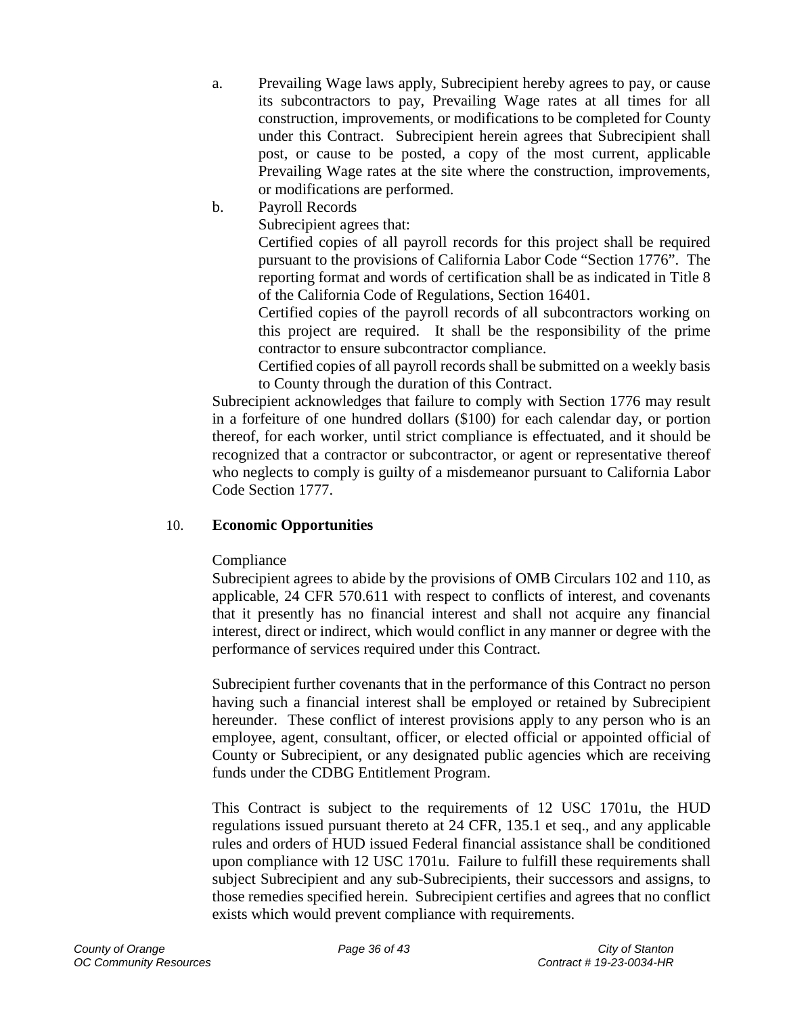- a. Prevailing Wage laws apply, Subrecipient hereby agrees to pay, or cause its subcontractors to pay, Prevailing Wage rates at all times for all construction, improvements, or modifications to be completed for County under this Contract. Subrecipient herein agrees that Subrecipient shall post, or cause to be posted, a copy of the most current, applicable Prevailing Wage rates at the site where the construction, improvements, or modifications are performed.
- b. Payroll Records

Subrecipient agrees that:

Certified copies of all payroll records for this project shall be required pursuant to the provisions of California Labor Code "Section 1776". The reporting format and words of certification shall be as indicated in Title 8 of the California Code of Regulations, Section 16401.

Certified copies of the payroll records of all subcontractors working on this project are required. It shall be the responsibility of the prime contractor to ensure subcontractor compliance.

Certified copies of all payroll records shall be submitted on a weekly basis to County through the duration of this Contract.

Subrecipient acknowledges that failure to comply with Section 1776 may result in a forfeiture of one hundred dollars (\$100) for each calendar day, or portion thereof, for each worker, until strict compliance is effectuated, and it should be recognized that a contractor or subcontractor, or agent or representative thereof who neglects to comply is guilty of a misdemeanor pursuant to California Labor Code Section 1777.

#### 10. **Economic Opportunities**

#### Compliance

Subrecipient agrees to abide by the provisions of OMB Circulars 102 and 110, as applicable, 24 CFR 570.611 with respect to conflicts of interest, and covenants that it presently has no financial interest and shall not acquire any financial interest, direct or indirect, which would conflict in any manner or degree with the performance of services required under this Contract.

Subrecipient further covenants that in the performance of this Contract no person having such a financial interest shall be employed or retained by Subrecipient hereunder. These conflict of interest provisions apply to any person who is an employee, agent, consultant, officer, or elected official or appointed official of County or Subrecipient, or any designated public agencies which are receiving funds under the CDBG Entitlement Program.

This Contract is subject to the requirements of 12 USC 1701u, the HUD regulations issued pursuant thereto at 24 CFR, 135.1 et seq., and any applicable rules and orders of HUD issued Federal financial assistance shall be conditioned upon compliance with 12 USC 1701u. Failure to fulfill these requirements shall subject Subrecipient and any sub-Subrecipients, their successors and assigns, to those remedies specified herein. Subrecipient certifies and agrees that no conflict exists which would prevent compliance with requirements.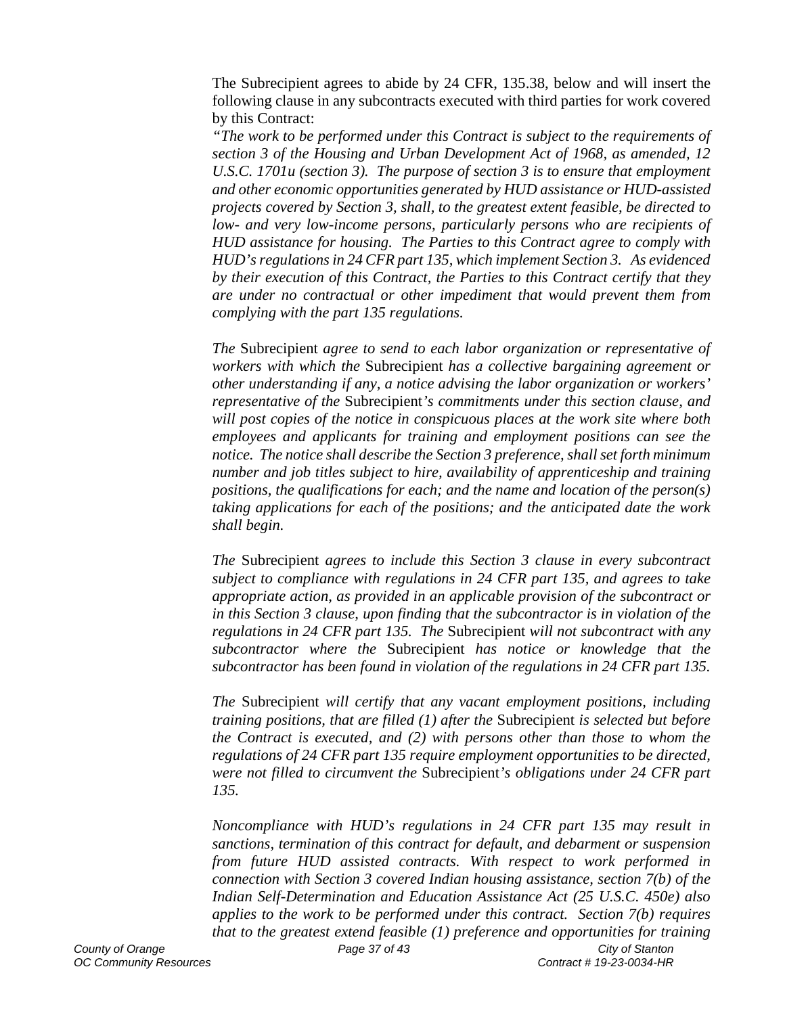The Subrecipient agrees to abide by 24 CFR, 135.38, below and will insert the following clause in any subcontracts executed with third parties for work covered by this Contract:

*"The work to be performed under this Contract is subject to the requirements of section 3 of the Housing and Urban Development Act of 1968, as amended, 12 U.S.C. 1701u (section 3). The purpose of section 3 is to ensure that employment and other economic opportunities generated by HUD assistance or HUD-assisted projects covered by Section 3, shall, to the greatest extent feasible, be directed to low- and very low-income persons, particularly persons who are recipients of HUD assistance for housing. The Parties to this Contract agree to comply with HUD's regulations in 24 CFR part 135, which implement Section 3. As evidenced by their execution of this Contract, the Parties to this Contract certify that they are under no contractual or other impediment that would prevent them from complying with the part 135 regulations.*

*The* Subrecipient *agree to send to each labor organization or representative of workers with which the* Subrecipient *has a collective bargaining agreement or other understanding if any, a notice advising the labor organization or workers' representative of the* Subrecipient*'s commitments under this section clause, and will post copies of the notice in conspicuous places at the work site where both employees and applicants for training and employment positions can see the notice. The notice shall describe the Section 3 preference, shall set forth minimum number and job titles subject to hire, availability of apprenticeship and training positions, the qualifications for each; and the name and location of the person(s) taking applications for each of the positions; and the anticipated date the work shall begin.*

*The* Subrecipient *agrees to include this Section 3 clause in every subcontract subject to compliance with regulations in 24 CFR part 135, and agrees to take appropriate action, as provided in an applicable provision of the subcontract or in this Section 3 clause, upon finding that the subcontractor is in violation of the regulations in 24 CFR part 135. The* Subrecipient *will not subcontract with any subcontractor where the* Subrecipient *has notice or knowledge that the subcontractor has been found in violation of the regulations in 24 CFR part 135.*

*The* Subrecipient *will certify that any vacant employment positions, including training positions, that are filled (1) after the* Subrecipient *is selected but before the Contract is executed, and (2) with persons other than those to whom the regulations of 24 CFR part 135 require employment opportunities to be directed, were not filled to circumvent the* Subrecipient*'s obligations under 24 CFR part 135.*

*Noncompliance with HUD's regulations in 24 CFR part 135 may result in sanctions, termination of this contract for default, and debarment or suspension from future HUD assisted contracts. With respect to work performed in connection with Section 3 covered Indian housing assistance, section 7(b) of the Indian Self-Determination and Education Assistance Act (25 U.S.C. 450e) also applies to the work to be performed under this contract. Section 7(b) requires that to the greatest extend feasible (1) preference and opportunities for training*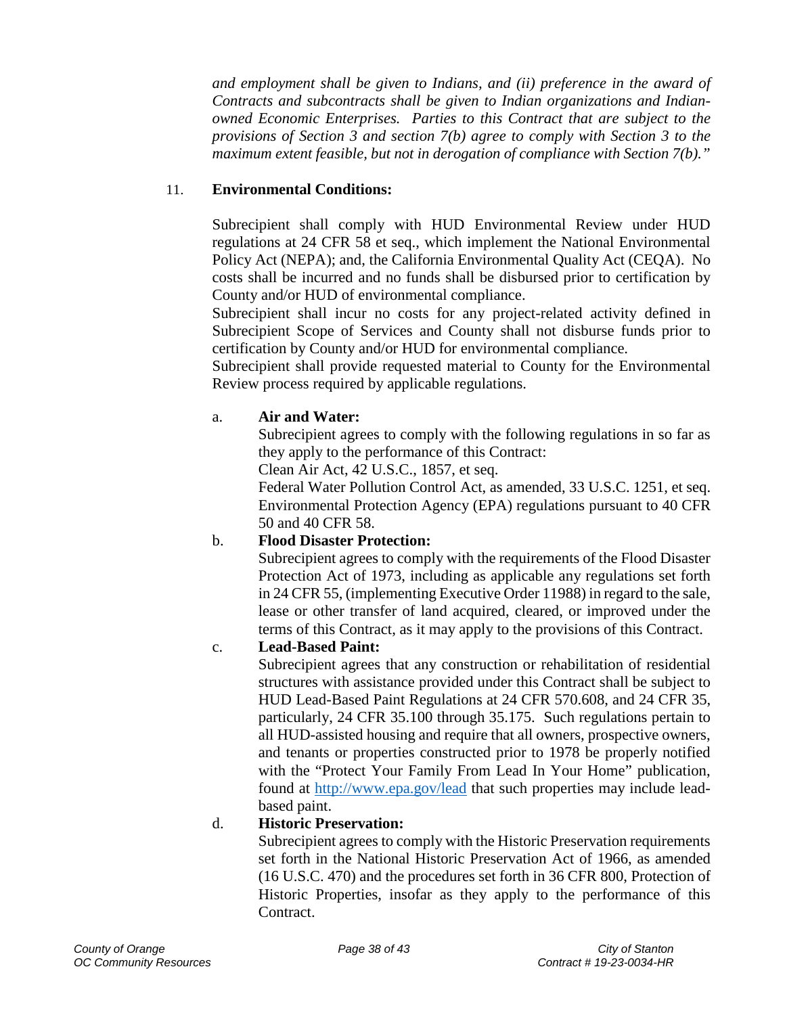*and employment shall be given to Indians, and (ii) preference in the award of Contracts and subcontracts shall be given to Indian organizations and Indianowned Economic Enterprises. Parties to this Contract that are subject to the provisions of Section 3 and section 7(b) agree to comply with Section 3 to the maximum extent feasible, but not in derogation of compliance with Section 7(b)."*

## 11. **Environmental Conditions:**

Subrecipient shall comply with HUD Environmental Review under HUD regulations at 24 CFR 58 et seq., which implement the National Environmental Policy Act (NEPA); and, the California Environmental Quality Act (CEQA). No costs shall be incurred and no funds shall be disbursed prior to certification by County and/or HUD of environmental compliance.

Subrecipient shall incur no costs for any project-related activity defined in Subrecipient Scope of Services and County shall not disburse funds prior to certification by County and/or HUD for environmental compliance.

Subrecipient shall provide requested material to County for the Environmental Review process required by applicable regulations.

#### a. **Air and Water:**

Subrecipient agrees to comply with the following regulations in so far as they apply to the performance of this Contract:

Clean Air Act, 42 U.S.C., 1857, et seq.

Federal Water Pollution Control Act, as amended, 33 U.S.C. 1251, et seq. Environmental Protection Agency (EPA) regulations pursuant to 40 CFR 50 and 40 CFR 58.

### b. **Flood Disaster Protection:**

Subrecipient agrees to comply with the requirements of the Flood Disaster Protection Act of 1973, including as applicable any regulations set forth in 24 CFR 55, (implementing Executive Order 11988) in regard to the sale, lease or other transfer of land acquired, cleared, or improved under the terms of this Contract, as it may apply to the provisions of this Contract.

### c. **Lead-Based Paint:**

Subrecipient agrees that any construction or rehabilitation of residential structures with assistance provided under this Contract shall be subject to HUD Lead-Based Paint Regulations at 24 CFR 570.608, and 24 CFR 35, particularly, 24 CFR 35.100 through 35.175. Such regulations pertain to all HUD-assisted housing and require that all owners, prospective owners, and tenants or properties constructed prior to 1978 be properly notified with the "Protect Your Family From Lead In Your Home" publication, found at<http://www.epa.gov/lead> that such properties may include leadbased paint.

### d. **Historic Preservation:**

Subrecipient agrees to comply with the Historic Preservation requirements set forth in the National Historic Preservation Act of 1966, as amended (16 U.S.C. 470) and the procedures set forth in 36 CFR 800, Protection of Historic Properties, insofar as they apply to the performance of this Contract.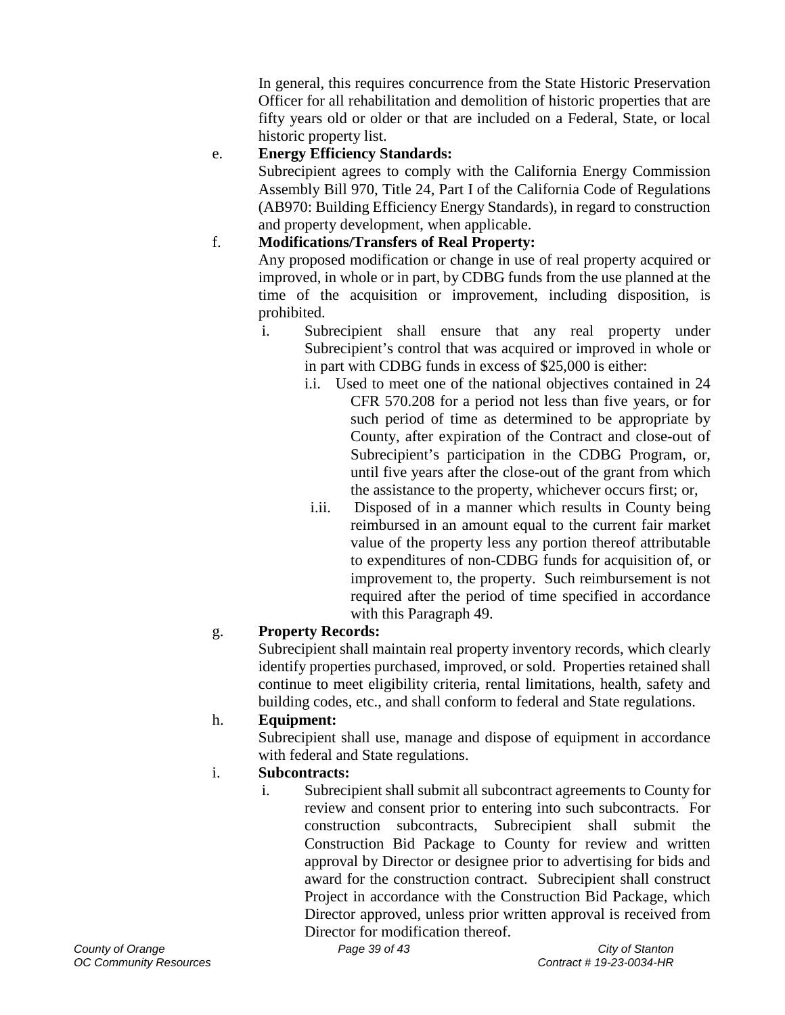In general, this requires concurrence from the State Historic Preservation Officer for all rehabilitation and demolition of historic properties that are fifty years old or older or that are included on a Federal, State, or local historic property list.

# e. **Energy Efficiency Standards:**

Subrecipient agrees to comply with the California Energy Commission Assembly Bill 970, Title 24, Part I of the California Code of Regulations (AB970: Building Efficiency Energy Standards), in regard to construction and property development, when applicable.

# f. **Modifications/Transfers of Real Property:**

Any proposed modification or change in use of real property acquired or improved, in whole or in part, by CDBG funds from the use planned at the time of the acquisition or improvement, including disposition, is prohibited.

- i. Subrecipient shall ensure that any real property under Subrecipient's control that was acquired or improved in whole or in part with CDBG funds in excess of \$25,000 is either:
	- i.i. Used to meet one of the national objectives contained in 24 CFR 570.208 for a period not less than five years, or for such period of time as determined to be appropriate by County, after expiration of the Contract and close-out of Subrecipient's participation in the CDBG Program, or, until five years after the close-out of the grant from which the assistance to the property, whichever occurs first; or,
	- i.ii. Disposed of in a manner which results in County being reimbursed in an amount equal to the current fair market value of the property less any portion thereof attributable to expenditures of non-CDBG funds for acquisition of, or improvement to, the property. Such reimbursement is not required after the period of time specified in accordance with this Paragraph 49.

# g. **Property Records:**

Subrecipient shall maintain real property inventory records, which clearly identify properties purchased, improved, or sold. Properties retained shall continue to meet eligibility criteria, rental limitations, health, safety and building codes, etc., and shall conform to federal and State regulations.

## h. **Equipment:**

Subrecipient shall use, manage and dispose of equipment in accordance with federal and State regulations.

## i. **Subcontracts:**

i. Subrecipient shall submit all subcontract agreements to County for review and consent prior to entering into such subcontracts. For construction subcontracts, Subrecipient shall submit the Construction Bid Package to County for review and written approval by Director or designee prior to advertising for bids and award for the construction contract. Subrecipient shall construct Project in accordance with the Construction Bid Package, which Director approved, unless prior written approval is received from Director for modification thereof.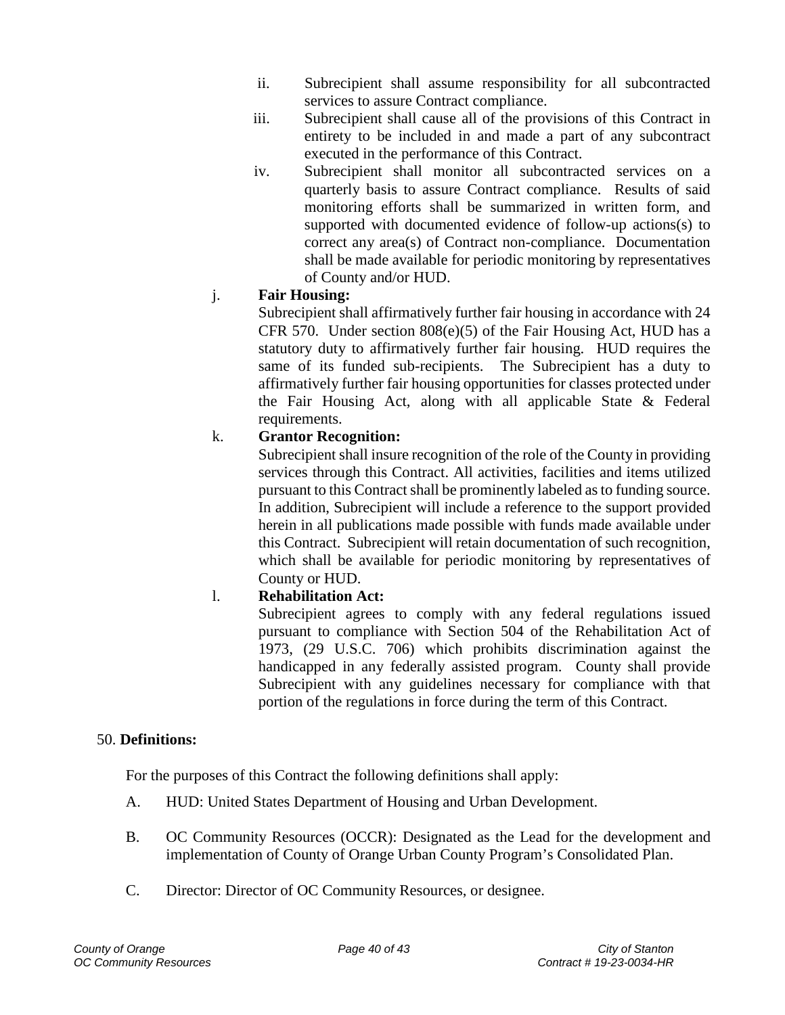- ii. Subrecipient shall assume responsibility for all subcontracted services to assure Contract compliance.
- iii. Subrecipient shall cause all of the provisions of this Contract in entirety to be included in and made a part of any subcontract executed in the performance of this Contract.
- iv. Subrecipient shall monitor all subcontracted services on a quarterly basis to assure Contract compliance. Results of said monitoring efforts shall be summarized in written form, and supported with documented evidence of follow-up actions(s) to correct any area(s) of Contract non-compliance. Documentation shall be made available for periodic monitoring by representatives of County and/or HUD.

## j. **Fair Housing:**

Subrecipient shall affirmatively further fair housing in accordance with 24 CFR 570. Under section  $808(e)(5)$  of the Fair Housing Act, HUD has a statutory duty to affirmatively further fair housing. HUD requires the same of its funded sub-recipients. The Subrecipient has a duty to affirmatively further fair housing opportunities for classes protected under the Fair Housing Act, along with all applicable State & Federal requirements.

## k. **Grantor Recognition:**

Subrecipient shall insure recognition of the role of the County in providing services through this Contract. All activities, facilities and items utilized pursuant to this Contract shall be prominently labeled as to funding source. In addition, Subrecipient will include a reference to the support provided herein in all publications made possible with funds made available under this Contract. Subrecipient will retain documentation of such recognition, which shall be available for periodic monitoring by representatives of County or HUD.

## l. **Rehabilitation Act:**

Subrecipient agrees to comply with any federal regulations issued pursuant to compliance with Section 504 of the Rehabilitation Act of 1973, (29 U.S.C. 706) which prohibits discrimination against the handicapped in any federally assisted program. County shall provide Subrecipient with any guidelines necessary for compliance with that portion of the regulations in force during the term of this Contract.

## <span id="page-39-0"></span>50. **Definitions:**

For the purposes of this Contract the following definitions shall apply:

- A. HUD: United States Department of Housing and Urban Development.
- B. OC Community Resources (OCCR): Designated as the Lead for the development and implementation of County of Orange Urban County Program's Consolidated Plan.
- C. Director: Director of OC Community Resources, or designee.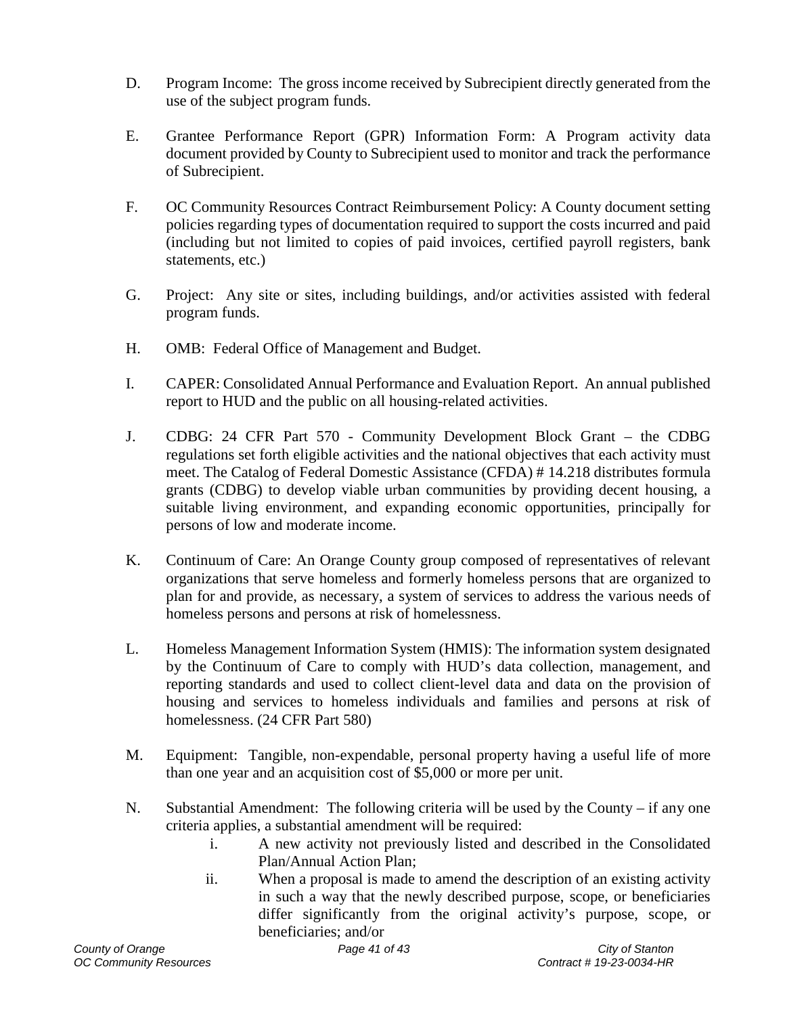- D. Program Income: The gross income received by Subrecipient directly generated from the use of the subject program funds.
- E. Grantee Performance Report (GPR) Information Form: A Program activity data document provided by County to Subrecipient used to monitor and track the performance of Subrecipient.
- F. OC Community Resources Contract Reimbursement Policy: A County document setting policies regarding types of documentation required to support the costs incurred and paid (including but not limited to copies of paid invoices, certified payroll registers, bank statements, etc.)
- G. Project: Any site or sites, including buildings, and/or activities assisted with federal program funds.
- H. OMB: Federal Office of Management and Budget.
- I. CAPER: Consolidated Annual Performance and Evaluation Report. An annual published report to HUD and the public on all housing-related activities.
- J. CDBG: 24 CFR Part 570 Community Development Block Grant the CDBG regulations set forth eligible activities and the national objectives that each activity must meet. The Catalog of Federal Domestic Assistance (CFDA) # 14.218 distributes formula grants (CDBG) to develop viable urban communities by providing decent housing, a suitable living environment, and expanding economic opportunities, principally for persons of low and moderate income.
- K. Continuum of Care: An Orange County group composed of representatives of relevant organizations that serve homeless and formerly homeless persons that are organized to plan for and provide, as necessary, a system of services to address the various needs of homeless persons and persons at risk of homelessness.
- L. Homeless Management Information System (HMIS): The information system designated by the Continuum of Care to comply with HUD's data collection, management, and reporting standards and used to collect client-level data and data on the provision of housing and services to homeless individuals and families and persons at risk of homelessness. (24 CFR Part 580)
- M. Equipment: Tangible, non-expendable, personal property having a useful life of more than one year and an acquisition cost of \$5,000 or more per unit.
- N. Substantial Amendment: The following criteria will be used by the County if any one criteria applies, a substantial amendment will be required:
	- i. A new activity not previously listed and described in the Consolidated Plan/Annual Action Plan;
	- ii. When a proposal is made to amend the description of an existing activity in such a way that the newly described purpose, scope, or beneficiaries differ significantly from the original activity's purpose, scope, or beneficiaries; and/or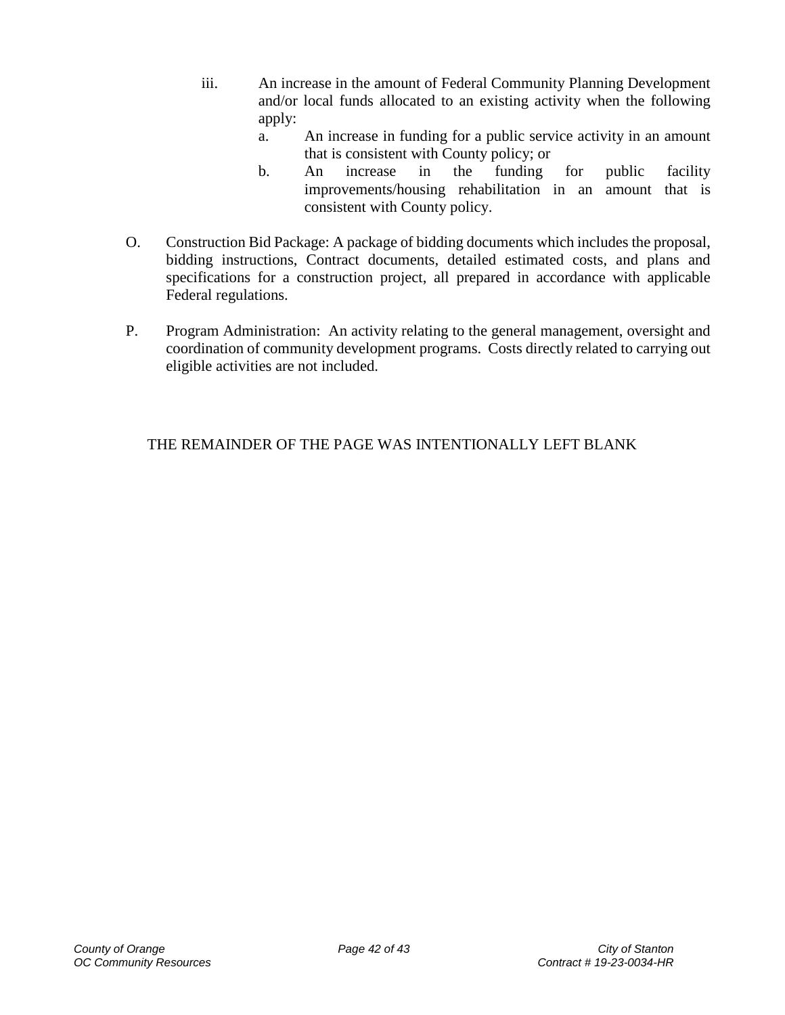- iii. An increase in the amount of Federal Community Planning Development and/or local funds allocated to an existing activity when the following apply:
	- a. An increase in funding for a public service activity in an amount that is consistent with County policy; or
	- b. An increase in the funding for public facility improvements/housing rehabilitation in an amount that is consistent with County policy.
- O. Construction Bid Package: A package of bidding documents which includes the proposal, bidding instructions, Contract documents, detailed estimated costs, and plans and specifications for a construction project, all prepared in accordance with applicable Federal regulations.
- P. Program Administration: An activity relating to the general management, oversight and coordination of community development programs. Costs directly related to carrying out eligible activities are not included.

THE REMAINDER OF THE PAGE WAS INTENTIONALLY LEFT BLANK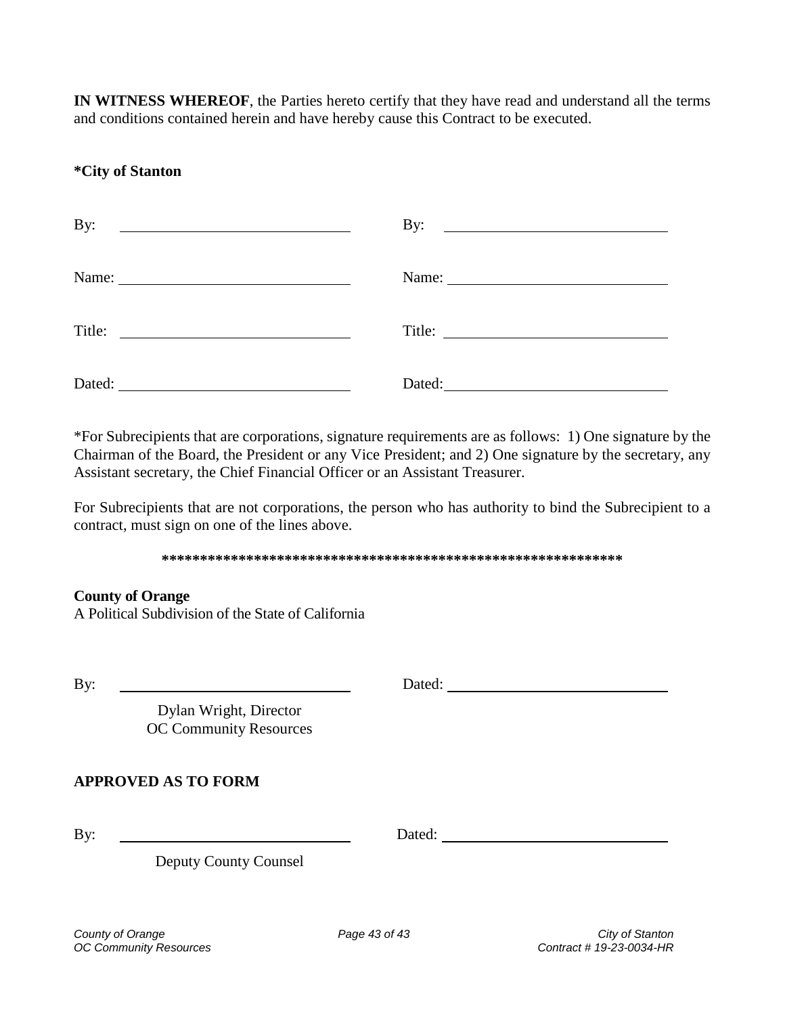**IN WITNESS WHEREOF**, the Parties hereto certify that they have read and understand all the terms and conditions contained herein and have hereby cause this Contract to be executed.

## **\*City of Stanton**

| By:<br><u> 1989 - Johann Barn, mars ann an t-Amhainn an t-Amhainn an t-Amhainn an t-Amhainn an t-Amhainn an t-Amhainn an </u>                                                                                                                  | By:<br><u> Alexandria de la contrada de la contrada de la contrada de la contrada de la contrada de la contrada de la c</u> |
|------------------------------------------------------------------------------------------------------------------------------------------------------------------------------------------------------------------------------------------------|-----------------------------------------------------------------------------------------------------------------------------|
|                                                                                                                                                                                                                                                |                                                                                                                             |
| Title:<br><u> 1980 - Jan Samuel Barbara, margaret e populazion del control del control del control del control de la control de la control de la control de la control de la control de la control de la control de la control de la contr</u> | Title:                                                                                                                      |
| Dated:                                                                                                                                                                                                                                         | Dated:                                                                                                                      |

\*For Subrecipients that are corporations, signature requirements are as follows: 1) One signature by the Chairman of the Board, the President or any Vice President; and 2) One signature by the secretary, any Assistant secretary, the Chief Financial Officer or an Assistant Treasurer.

For Subrecipients that are not corporations, the person who has authority to bind the Subrecipient to a contract, must sign on one of the lines above.

#### **\*\*\*\*\*\*\*\*\*\*\*\*\*\*\*\*\*\*\*\*\*\*\*\*\*\*\*\*\*\*\*\*\*\*\*\*\*\*\*\*\*\*\*\*\*\*\*\*\*\*\*\*\*\*\*\*\*\*\*\***

#### **County of Orange**

A Political Subdivision of the State of California

By: Dated:

Dylan Wright, Director OC Community Resources

### **APPROVED AS TO FORM**

By: Dated:

Deputy County Counsel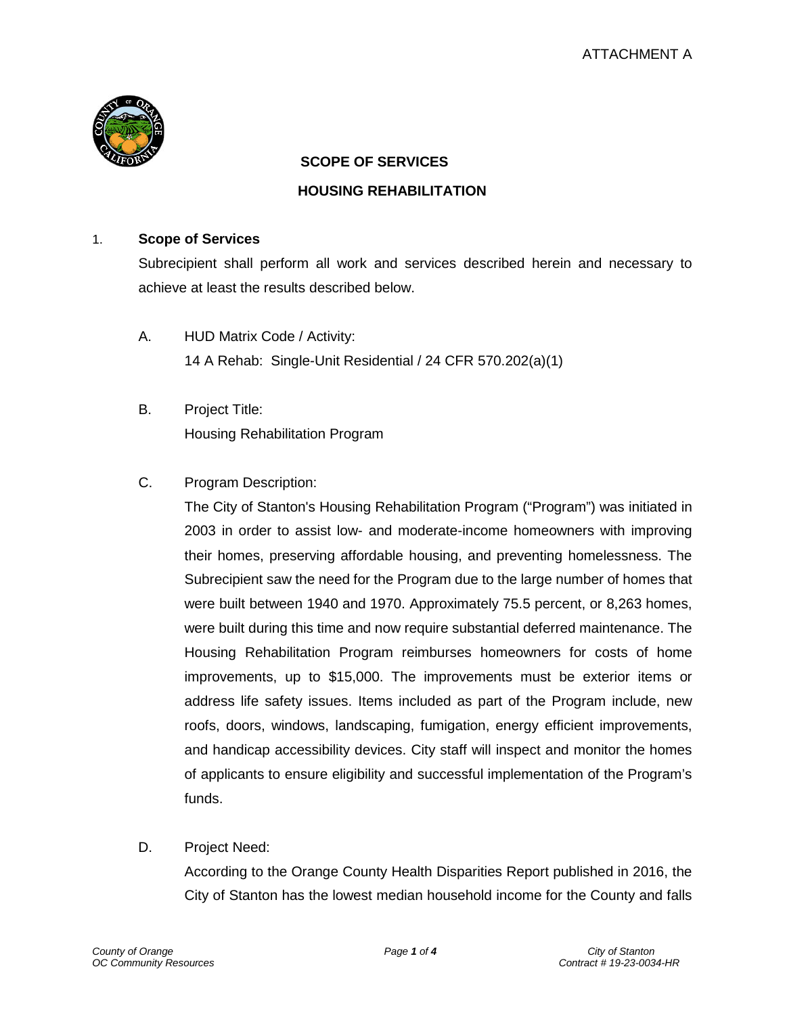

#### **SCOPE OF SERVICES**

#### **HOUSING REHABILITATION**

#### 1. **Scope of Services**

Subrecipient shall perform all work and services described herein and necessary to achieve at least the results described below.

- A. HUD Matrix Code / Activity: 14 A Rehab: Single-Unit Residential / 24 CFR 570.202(a)(1)
- B. Project Title: Housing Rehabilitation Program
- C. Program Description:

The City of Stanton's Housing Rehabilitation Program ("Program") was initiated in 2003 in order to assist low- and moderate-income homeowners with improving their homes, preserving affordable housing, and preventing homelessness. The Subrecipient saw the need for the Program due to the large number of homes that were built between 1940 and 1970. Approximately 75.5 percent, or 8,263 homes, were built during this time and now require substantial deferred maintenance. The Housing Rehabilitation Program reimburses homeowners for costs of home improvements, up to \$15,000. The improvements must be exterior items or address life safety issues. Items included as part of the Program include, new roofs, doors, windows, landscaping, fumigation, energy efficient improvements, and handicap accessibility devices. City staff will inspect and monitor the homes of applicants to ensure eligibility and successful implementation of the Program's funds.

D. Project Need:

According to the Orange County Health Disparities Report published in 2016, the City of Stanton has the lowest median household income for the County and falls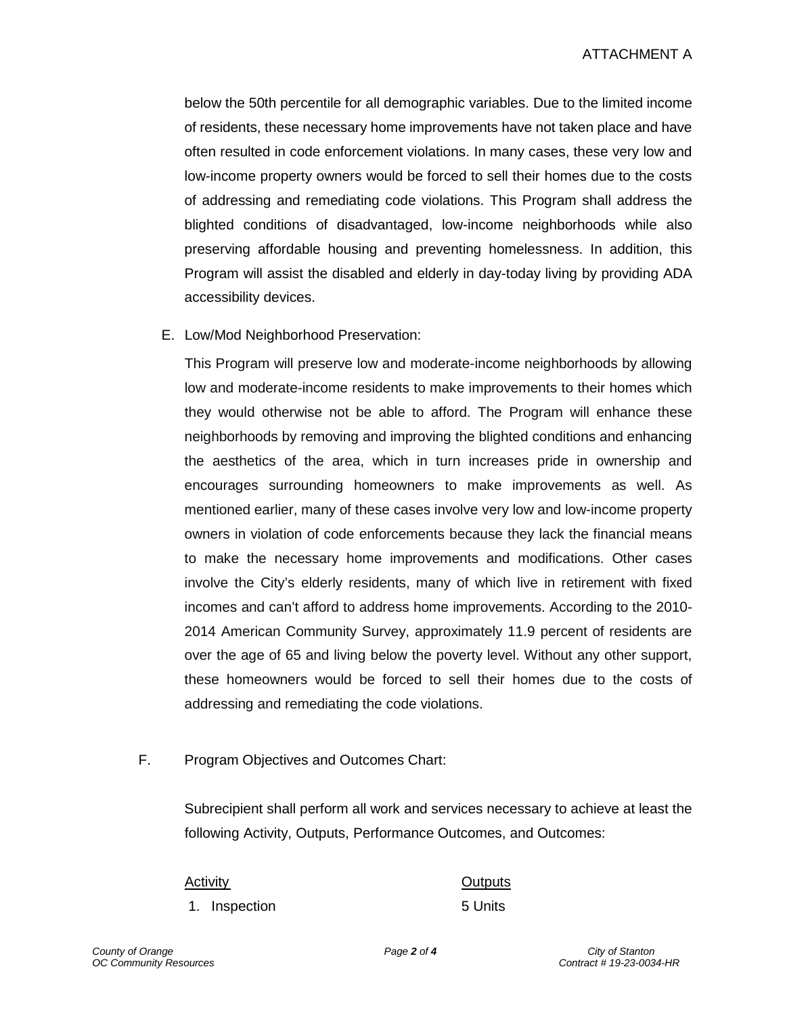below the 50th percentile for all demographic variables. Due to the limited income of residents, these necessary home improvements have not taken place and have often resulted in code enforcement violations. In many cases, these very low and low-income property owners would be forced to sell their homes due to the costs of addressing and remediating code violations. This Program shall address the blighted conditions of disadvantaged, low-income neighborhoods while also preserving affordable housing and preventing homelessness. In addition, this Program will assist the disabled and elderly in day-today living by providing ADA accessibility devices.

E. Low/Mod Neighborhood Preservation:

This Program will preserve low and moderate-income neighborhoods by allowing low and moderate-income residents to make improvements to their homes which they would otherwise not be able to afford. The Program will enhance these neighborhoods by removing and improving the blighted conditions and enhancing the aesthetics of the area, which in turn increases pride in ownership and encourages surrounding homeowners to make improvements as well. As mentioned earlier, many of these cases involve very low and low-income property owners in violation of code enforcements because they lack the financial means to make the necessary home improvements and modifications. Other cases involve the City's elderly residents, many of which live in retirement with fixed incomes and can't afford to address home improvements. According to the 2010- 2014 American Community Survey, approximately 11.9 percent of residents are over the age of 65 and living below the poverty level. Without any other support, these homeowners would be forced to sell their homes due to the costs of addressing and remediating the code violations.

F. Program Objectives and Outcomes Chart:

Subrecipient shall perform all work and services necessary to achieve at least the following Activity, Outputs, Performance Outcomes, and Outcomes:

1. Inspection 5 Units

Activity **Contract Contract Contract Contract Contract Contract Contract Contract Contract Contract Contract Co**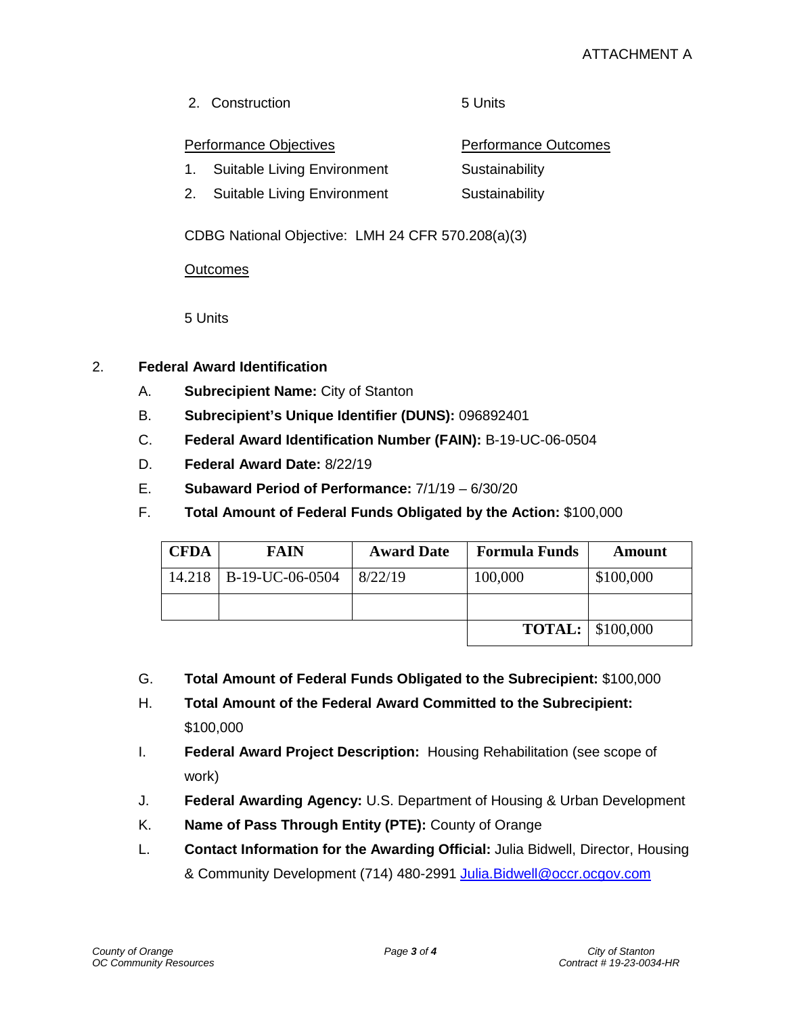2. Construction 5 Units

#### Performance Objectives **Performance Outcomes**

- 1. Suitable Living Environment Sustainability
- 2. Suitable Living Environment Sustainability

CDBG National Objective: LMH 24 CFR 570.208(a)(3)

#### **Outcomes**

5 Units

- 2. **Federal Award Identification** 
	- A. **Subrecipient Name:** City of Stanton
	- B. **Subrecipient's Unique Identifier (DUNS):** 096892401
	- C. **Federal Award Identification Number (FAIN):** B-19-UC-06-0504
	- D. **Federal Award Date:** 8/22/19
	- E. **Subaward Period of Performance:** 7/1/19 6/30/20
	- F. **Total Amount of Federal Funds Obligated by the Action:** \$100,000

| <b>CFDA</b> | <b>FAIN</b>              | <b>Award Date</b> | <b>Formula Funds</b> | Amount                  |
|-------------|--------------------------|-------------------|----------------------|-------------------------|
|             | 14.218   B-19-UC-06-0504 | 8/22/19           | 100,000              | \$100,000               |
|             |                          |                   |                      |                         |
|             |                          |                   | <b>TOTAL:</b>        | $\frac{1}{2}$ \$100,000 |

- G. **Total Amount of Federal Funds Obligated to the Subrecipient:** \$100,000
- H. **Total Amount of the Federal Award Committed to the Subrecipient:**  \$100,000
- I. **Federal Award Project Description:** Housing Rehabilitation (see scope of work)
- J. **Federal Awarding Agency:** U.S. Department of Housing & Urban Development
- K. **Name of Pass Through Entity (PTE):** County of Orange
- L. **Contact Information for the Awarding Official:** Julia Bidwell, Director, Housing & Community Development (714) 480-2991 Julia. Bidwell@occr.ocgov.com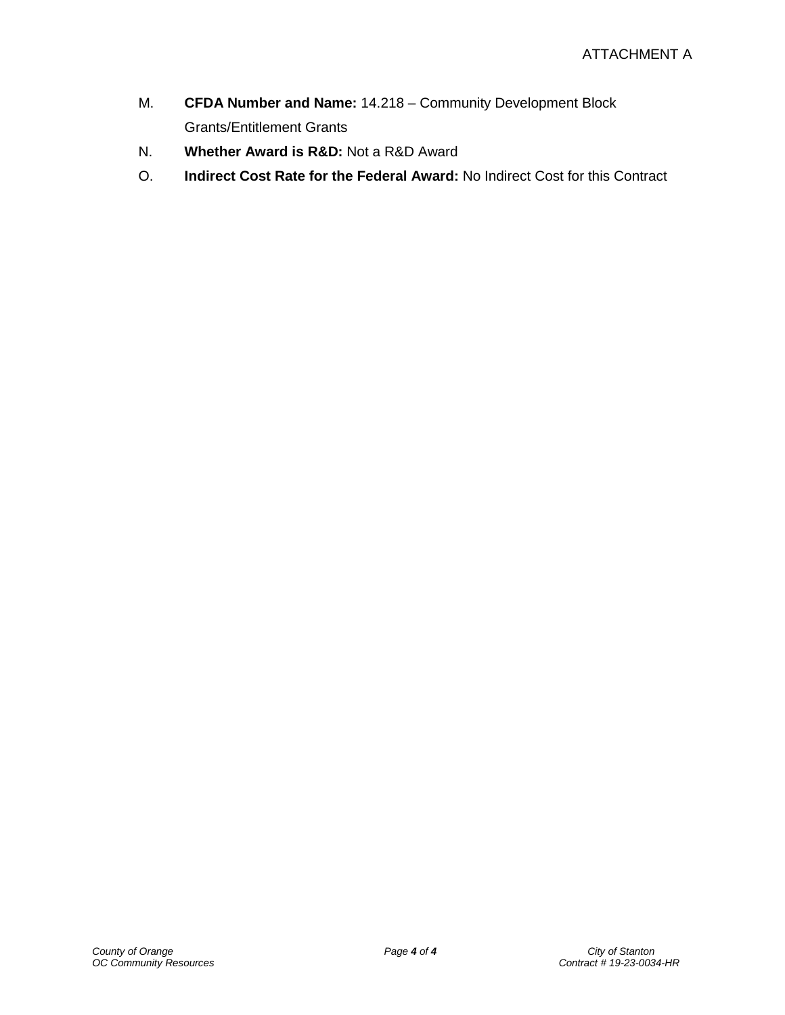- M. **CFDA Number and Name:** 14.218 Community Development Block Grants/Entitlement Grants
- N. **Whether Award is R&D:** Not a R&D Award
- O. **Indirect Cost Rate for the Federal Award:** No Indirect Cost for this Contract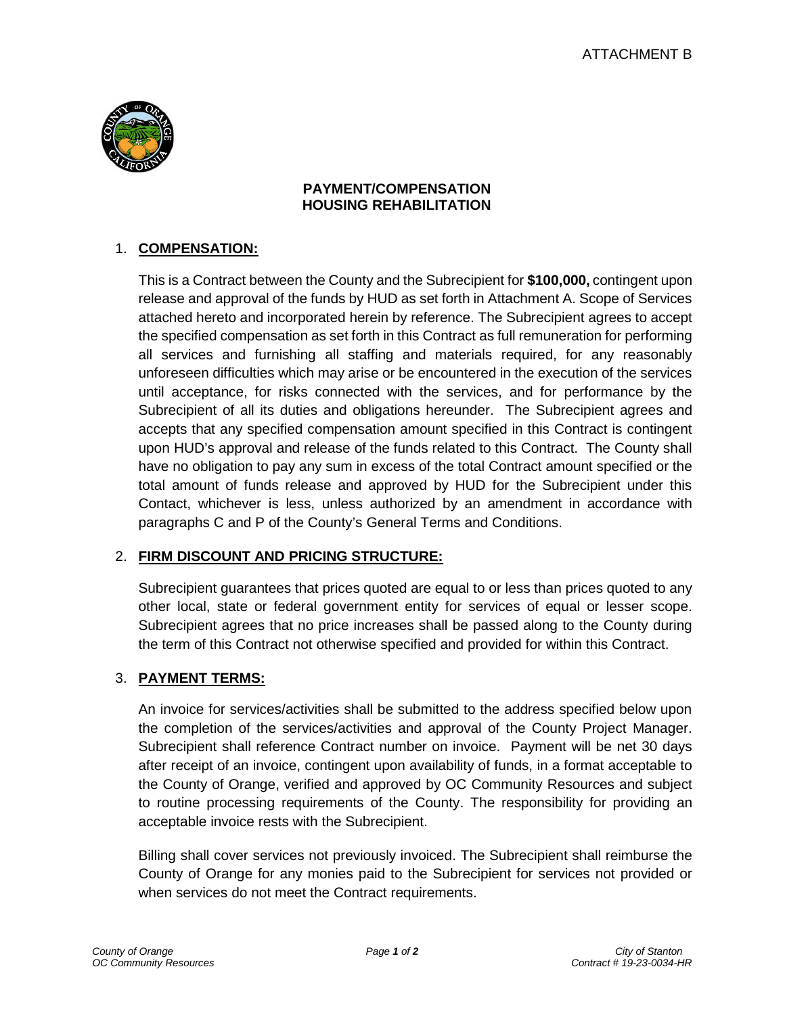

### **PAYMENT/COMPENSATION HOUSING REHABILITATION**

## 1. **COMPENSATION:**

This is a Contract between the County and the Subrecipient for **\$100,000,** contingent upon release and approval of the funds by HUD as set forth in Attachment A. Scope of Services attached hereto and incorporated herein by reference. The Subrecipient agrees to accept the specified compensation as set forth in this Contract as full remuneration for performing all services and furnishing all staffing and materials required, for any reasonably unforeseen difficulties which may arise or be encountered in the execution of the services until acceptance, for risks connected with the services, and for performance by the Subrecipient of all its duties and obligations hereunder. The Subrecipient agrees and accepts that any specified compensation amount specified in this Contract is contingent upon HUD's approval and release of the funds related to this Contract. The County shall have no obligation to pay any sum in excess of the total Contract amount specified or the total amount of funds release and approved by HUD for the Subrecipient under this Contact, whichever is less, unless authorized by an amendment in accordance with paragraphs C and P of the County's General Terms and Conditions.

### 2. **FIRM DISCOUNT AND PRICING STRUCTURE:**

Subrecipient guarantees that prices quoted are equal to or less than prices quoted to any other local, state or federal government entity for services of equal or lesser scope. Subrecipient agrees that no price increases shall be passed along to the County during the term of this Contract not otherwise specified and provided for within this Contract.

### 3. **PAYMENT TERMS:**

An invoice for services/activities shall be submitted to the address specified below upon the completion of the services/activities and approval of the County Project Manager. Subrecipient shall reference Contract number on invoice. Payment will be net 30 days after receipt of an invoice, contingent upon availability of funds, in a format acceptable to the County of Orange, verified and approved by OC Community Resources and subject to routine processing requirements of the County. The responsibility for providing an acceptable invoice rests with the Subrecipient.

Billing shall cover services not previously invoiced. The Subrecipient shall reimburse the County of Orange for any monies paid to the Subrecipient for services not provided or when services do not meet the Contract requirements.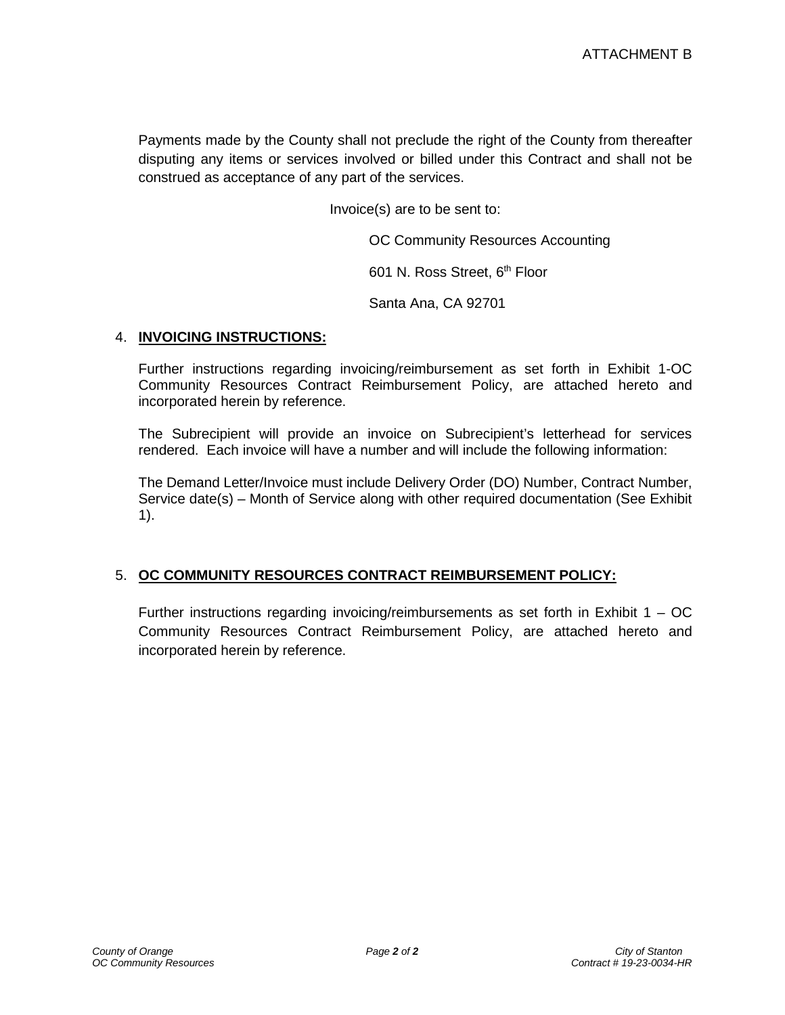Payments made by the County shall not preclude the right of the County from thereafter disputing any items or services involved or billed under this Contract and shall not be construed as acceptance of any part of the services.

Invoice(s) are to be sent to:

OC Community Resources Accounting

601 N. Ross Street, 6<sup>th</sup> Floor

Santa Ana, CA 92701

#### 4. **INVOICING INSTRUCTIONS:**

Further instructions regarding invoicing/reimbursement as set forth in Exhibit 1-OC Community Resources Contract Reimbursement Policy, are attached hereto and incorporated herein by reference.

The Subrecipient will provide an invoice on Subrecipient's letterhead for services rendered. Each invoice will have a number and will include the following information:

The Demand Letter/Invoice must include Delivery Order (DO) Number, Contract Number, Service date(s) – Month of Service along with other required documentation (See Exhibit 1).

#### 5. **OC COMMUNITY RESOURCES CONTRACT REIMBURSEMENT POLICY:**

Further instructions regarding invoicing/reimbursements as set forth in Exhibit  $1 - OC$ Community Resources Contract Reimbursement Policy, are attached hereto and incorporated herein by reference.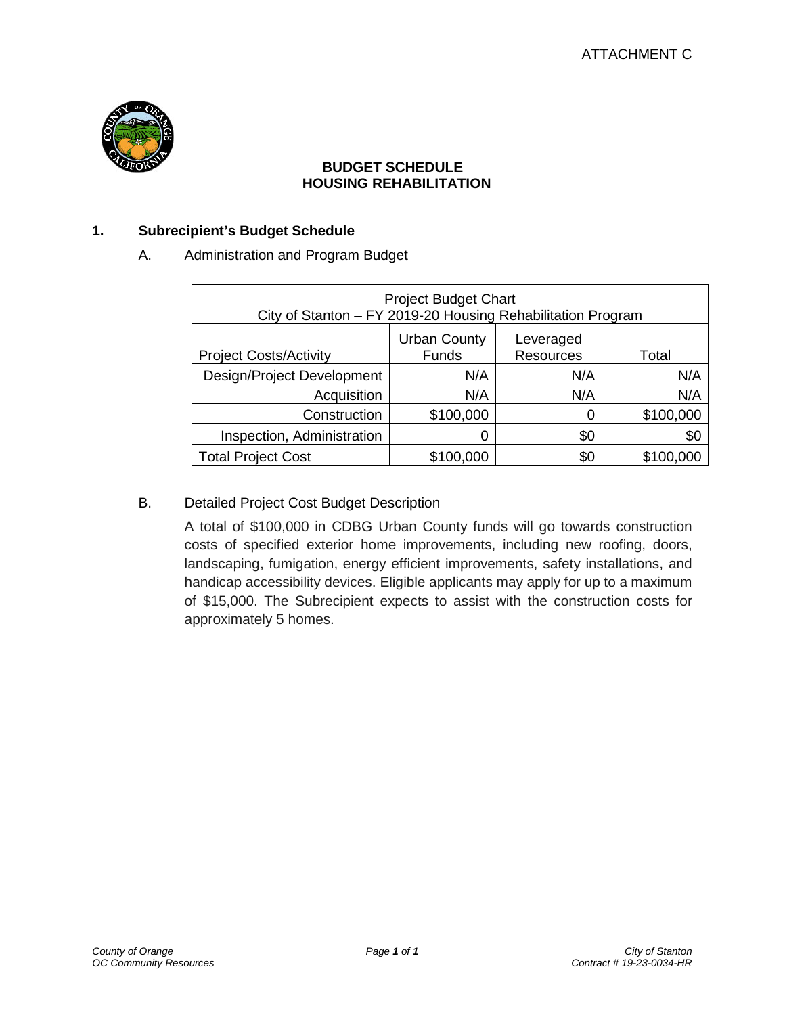

#### **BUDGET SCHEDULE HOUSING REHABILITATION**

#### **1. Subrecipient's Budget Schedule**

#### A. Administration and Program Budget

| <b>Project Budget Chart</b><br>City of Stanton - FY 2019-20 Housing Rehabilitation Program                     |           |     |           |  |
|----------------------------------------------------------------------------------------------------------------|-----------|-----|-----------|--|
| <b>Urban County</b><br>Leveraged<br><b>Funds</b><br><b>Resources</b><br><b>Project Costs/Activity</b><br>Total |           |     |           |  |
| Design/Project Development                                                                                     | N/A       | N/A | N/A       |  |
| Acquisition                                                                                                    | N/A       | N/A | N/A       |  |
| Construction                                                                                                   | \$100,000 | 0   | \$100,000 |  |
| Inspection, Administration                                                                                     | 0         | \$0 | \$0       |  |
| <b>Total Project Cost</b>                                                                                      | \$100,000 | \$0 | \$100,000 |  |

#### B. Detailed Project Cost Budget Description

A total of \$100,000 in CDBG Urban County funds will go towards construction costs of specified exterior home improvements, including new roofing, doors, landscaping, fumigation, energy efficient improvements, safety installations, and handicap accessibility devices. Eligible applicants may apply for up to a maximum of \$15,000. The Subrecipient expects to assist with the construction costs for approximately 5 homes.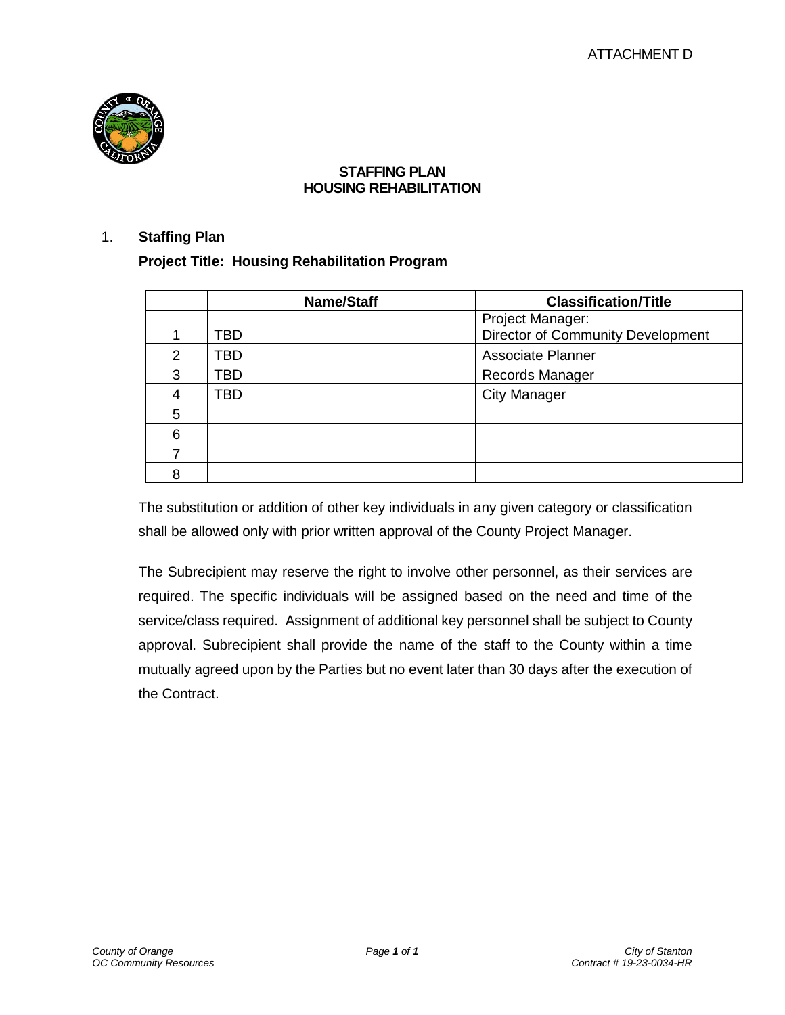

#### **STAFFING PLAN HOUSING REHABILITATION**

#### 1. **Staffing Plan**

**Project Title: Housing Rehabilitation Program**

|   | <b>Name/Staff</b> | <b>Classification/Title</b>       |
|---|-------------------|-----------------------------------|
|   |                   | Project Manager:                  |
|   | TBD               | Director of Community Development |
| 2 | TBD               | <b>Associate Planner</b>          |
| 3 | TBD               | <b>Records Manager</b>            |
|   | TBD               | <b>City Manager</b>               |
| 5 |                   |                                   |
| 6 |                   |                                   |
|   |                   |                                   |
|   |                   |                                   |

The substitution or addition of other key individuals in any given category or classification shall be allowed only with prior written approval of the County Project Manager.

The Subrecipient may reserve the right to involve other personnel, as their services are required. The specific individuals will be assigned based on the need and time of the service/class required. Assignment of additional key personnel shall be subject to County approval. Subrecipient shall provide the name of the staff to the County within a time mutually agreed upon by the Parties but no event later than 30 days after the execution of the Contract.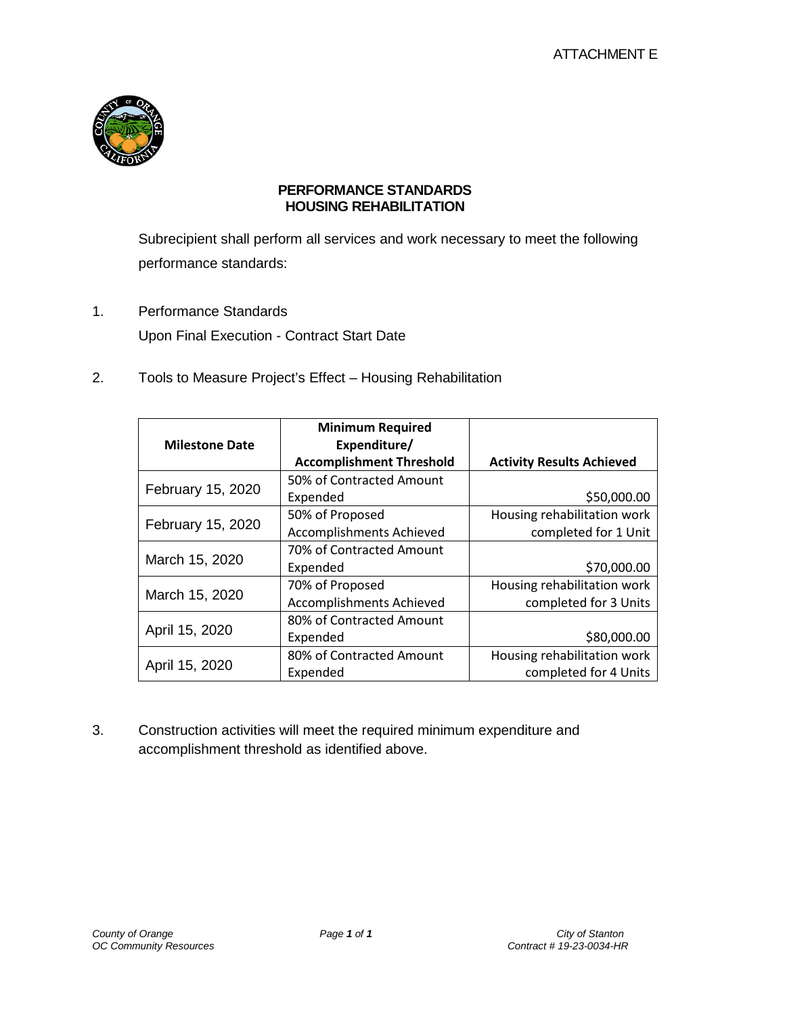

#### **PERFORMANCE STANDARDS HOUSING REHABILITATION**

Subrecipient shall perform all services and work necessary to meet the following performance standards:

- 1. Performance Standards Upon Final Execution - Contract Start Date
- 2. Tools to Measure Project's Effect Housing Rehabilitation

| <b>Milestone Date</b> | <b>Minimum Required</b><br>Expenditure/<br><b>Accomplishment Threshold</b> | <b>Activity Results Achieved</b> |
|-----------------------|----------------------------------------------------------------------------|----------------------------------|
|                       | 50% of Contracted Amount                                                   |                                  |
| February 15, 2020     | Expended                                                                   | \$50,000.00                      |
|                       | 50% of Proposed                                                            | Housing rehabilitation work      |
| February 15, 2020     | Accomplishments Achieved                                                   | completed for 1 Unit             |
|                       | 70% of Contracted Amount                                                   |                                  |
| March 15, 2020        | Expended                                                                   | \$70,000.00                      |
|                       | 70% of Proposed                                                            | Housing rehabilitation work      |
| March 15, 2020        | Accomplishments Achieved                                                   | completed for 3 Units            |
|                       | 80% of Contracted Amount                                                   |                                  |
| April 15, 2020        | Expended                                                                   | \$80,000.00                      |
|                       | 80% of Contracted Amount                                                   | Housing rehabilitation work      |
| April 15, 2020        | Expended                                                                   | completed for 4 Units            |

3. Construction activities will meet the required minimum expenditure and accomplishment threshold as identified above.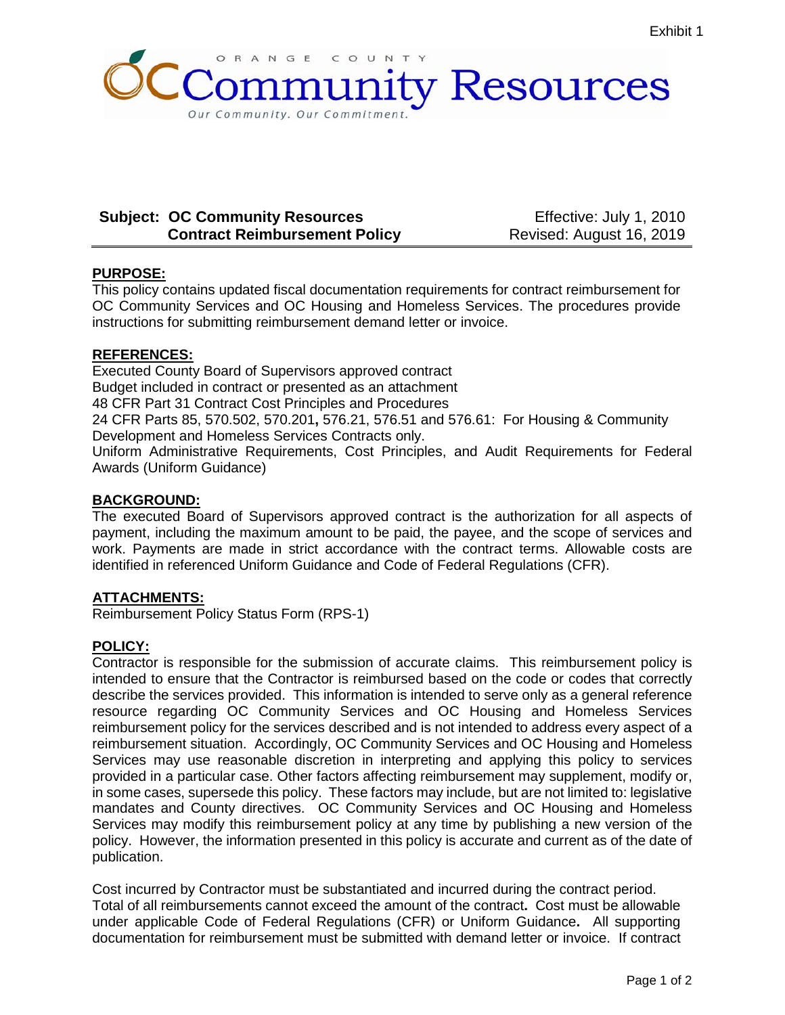

### **Subject: OC Community Resources Contract Reimbursement Policy**

Effective: July 1, 2010 Revised: August 16, 2019

#### **PURPOSE:**

This policy contains updated fiscal documentation requirements for contract reimbursement for OC Community Services and OC Housing and Homeless Services. The procedures provide instructions for submitting reimbursement demand letter or invoice.

#### **REFERENCES:**

Executed County Board of Supervisors approved contract Budget included in contract or presented as an attachment 48 CFR Part 31 Contract Cost Principles and Procedures 24 CFR Parts 85, 570.502, 570.201**,** 576.21, 576.51 and 576.61: For Housing & Community Development and Homeless Services Contracts only. Uniform Administrative Requirements, Cost Principles, and Audit Requirements for Federal Awards (Uniform Guidance)

#### **BACKGROUND:**

The executed Board of Supervisors approved contract is the authorization for all aspects of payment, including the maximum amount to be paid, the payee, and the scope of services and work. Payments are made in strict accordance with the contract terms. Allowable costs are identified in referenced Uniform Guidance and Code of Federal Regulations (CFR).

#### **ATTACHMENTS:**

Reimbursement Policy Status Form (RPS-1)

#### **POLICY:**

Contractor is responsible for the submission of accurate claims. This reimbursement policy is intended to ensure that the Contractor is reimbursed based on the code or codes that correctly describe the services provided. This information is intended to serve only as a general reference resource regarding OC Community Services and OC Housing and Homeless Services reimbursement policy for the services described and is not intended to address every aspect of a reimbursement situation. Accordingly, OC Community Services and OC Housing and Homeless Services may use reasonable discretion in interpreting and applying this policy to services provided in a particular case. Other factors affecting reimbursement may supplement, modify or, in some cases, supersede this policy. These factors may include, but are not limited to: legislative mandates and County directives. OC Community Services and OC Housing and Homeless Services may modify this reimbursement policy at any time by publishing a new version of the policy. However, the information presented in this policy is accurate and current as of the date of publication.

Cost incurred by Contractor must be substantiated and incurred during the contract period. Total of all reimbursements cannot exceed the amount of the contract**.** Cost must be allowable under applicable Code of Federal Regulations (CFR) or Uniform Guidance**.** All supporting documentation for reimbursement must be submitted with demand letter or invoice. If contract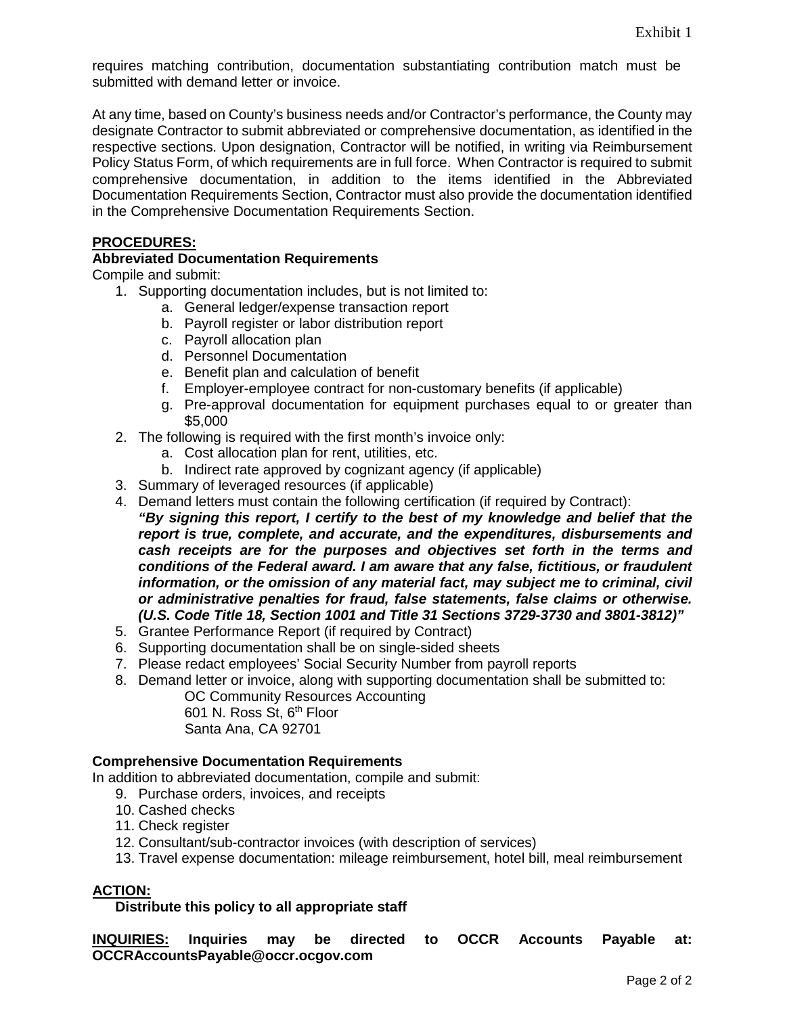requires matching contribution, documentation substantiating contribution match must be submitted with demand letter or invoice.

At any time, based on County's business needs and/or Contractor's performance, the County may designate Contractor to submit abbreviated or comprehensive documentation, as identified in the respective sections. Upon designation, Contractor will be notified, in writing via Reimbursement Policy Status Form, of which requirements are in full force. When Contractor is required to submit comprehensive documentation, in addition to the items identified in the Abbreviated Documentation Requirements Section, Contractor must also provide the documentation identified in the Comprehensive Documentation Requirements Section.

#### **PROCEDURES:**

#### **Abbreviated Documentation Requirements**

Compile and submit:

- 1. Supporting documentation includes, but is not limited to:
	- a. General ledger/expense transaction report
	- b. Payroll register or labor distribution report
	- c. Payroll allocation plan
	- d. Personnel Documentation
	- e. Benefit plan and calculation of benefit
	- f. Employer-employee contract for non-customary benefits (if applicable)
	- g. Pre-approval documentation for equipment purchases equal to or greater than \$5,000
- 2. The following is required with the first month's invoice only:
	- a. Cost allocation plan for rent, utilities, etc.
	- b. Indirect rate approved by cognizant agency (if applicable)
- 3. Summary of leveraged resources (if applicable)
- 4. Demand letters must contain the following certification (if required by Contract): *"By signing this report, I certify to the best of my knowledge and belief that the report is true, complete, and accurate, and the expenditures, disbursements and cash receipts are for the purposes and objectives set forth in the terms and conditions of the Federal award. I am aware that any false, fictitious, or fraudulent information, or the omission of any material fact, may subject me to criminal, civil or administrative penalties for fraud, false statements, false claims or otherwise. (U.S. Code Title 18, Section 1001 and Title 31 Sections 3729-3730 and 3801-3812)"*
- 5. Grantee Performance Report (if required by Contract)
- 6. Supporting documentation shall be on single-sided sheets
- 7. Please redact employees' Social Security Number from payroll reports
- 8. Demand letter or invoice, along with supporting documentation shall be submitted to:

OC Community Resources Accounting 601 N. Ross St, 6th Floor Santa Ana, CA 92701

#### **Comprehensive Documentation Requirements**

In addition to abbreviated documentation, compile and submit:

- 9. Purchase orders, invoices, and receipts
- 10. Cashed checks
- 11. Check register
- 12. Consultant/sub-contractor invoices (with description of services)
- 13. Travel expense documentation: mileage reimbursement, hotel bill, meal reimbursement

#### **ACTION:**

#### **Distribute this policy to all appropriate staff**

**INQUIRIES: Inquiries may be directed to OCCR Accounts Payable at: OCCRAccountsPayable@occr.ocgov.com**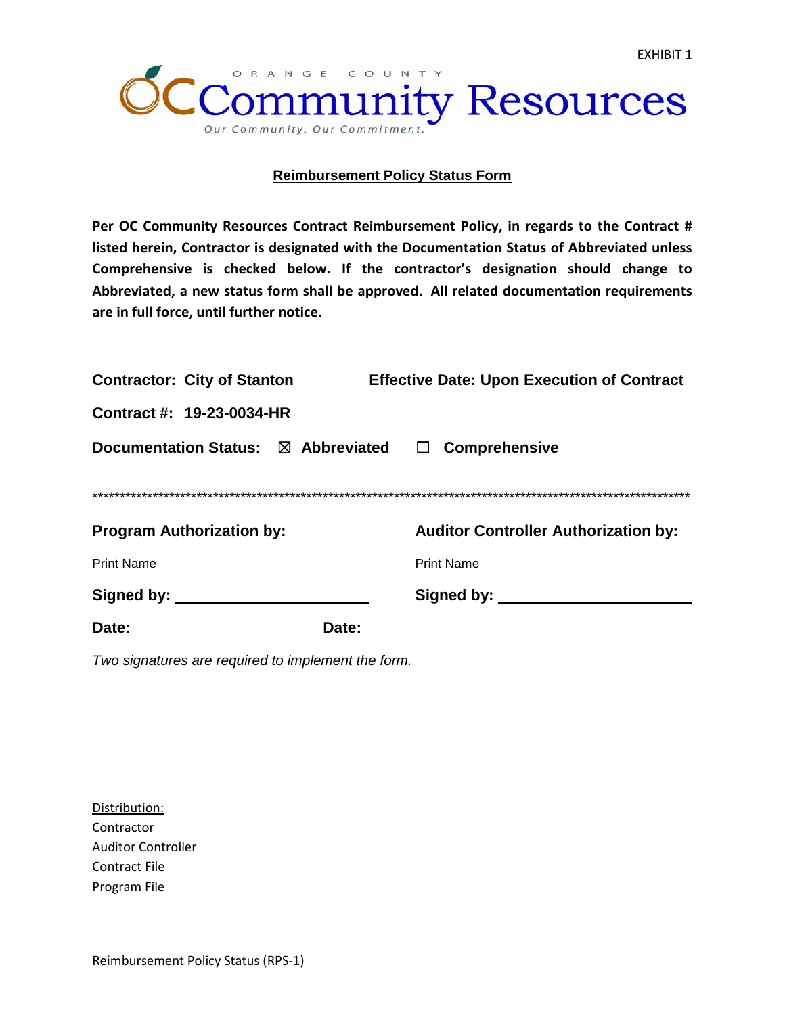

#### **Reimbursement Policy Status Form**

**Per OC Community Resources Contract Reimbursement Policy, in regards to the Contract # listed herein, Contractor is designated with the Documentation Status of Abbreviated unless Comprehensive is checked below. If the contractor's designation should change to Abbreviated, a new status form shall be approved. All related documentation requirements are in full force, until further notice.**

| <b>Contractor: City of Stanton</b>         | <b>Effective Date: Upon Execution of Contract</b> |                                             |  |  |
|--------------------------------------------|---------------------------------------------------|---------------------------------------------|--|--|
| Contract #: 19-23-0034-HR                  |                                                   |                                             |  |  |
| <b>Documentation Status: ⊠ Abbreviated</b> |                                                   | <b>Comprehensive</b><br>ப                   |  |  |
|                                            |                                                   |                                             |  |  |
|                                            |                                                   |                                             |  |  |
| <b>Program Authorization by:</b>           |                                                   | <b>Auditor Controller Authorization by:</b> |  |  |
| <b>Print Name</b>                          |                                                   | <b>Print Name</b>                           |  |  |
| Signed by:                                 |                                                   | Signed by:                                  |  |  |
| Date:                                      | Date:                                             |                                             |  |  |

*Two signatures are required to implement the form.*

Distribution: **Contractor** Auditor Controller Contract File Program File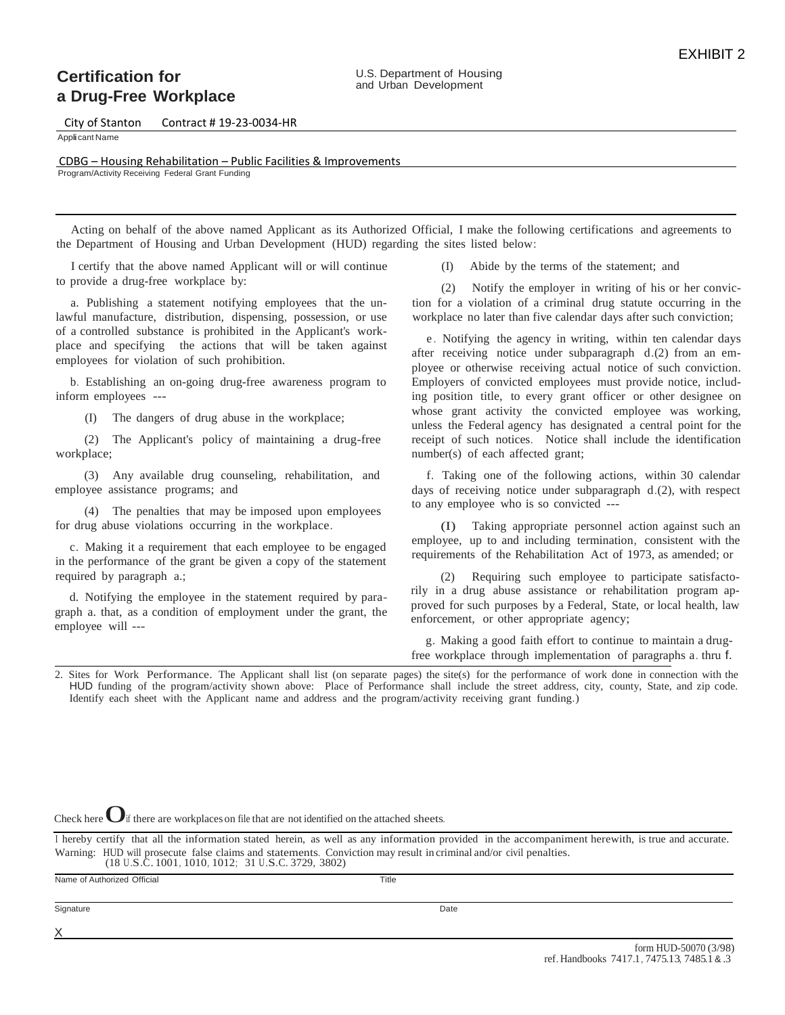## **Certification for a Drug-Free Workplace**

City of Stanton Contract # 19-23-0034-HR

Applicant Name

X

 CDBG – Housing Rehabilitation – Public Facilities & Improvements Program/Activity Receiving Federal Grant Funding

Acting on behalf of the above named Applicant as its Authorized Official, I make the following certifications and agreements to the Department of Housing and Urban Development (HUD) regarding the sites listed below:

I certify that the above named Applicant will or will continue to provide a drug-free workplace by:

a. Publishing a statement notifying employees that the unlawful manufacture, distribution, dispensing, possession, or use of a controlled substance is prohibited in the Applicant's workplace and specifying the actions that will be taken against employees for violation of such prohibition.

b. Establishing an on-going drug-free awareness program to inform employees ---

(I) The dangers of drug abuse in the workplace;

(2) The Applicant's policy of maintaining a drug-free workplace;

(3) Any available drug counseling, rehabilitation, and employee assistance programs; and

(4) The penalties that may be imposed upon employees for drug abuse violations occurring in the workplace.

c. Making it a requirement that each employee to be engaged in the performance of the grant be given a copy of the statement required by paragraph a.;

d. Notifying the employee in the statement required by paragraph a. that, as a condition of employment under the grant, the employee will ---

(I) Abide by the terms of the statement; and

(2) Notify the employer in writing of his or her conviction for a violation of a criminal drug statute occurring in the workplace no later than five calendar days after such conviction;

e . Notifying the agency in writing, within ten calendar days after receiving notice under subparagraph d.(2) from an employee or otherwise receiving actual notice of such conviction. Employers of convicted employees must provide notice, including position title, to every grant officer or other designee on whose grant activity the convicted employee was working, unless the Federal agency has designated a central point for the receipt of such notices. Notice shall include the identification number(s) of each affected grant;

f. Taking one of the following actions, within 30 calendar days of receiving notice under subparagraph d.(2), with respect to any employee who is so convicted ---

(I) Taking appropriate personnel action against such an employee, up to and including termination, consistent with the requirements of the Rehabilitation Act of 1973, as amended; or

(2) Requiring such employee to participate satisfactorily in a drug abuse assistance or rehabilitation program approved for such purposes by a Federal, State, or local health, law enforcement, or other appropriate agency;

g. Making a good faith effort to continue to maintain a drugfree workplace through implementation of paragraphs a. thru f.

2. Sites for Work Performance. The Applicant shall list (on separate pages) the site(s) for the performance of work done in connection with the HUD funding of the program/activity shown above: Place of Performance shall include the street address, city, county, State, and zip code. Identify each sheet with the Applicant name and address and the program/activity receiving grant funding.)

Check here  $\bigcup$  if there are workplaces on file that are not identified on the attached sheets.

I hereby certify that all the information stated herein, as well as any information provided in the accompaniment herewith, is true and accurate. Warning: HUD will prosecute false claims and statements. Conviction may result in criminal and/or civil penalties. (18 U.S.C.1001, 1010, 1012; 31 U.S.C. 3729, 3802)

Name of Authorized Official Title **Signature** Date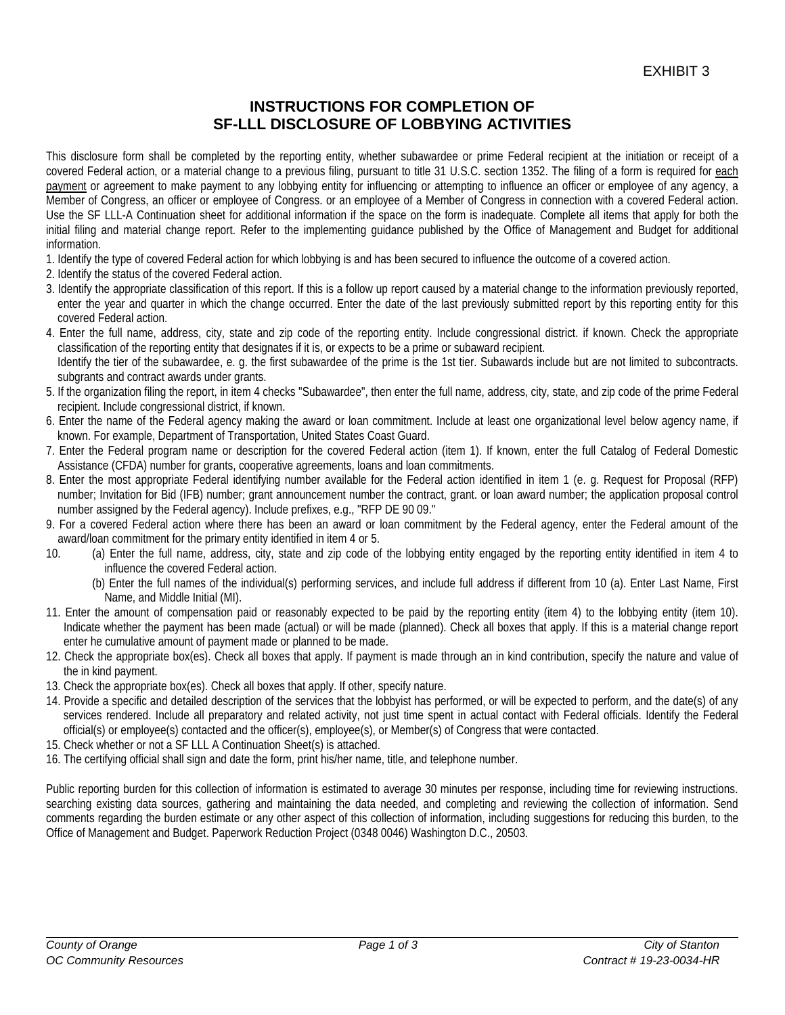## **INSTRUCTIONS FOR COMPLETION OF SF-LLL DISCLOSURE OF LOBBYING ACTIVITIES**

This disclosure form shall be completed by the reporting entity, whether subawardee or prime Federal recipient at the initiation or receipt of a covered Federal action, or a material change to a previous filing, pursuant to title 31 U.S.C. section 1352. The filing of a form is required for each payment or agreement to make payment to any lobbying entity for influencing or attempting to influence an officer or employee of any agency, a Member of Congress, an officer or employee of Congress. or an employee of a Member of Congress in connection with a covered Federal action. Use the SF LLL-A Continuation sheet for additional information if the space on the form is inadequate. Complete all items that apply for both the initial filing and material change report. Refer to the implementing guidance published by the Office of Management and Budget for additional information.

- 1. Identify the type of covered Federal action for which lobbying is and has been secured to influence the outcome of a covered action.
- 2. Identify the status of the covered Federal action.
- 3. Identify the appropriate classification of this report. If this is a follow up report caused by a material change to the information previously reported, enter the year and quarter in which the change occurred. Enter the date of the last previously submitted report by this reporting entity for this covered Federal action.
- 4. Enter the full name, address, city, state and zip code of the reporting entity. Include congressional district. if known. Check the appropriate classification of the reporting entity that designates if it is, or expects to be a prime or subaward recipient. Identify the tier of the subawardee, e. g. the first subawardee of the prime is the 1st tier. Subawards include but are not limited to subcontracts.
- subgrants and contract awards under grants. 5. If the organization filing the report, in item 4 checks "Subawardee", then enter the full name, address, city, state, and zip code of the prime Federal recipient. Include congressional district, if known.
- 6. Enter the name of the Federal agency making the award or loan commitment. Include at least one organizational level below agency name, if known. For example, Department of Transportation, United States Coast Guard.
- 7. Enter the Federal program name or description for the covered Federal action (item 1). If known, enter the full Catalog of Federal Domestic Assistance (CFDA) number for grants, cooperative agreements, loans and loan commitments.
- 8. Enter the most appropriate Federal identifying number available for the Federal action identified in item 1 (e. g. Request for Proposal (RFP) number; Invitation for Bid (IFB) number; grant announcement number the contract, grant. or loan award number; the application proposal control number assigned by the Federal agency). Include prefixes, e.g., "RFP DE 90 09."
- 9. For a covered Federal action where there has been an award or loan commitment by the Federal agency, enter the Federal amount of the award/loan commitment for the primary entity identified in item 4 or 5.
- 10. (a) Enter the full name, address, city, state and zip code of the lobbying entity engaged by the reporting entity identified in item 4 to influence the covered Federal action.
	- (b) Enter the full names of the individual(s) performing services, and include full address if different from 10 (a). Enter Last Name, First Name, and Middle Initial (MI).
- 11. Enter the amount of compensation paid or reasonably expected to be paid by the reporting entity (item 4) to the lobbying entity (item 10). Indicate whether the payment has been made (actual) or will be made (planned). Check all boxes that apply. If this is a material change report enter he cumulative amount of payment made or planned to be made.
- 12. Check the appropriate box(es). Check all boxes that apply. If payment is made through an in kind contribution, specify the nature and value of the in kind payment.
- 13. Check the appropriate box(es). Check all boxes that apply. If other, specify nature.
- 14. Provide a specific and detailed description of the services that the lobbyist has performed, or will be expected to perform, and the date(s) of any services rendered. Include all preparatory and related activity, not just time spent in actual contact with Federal officials. Identify the Federal official(s) or employee(s) contacted and the officer(s), employee(s), or Member(s) of Congress that were contacted.
- 15. Check whether or not a SF LLL A Continuation Sheet(s) is attached.
- 16. The certifying official shall sign and date the form, print his/her name, title, and telephone number.

Public reporting burden for this collection of information is estimated to average 30 minutes per response, including time for reviewing instructions. searching existing data sources, gathering and maintaining the data needed, and completing and reviewing the collection of information. Send comments regarding the burden estimate or any other aspect of this collection of information, including suggestions for reducing this burden, to the Office of Management and Budget. Paperwork Reduction Project (0348 0046) Washington D.C., 20503.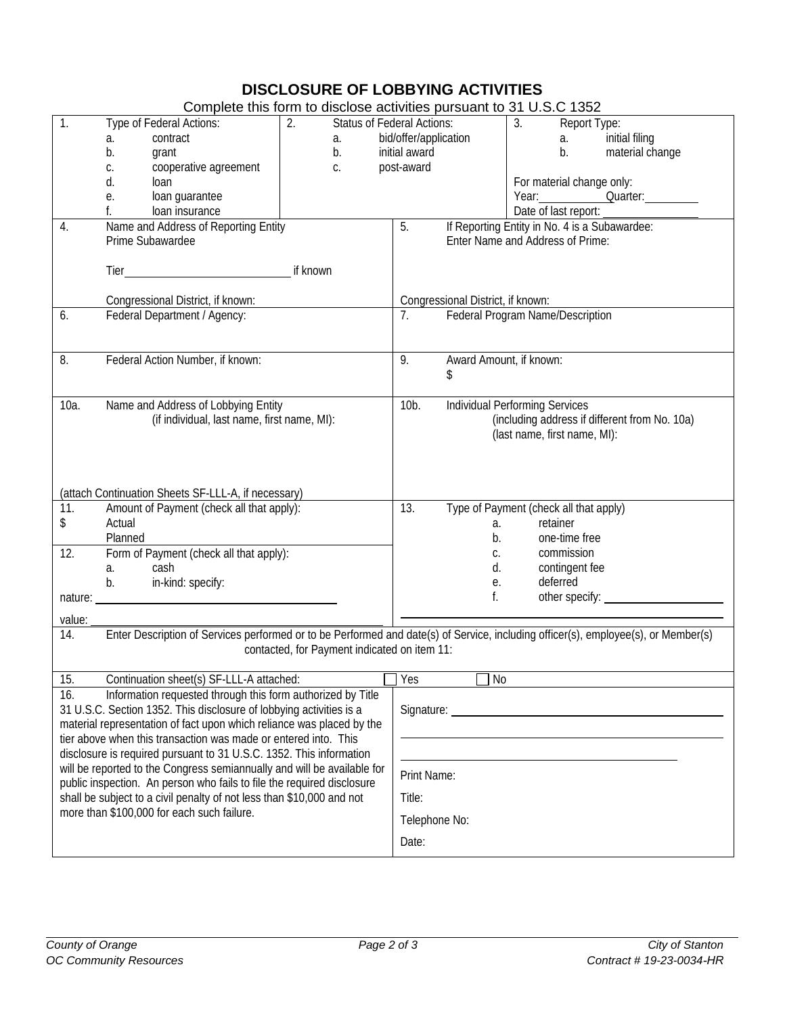# **DISCLOSURE OF LOBBYING ACTIVITIES**

| 3.<br>Type of Federal Actions:<br>2.<br><b>Status of Federal Actions:</b><br>Report Type:<br>bid/offer/application<br>initial filing<br>contract<br>a.<br>a.<br>а.<br>initial award<br>b.<br>b.<br>material change<br>b.<br>grant<br>cooperative agreement<br>post-award<br>C.<br>С.<br>For material change only:<br>d.<br>loan<br>loan guarantee<br>Year: <u>Quarter:</u><br>е.<br>Date of last report:<br>loan insurance<br>Name and Address of Reporting Entity<br>5.<br>If Reporting Entity in No. 4 is a Subawardee:<br>4.<br>Prime Subawardee<br>Enter Name and Address of Prime:<br>if known<br>Congressional District, if known:<br>Congressional District, if known:<br>Federal Program Name/Description<br>Federal Department / Agency:<br>7.<br>6.<br>Award Amount, if known:<br>Federal Action Number, if known:<br>9.<br>8.<br>\$<br>Name and Address of Lobbying Entity<br><b>Individual Performing Services</b><br>10a.<br>$10b$ .<br>(if individual, last name, first name, MI):<br>(including address if different from No. 10a)<br>(last name, first name, MI):<br>(attach Continuation Sheets SF-LLL-A, if necessary)<br>Amount of Payment (check all that apply):<br>13.<br>Type of Payment (check all that apply)<br>11.<br>\$<br>Actual<br>retainer<br>a.<br>Planned<br>b.<br>one-time free<br>Form of Payment (check all that apply):<br>12.<br>commission<br>C.<br>contingent fee<br>cash<br>d.<br>a.<br>deferred<br>in-kind: specify:<br>е.<br>b.<br>f.<br>other specify: _<br>nature:<br>value:<br>Enter Description of Services performed or to be Performed and date(s) of Service, including officer(s), employee(s), or Member(s)<br>14.<br>contacted, for Payment indicated on item 11:<br>Continuation sheet(s) SF-LLL-A attached:<br>$\Box$ No<br>$\Box$ Yes<br>$\overline{15}$ .<br>16.<br>Information requested through this form authorized by Title<br>31 U.S.C. Section 1352. This disclosure of lobbying activities is a<br>material representation of fact upon which reliance was placed by the<br>tier above when this transaction was made or entered into. This |                                            |  | Complete this form to disclose activities pursuant to 31 U.S.C 1352 |  |  |  |
|-------------------------------------------------------------------------------------------------------------------------------------------------------------------------------------------------------------------------------------------------------------------------------------------------------------------------------------------------------------------------------------------------------------------------------------------------------------------------------------------------------------------------------------------------------------------------------------------------------------------------------------------------------------------------------------------------------------------------------------------------------------------------------------------------------------------------------------------------------------------------------------------------------------------------------------------------------------------------------------------------------------------------------------------------------------------------------------------------------------------------------------------------------------------------------------------------------------------------------------------------------------------------------------------------------------------------------------------------------------------------------------------------------------------------------------------------------------------------------------------------------------------------------------------------------------------------------------------------------------------------------------------------------------------------------------------------------------------------------------------------------------------------------------------------------------------------------------------------------------------------------------------------------------------------------------------------------------------------------------------------------------------------------------------------------------------------------------------------------------|--------------------------------------------|--|---------------------------------------------------------------------|--|--|--|
|                                                                                                                                                                                                                                                                                                                                                                                                                                                                                                                                                                                                                                                                                                                                                                                                                                                                                                                                                                                                                                                                                                                                                                                                                                                                                                                                                                                                                                                                                                                                                                                                                                                                                                                                                                                                                                                                                                                                                                                                                                                                                                             | 1.                                         |  |                                                                     |  |  |  |
|                                                                                                                                                                                                                                                                                                                                                                                                                                                                                                                                                                                                                                                                                                                                                                                                                                                                                                                                                                                                                                                                                                                                                                                                                                                                                                                                                                                                                                                                                                                                                                                                                                                                                                                                                                                                                                                                                                                                                                                                                                                                                                             |                                            |  |                                                                     |  |  |  |
|                                                                                                                                                                                                                                                                                                                                                                                                                                                                                                                                                                                                                                                                                                                                                                                                                                                                                                                                                                                                                                                                                                                                                                                                                                                                                                                                                                                                                                                                                                                                                                                                                                                                                                                                                                                                                                                                                                                                                                                                                                                                                                             |                                            |  |                                                                     |  |  |  |
|                                                                                                                                                                                                                                                                                                                                                                                                                                                                                                                                                                                                                                                                                                                                                                                                                                                                                                                                                                                                                                                                                                                                                                                                                                                                                                                                                                                                                                                                                                                                                                                                                                                                                                                                                                                                                                                                                                                                                                                                                                                                                                             |                                            |  |                                                                     |  |  |  |
|                                                                                                                                                                                                                                                                                                                                                                                                                                                                                                                                                                                                                                                                                                                                                                                                                                                                                                                                                                                                                                                                                                                                                                                                                                                                                                                                                                                                                                                                                                                                                                                                                                                                                                                                                                                                                                                                                                                                                                                                                                                                                                             |                                            |  |                                                                     |  |  |  |
|                                                                                                                                                                                                                                                                                                                                                                                                                                                                                                                                                                                                                                                                                                                                                                                                                                                                                                                                                                                                                                                                                                                                                                                                                                                                                                                                                                                                                                                                                                                                                                                                                                                                                                                                                                                                                                                                                                                                                                                                                                                                                                             |                                            |  |                                                                     |  |  |  |
|                                                                                                                                                                                                                                                                                                                                                                                                                                                                                                                                                                                                                                                                                                                                                                                                                                                                                                                                                                                                                                                                                                                                                                                                                                                                                                                                                                                                                                                                                                                                                                                                                                                                                                                                                                                                                                                                                                                                                                                                                                                                                                             |                                            |  |                                                                     |  |  |  |
|                                                                                                                                                                                                                                                                                                                                                                                                                                                                                                                                                                                                                                                                                                                                                                                                                                                                                                                                                                                                                                                                                                                                                                                                                                                                                                                                                                                                                                                                                                                                                                                                                                                                                                                                                                                                                                                                                                                                                                                                                                                                                                             |                                            |  |                                                                     |  |  |  |
|                                                                                                                                                                                                                                                                                                                                                                                                                                                                                                                                                                                                                                                                                                                                                                                                                                                                                                                                                                                                                                                                                                                                                                                                                                                                                                                                                                                                                                                                                                                                                                                                                                                                                                                                                                                                                                                                                                                                                                                                                                                                                                             |                                            |  |                                                                     |  |  |  |
|                                                                                                                                                                                                                                                                                                                                                                                                                                                                                                                                                                                                                                                                                                                                                                                                                                                                                                                                                                                                                                                                                                                                                                                                                                                                                                                                                                                                                                                                                                                                                                                                                                                                                                                                                                                                                                                                                                                                                                                                                                                                                                             |                                            |  |                                                                     |  |  |  |
|                                                                                                                                                                                                                                                                                                                                                                                                                                                                                                                                                                                                                                                                                                                                                                                                                                                                                                                                                                                                                                                                                                                                                                                                                                                                                                                                                                                                                                                                                                                                                                                                                                                                                                                                                                                                                                                                                                                                                                                                                                                                                                             |                                            |  |                                                                     |  |  |  |
|                                                                                                                                                                                                                                                                                                                                                                                                                                                                                                                                                                                                                                                                                                                                                                                                                                                                                                                                                                                                                                                                                                                                                                                                                                                                                                                                                                                                                                                                                                                                                                                                                                                                                                                                                                                                                                                                                                                                                                                                                                                                                                             |                                            |  |                                                                     |  |  |  |
|                                                                                                                                                                                                                                                                                                                                                                                                                                                                                                                                                                                                                                                                                                                                                                                                                                                                                                                                                                                                                                                                                                                                                                                                                                                                                                                                                                                                                                                                                                                                                                                                                                                                                                                                                                                                                                                                                                                                                                                                                                                                                                             |                                            |  |                                                                     |  |  |  |
|                                                                                                                                                                                                                                                                                                                                                                                                                                                                                                                                                                                                                                                                                                                                                                                                                                                                                                                                                                                                                                                                                                                                                                                                                                                                                                                                                                                                                                                                                                                                                                                                                                                                                                                                                                                                                                                                                                                                                                                                                                                                                                             |                                            |  |                                                                     |  |  |  |
|                                                                                                                                                                                                                                                                                                                                                                                                                                                                                                                                                                                                                                                                                                                                                                                                                                                                                                                                                                                                                                                                                                                                                                                                                                                                                                                                                                                                                                                                                                                                                                                                                                                                                                                                                                                                                                                                                                                                                                                                                                                                                                             |                                            |  |                                                                     |  |  |  |
|                                                                                                                                                                                                                                                                                                                                                                                                                                                                                                                                                                                                                                                                                                                                                                                                                                                                                                                                                                                                                                                                                                                                                                                                                                                                                                                                                                                                                                                                                                                                                                                                                                                                                                                                                                                                                                                                                                                                                                                                                                                                                                             |                                            |  |                                                                     |  |  |  |
|                                                                                                                                                                                                                                                                                                                                                                                                                                                                                                                                                                                                                                                                                                                                                                                                                                                                                                                                                                                                                                                                                                                                                                                                                                                                                                                                                                                                                                                                                                                                                                                                                                                                                                                                                                                                                                                                                                                                                                                                                                                                                                             |                                            |  |                                                                     |  |  |  |
|                                                                                                                                                                                                                                                                                                                                                                                                                                                                                                                                                                                                                                                                                                                                                                                                                                                                                                                                                                                                                                                                                                                                                                                                                                                                                                                                                                                                                                                                                                                                                                                                                                                                                                                                                                                                                                                                                                                                                                                                                                                                                                             |                                            |  |                                                                     |  |  |  |
|                                                                                                                                                                                                                                                                                                                                                                                                                                                                                                                                                                                                                                                                                                                                                                                                                                                                                                                                                                                                                                                                                                                                                                                                                                                                                                                                                                                                                                                                                                                                                                                                                                                                                                                                                                                                                                                                                                                                                                                                                                                                                                             |                                            |  |                                                                     |  |  |  |
|                                                                                                                                                                                                                                                                                                                                                                                                                                                                                                                                                                                                                                                                                                                                                                                                                                                                                                                                                                                                                                                                                                                                                                                                                                                                                                                                                                                                                                                                                                                                                                                                                                                                                                                                                                                                                                                                                                                                                                                                                                                                                                             |                                            |  |                                                                     |  |  |  |
|                                                                                                                                                                                                                                                                                                                                                                                                                                                                                                                                                                                                                                                                                                                                                                                                                                                                                                                                                                                                                                                                                                                                                                                                                                                                                                                                                                                                                                                                                                                                                                                                                                                                                                                                                                                                                                                                                                                                                                                                                                                                                                             |                                            |  |                                                                     |  |  |  |
|                                                                                                                                                                                                                                                                                                                                                                                                                                                                                                                                                                                                                                                                                                                                                                                                                                                                                                                                                                                                                                                                                                                                                                                                                                                                                                                                                                                                                                                                                                                                                                                                                                                                                                                                                                                                                                                                                                                                                                                                                                                                                                             |                                            |  |                                                                     |  |  |  |
|                                                                                                                                                                                                                                                                                                                                                                                                                                                                                                                                                                                                                                                                                                                                                                                                                                                                                                                                                                                                                                                                                                                                                                                                                                                                                                                                                                                                                                                                                                                                                                                                                                                                                                                                                                                                                                                                                                                                                                                                                                                                                                             |                                            |  |                                                                     |  |  |  |
|                                                                                                                                                                                                                                                                                                                                                                                                                                                                                                                                                                                                                                                                                                                                                                                                                                                                                                                                                                                                                                                                                                                                                                                                                                                                                                                                                                                                                                                                                                                                                                                                                                                                                                                                                                                                                                                                                                                                                                                                                                                                                                             |                                            |  |                                                                     |  |  |  |
|                                                                                                                                                                                                                                                                                                                                                                                                                                                                                                                                                                                                                                                                                                                                                                                                                                                                                                                                                                                                                                                                                                                                                                                                                                                                                                                                                                                                                                                                                                                                                                                                                                                                                                                                                                                                                                                                                                                                                                                                                                                                                                             |                                            |  |                                                                     |  |  |  |
|                                                                                                                                                                                                                                                                                                                                                                                                                                                                                                                                                                                                                                                                                                                                                                                                                                                                                                                                                                                                                                                                                                                                                                                                                                                                                                                                                                                                                                                                                                                                                                                                                                                                                                                                                                                                                                                                                                                                                                                                                                                                                                             |                                            |  |                                                                     |  |  |  |
|                                                                                                                                                                                                                                                                                                                                                                                                                                                                                                                                                                                                                                                                                                                                                                                                                                                                                                                                                                                                                                                                                                                                                                                                                                                                                                                                                                                                                                                                                                                                                                                                                                                                                                                                                                                                                                                                                                                                                                                                                                                                                                             |                                            |  |                                                                     |  |  |  |
|                                                                                                                                                                                                                                                                                                                                                                                                                                                                                                                                                                                                                                                                                                                                                                                                                                                                                                                                                                                                                                                                                                                                                                                                                                                                                                                                                                                                                                                                                                                                                                                                                                                                                                                                                                                                                                                                                                                                                                                                                                                                                                             |                                            |  |                                                                     |  |  |  |
|                                                                                                                                                                                                                                                                                                                                                                                                                                                                                                                                                                                                                                                                                                                                                                                                                                                                                                                                                                                                                                                                                                                                                                                                                                                                                                                                                                                                                                                                                                                                                                                                                                                                                                                                                                                                                                                                                                                                                                                                                                                                                                             |                                            |  |                                                                     |  |  |  |
|                                                                                                                                                                                                                                                                                                                                                                                                                                                                                                                                                                                                                                                                                                                                                                                                                                                                                                                                                                                                                                                                                                                                                                                                                                                                                                                                                                                                                                                                                                                                                                                                                                                                                                                                                                                                                                                                                                                                                                                                                                                                                                             |                                            |  |                                                                     |  |  |  |
|                                                                                                                                                                                                                                                                                                                                                                                                                                                                                                                                                                                                                                                                                                                                                                                                                                                                                                                                                                                                                                                                                                                                                                                                                                                                                                                                                                                                                                                                                                                                                                                                                                                                                                                                                                                                                                                                                                                                                                                                                                                                                                             |                                            |  |                                                                     |  |  |  |
|                                                                                                                                                                                                                                                                                                                                                                                                                                                                                                                                                                                                                                                                                                                                                                                                                                                                                                                                                                                                                                                                                                                                                                                                                                                                                                                                                                                                                                                                                                                                                                                                                                                                                                                                                                                                                                                                                                                                                                                                                                                                                                             |                                            |  |                                                                     |  |  |  |
|                                                                                                                                                                                                                                                                                                                                                                                                                                                                                                                                                                                                                                                                                                                                                                                                                                                                                                                                                                                                                                                                                                                                                                                                                                                                                                                                                                                                                                                                                                                                                                                                                                                                                                                                                                                                                                                                                                                                                                                                                                                                                                             |                                            |  |                                                                     |  |  |  |
|                                                                                                                                                                                                                                                                                                                                                                                                                                                                                                                                                                                                                                                                                                                                                                                                                                                                                                                                                                                                                                                                                                                                                                                                                                                                                                                                                                                                                                                                                                                                                                                                                                                                                                                                                                                                                                                                                                                                                                                                                                                                                                             |                                            |  |                                                                     |  |  |  |
|                                                                                                                                                                                                                                                                                                                                                                                                                                                                                                                                                                                                                                                                                                                                                                                                                                                                                                                                                                                                                                                                                                                                                                                                                                                                                                                                                                                                                                                                                                                                                                                                                                                                                                                                                                                                                                                                                                                                                                                                                                                                                                             |                                            |  |                                                                     |  |  |  |
|                                                                                                                                                                                                                                                                                                                                                                                                                                                                                                                                                                                                                                                                                                                                                                                                                                                                                                                                                                                                                                                                                                                                                                                                                                                                                                                                                                                                                                                                                                                                                                                                                                                                                                                                                                                                                                                                                                                                                                                                                                                                                                             |                                            |  |                                                                     |  |  |  |
|                                                                                                                                                                                                                                                                                                                                                                                                                                                                                                                                                                                                                                                                                                                                                                                                                                                                                                                                                                                                                                                                                                                                                                                                                                                                                                                                                                                                                                                                                                                                                                                                                                                                                                                                                                                                                                                                                                                                                                                                                                                                                                             |                                            |  |                                                                     |  |  |  |
|                                                                                                                                                                                                                                                                                                                                                                                                                                                                                                                                                                                                                                                                                                                                                                                                                                                                                                                                                                                                                                                                                                                                                                                                                                                                                                                                                                                                                                                                                                                                                                                                                                                                                                                                                                                                                                                                                                                                                                                                                                                                                                             |                                            |  |                                                                     |  |  |  |
|                                                                                                                                                                                                                                                                                                                                                                                                                                                                                                                                                                                                                                                                                                                                                                                                                                                                                                                                                                                                                                                                                                                                                                                                                                                                                                                                                                                                                                                                                                                                                                                                                                                                                                                                                                                                                                                                                                                                                                                                                                                                                                             |                                            |  |                                                                     |  |  |  |
|                                                                                                                                                                                                                                                                                                                                                                                                                                                                                                                                                                                                                                                                                                                                                                                                                                                                                                                                                                                                                                                                                                                                                                                                                                                                                                                                                                                                                                                                                                                                                                                                                                                                                                                                                                                                                                                                                                                                                                                                                                                                                                             |                                            |  |                                                                     |  |  |  |
|                                                                                                                                                                                                                                                                                                                                                                                                                                                                                                                                                                                                                                                                                                                                                                                                                                                                                                                                                                                                                                                                                                                                                                                                                                                                                                                                                                                                                                                                                                                                                                                                                                                                                                                                                                                                                                                                                                                                                                                                                                                                                                             |                                            |  |                                                                     |  |  |  |
|                                                                                                                                                                                                                                                                                                                                                                                                                                                                                                                                                                                                                                                                                                                                                                                                                                                                                                                                                                                                                                                                                                                                                                                                                                                                                                                                                                                                                                                                                                                                                                                                                                                                                                                                                                                                                                                                                                                                                                                                                                                                                                             |                                            |  |                                                                     |  |  |  |
|                                                                                                                                                                                                                                                                                                                                                                                                                                                                                                                                                                                                                                                                                                                                                                                                                                                                                                                                                                                                                                                                                                                                                                                                                                                                                                                                                                                                                                                                                                                                                                                                                                                                                                                                                                                                                                                                                                                                                                                                                                                                                                             |                                            |  |                                                                     |  |  |  |
| disclosure is required pursuant to 31 U.S.C. 1352. This information<br>will be reported to the Congress semiannually and will be available for                                                                                                                                                                                                                                                                                                                                                                                                                                                                                                                                                                                                                                                                                                                                                                                                                                                                                                                                                                                                                                                                                                                                                                                                                                                                                                                                                                                                                                                                                                                                                                                                                                                                                                                                                                                                                                                                                                                                                              |                                            |  |                                                                     |  |  |  |
| Print Name:<br>public inspection. An person who fails to file the required disclosure                                                                                                                                                                                                                                                                                                                                                                                                                                                                                                                                                                                                                                                                                                                                                                                                                                                                                                                                                                                                                                                                                                                                                                                                                                                                                                                                                                                                                                                                                                                                                                                                                                                                                                                                                                                                                                                                                                                                                                                                                       |                                            |  |                                                                     |  |  |  |
| Title:                                                                                                                                                                                                                                                                                                                                                                                                                                                                                                                                                                                                                                                                                                                                                                                                                                                                                                                                                                                                                                                                                                                                                                                                                                                                                                                                                                                                                                                                                                                                                                                                                                                                                                                                                                                                                                                                                                                                                                                                                                                                                                      |                                            |  |                                                                     |  |  |  |
| shall be subject to a civil penalty of not less than \$10,000 and not                                                                                                                                                                                                                                                                                                                                                                                                                                                                                                                                                                                                                                                                                                                                                                                                                                                                                                                                                                                                                                                                                                                                                                                                                                                                                                                                                                                                                                                                                                                                                                                                                                                                                                                                                                                                                                                                                                                                                                                                                                       |                                            |  |                                                                     |  |  |  |
| Telephone No:                                                                                                                                                                                                                                                                                                                                                                                                                                                                                                                                                                                                                                                                                                                                                                                                                                                                                                                                                                                                                                                                                                                                                                                                                                                                                                                                                                                                                                                                                                                                                                                                                                                                                                                                                                                                                                                                                                                                                                                                                                                                                               | more than \$100,000 for each such failure. |  |                                                                     |  |  |  |
| Date:                                                                                                                                                                                                                                                                                                                                                                                                                                                                                                                                                                                                                                                                                                                                                                                                                                                                                                                                                                                                                                                                                                                                                                                                                                                                                                                                                                                                                                                                                                                                                                                                                                                                                                                                                                                                                                                                                                                                                                                                                                                                                                       |                                            |  |                                                                     |  |  |  |
|                                                                                                                                                                                                                                                                                                                                                                                                                                                                                                                                                                                                                                                                                                                                                                                                                                                                                                                                                                                                                                                                                                                                                                                                                                                                                                                                                                                                                                                                                                                                                                                                                                                                                                                                                                                                                                                                                                                                                                                                                                                                                                             |                                            |  |                                                                     |  |  |  |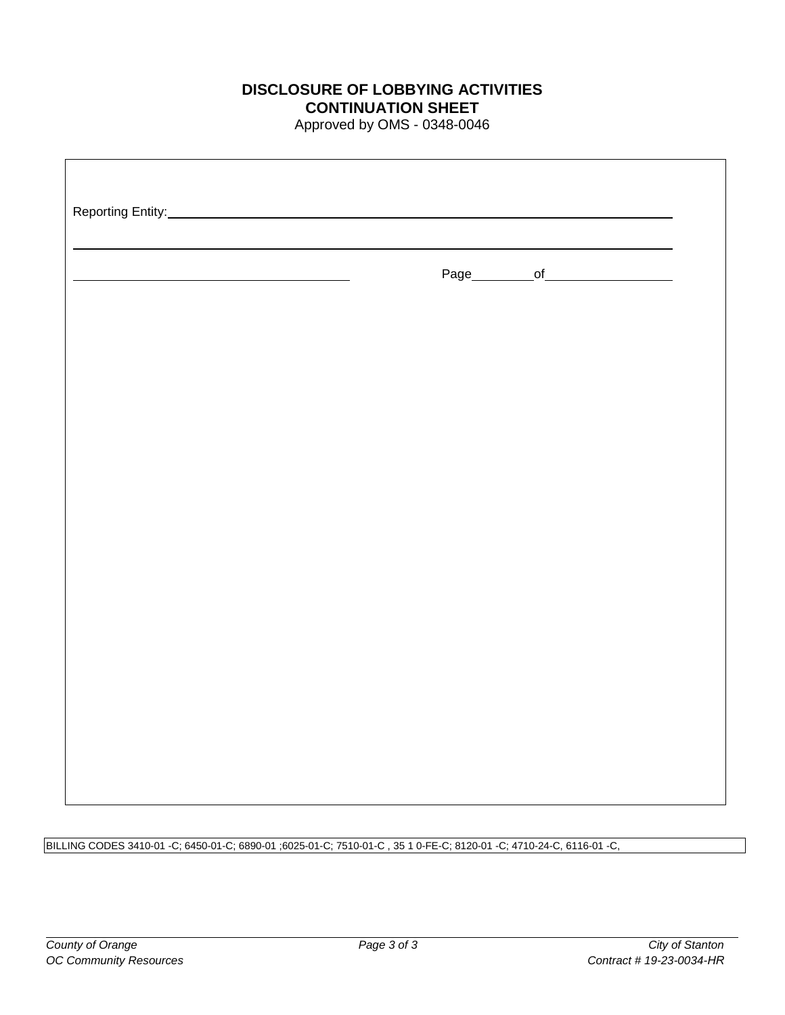## **DISCLOSURE OF LOBBYING ACTIVITIES CONTINUATION SHEET**

Approved by OMS - 0348-0046

| <u> 1989 - Johann Barn, mars eta biztanleria (</u> | Page___________of____________________ |  |
|----------------------------------------------------|---------------------------------------|--|
|                                                    |                                       |  |
|                                                    |                                       |  |
|                                                    |                                       |  |
|                                                    |                                       |  |
|                                                    |                                       |  |
|                                                    |                                       |  |
|                                                    |                                       |  |
|                                                    |                                       |  |

BILLING CODES 3410-01 -C; 6450-01-C; 6890-01 ;6025-01-C; 7510-01-C , 35 1 0-FE-C; 8120-01 -C; 4710-24-C, 6116-01 -C,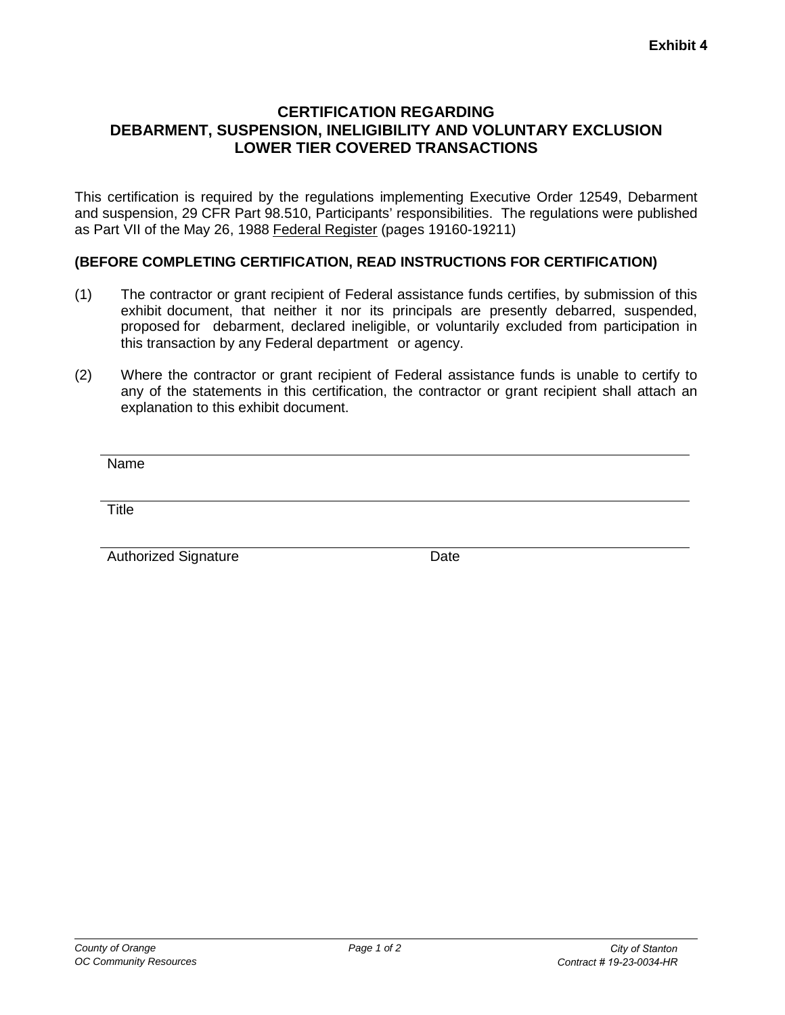#### **CERTIFICATION REGARDING DEBARMENT, SUSPENSION, INELIGIBILITY AND VOLUNTARY EXCLUSION LOWER TIER COVERED TRANSACTIONS**

This certification is required by the regulations implementing Executive Order 12549, Debarment and suspension, 29 CFR Part 98.510, Participants' responsibilities. The regulations were published as Part VII of the May 26, 1988 Federal Register (pages 19160-19211)

#### **(BEFORE COMPLETING CERTIFICATION, READ INSTRUCTIONS FOR CERTIFICATION)**

- (1) The contractor or grant recipient of Federal assistance funds certifies, by submission of this exhibit document, that neither it nor its principals are presently debarred, suspended, proposed for debarment, declared ineligible, or voluntarily excluded from participation in this transaction by any Federal department or agency.
- (2) Where the contractor or grant recipient of Federal assistance funds is unable to certify to any of the statements in this certification, the contractor or grant recipient shall attach an explanation to this exhibit document.

Name

**Title** 

Authorized Signature **Date**